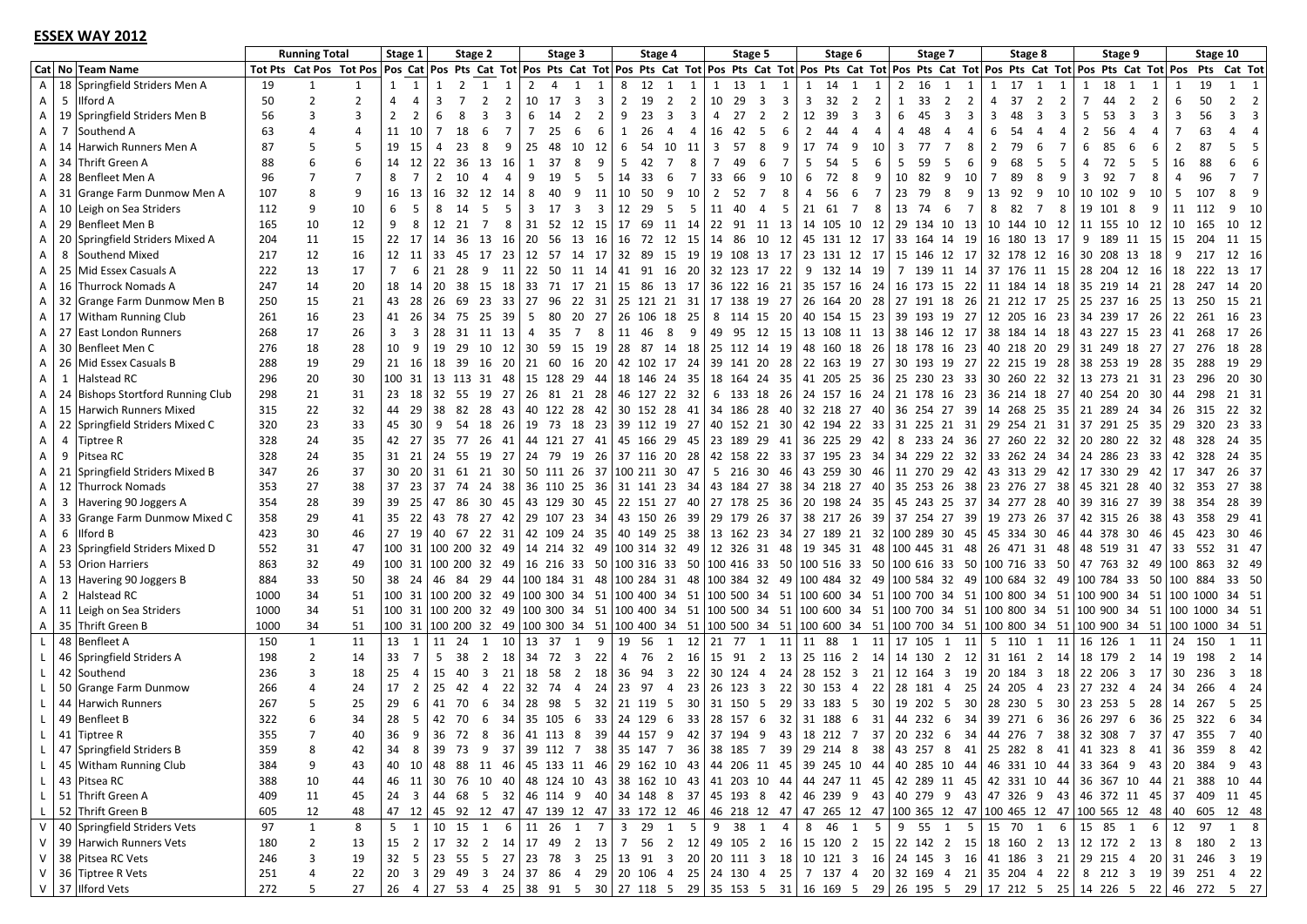#### **ESSEX WAY 2012**

|              |                                   | <b>Running Total</b> |                         | Stage 1        |                                                  | Stage 2        |                                         |                | Stage 3        |                               |       | Stage 4        |           |                                   | Stage 5        |                                                                                                                                                             |                                  | Stage 6        |                                  |                | Stage 7 |             |                     | Stage 8        |          |                                  | Stage 9        |           |                        | Stage 10 |        |                                                                                                                              |
|--------------|-----------------------------------|----------------------|-------------------------|----------------|--------------------------------------------------|----------------|-----------------------------------------|----------------|----------------|-------------------------------|-------|----------------|-----------|-----------------------------------|----------------|-------------------------------------------------------------------------------------------------------------------------------------------------------------|----------------------------------|----------------|----------------------------------|----------------|---------|-------------|---------------------|----------------|----------|----------------------------------|----------------|-----------|------------------------|----------|--------|------------------------------------------------------------------------------------------------------------------------------|
|              | Cat No Team Name                  |                      | Tot Pts Cat Pos Tot Pos |                |                                                  |                |                                         |                |                |                               |       |                |           |                                   |                | Pos Cat Pos Pts Cat Tot Pos Pts Cat Tot Pos Pts Cat Tot Pos Pts Cat Tot Pos Pts Cat Tot Pos Pts Cat Tot Pos Pts Cat Tot Pos Pts Cat Tot Pos Pts Cat Tot Pos |                                  |                |                                  |                |         |             |                     |                |          |                                  |                |           |                        |          |        | Pts Cat Tot                                                                                                                  |
| A            | 18 Springfield Striders Men A     | 19                   |                         | $\mathbf{1}$   | 1                                                |                | 1<br>2                                  | 1              | $\overline{2}$ | 1<br>$\overline{4}$           | 1     | 8              | 12        | 1<br>1                            |                | 13<br>1                                                                                                                                                     | 1<br>1                           | 1              | 14<br>1                          | 1              | 2       | 16          | 1<br>1              | 1              | 17       | 1<br>1                           | 1              | 18        | 1                      |          | 19     |                                                                                                                              |
| A            | 5 Ilford A                        | 50                   | $\overline{2}$          | $\overline{2}$ | $\overline{4}$<br>$\overline{4}$                 | 3              | $\overline{7}$<br>$\overline{2}$        | $\overline{2}$ | 10             | 17<br>$\overline{\mathbf{3}}$ | 3     | $\overline{2}$ | 19        | $\overline{2}$<br>$\overline{2}$  |                | 29<br>10                                                                                                                                                    | 3<br>3                           | 3              | 32<br>$\overline{2}$             | $\overline{2}$ |         | 33          | $\overline{2}$<br>2 | $\overline{4}$ | 37       | $\overline{2}$<br>$\overline{2}$ | 7              | 44        | 2                      |          | 50     | $\overline{2}$<br>$\overline{2}$                                                                                             |
| Α            | 19 Springfield Striders Men B     | 56                   | 3                       | 3              | $\overline{2}$<br>$\overline{2}$                 | 6              | 8<br>3                                  | 3              | 6              | 14<br>$\overline{2}$          | 2     | 9              | 23        | 3<br>3                            |                | 27<br>4                                                                                                                                                     | $\overline{2}$<br>$\overline{2}$ |                | 12 39<br>$\overline{\mathbf{3}}$ | 3              | 6       | 45          | $\overline{3}$<br>3 | 3              | 48       | 3<br>3                           | 5              | 53        | 3                      |          | 56     | $\mathbf{a}$<br>Ρ                                                                                                            |
| A            | 7 Southend A                      | 63                   |                         | $\overline{4}$ | 11<br>10                                         | 7              | 18<br>-6                                | -7             | $\overline{7}$ | 25<br>6                       | 6     | -1             | 26        | 4<br>$\overline{4}$               |                | 16<br>42                                                                                                                                                    | 5<br>6                           | $\overline{2}$ | 44<br>4                          | 4              | 4       | 48          | $\overline{4}$      | 6              | 54       | 4<br>4                           | $\overline{2}$ | 56        | 4<br>4                 |          | 63     |                                                                                                                              |
| Α            | 14 Harwich Runners Men A          | 87                   |                         | 5              | 19<br>15                                         | 4              | 23<br>8                                 | 9              | 25             | 48<br>10                      | 12    | 6              | 54        | 10<br>-11                         | $\overline{3}$ | 57                                                                                                                                                          | 8<br>9                           | 17             | 74<br>-9                         | 10             | 3       | 77          | $\overline{7}$<br>8 | $\overline{2}$ | 79       | 6<br>7                           | 6              | 85        | 6<br>6                 | 2        | 87     | 5                                                                                                                            |
| Α            | 34 Thrift Green A                 | 88                   |                         | 6              | 14<br>12                                         | 22             | 36 13 16                                |                | 1              | 37<br>-8                      | 9     | -5             | 42        | 7<br>8                            |                | 49                                                                                                                                                          | $\overline{7}$<br>6              | 5              | 54<br>- 5                        | 6              | 5       | -59         | -5<br>6             | 9              | 68       | 5<br>5                           | 4              | 72        | -5<br>5                | 16       | 88     |                                                                                                                              |
| A            | 28 Benfleet Men A                 | 96                   |                         | $\overline{7}$ | 8<br>$\overline{7}$                              | $\overline{2}$ | 10<br>4                                 | $\overline{4}$ | 9              | 19<br>-5                      | 5     | 14             | -33       | $\overline{7}$<br>6               |                | 33<br>66                                                                                                                                                    | 9<br>10                          | 6              | 72<br>8                          | -9             | 10      | 82          | -9<br>10            | $\overline{7}$ | 89       | 8<br>9                           | $\overline{3}$ | 92        | 8                      |          | 96     |                                                                                                                              |
| Α            | 31 Grange Farm Dunmow Men A       | 107                  | 8                       | 9              | 16<br>13                                         | 16             | 32                                      | 12 14          | 8              | 40<br>9                       | 11    | 10             | 50        | 9<br>10                           | $\overline{2}$ | 52                                                                                                                                                          | $\overline{7}$<br>8              | $\overline{4}$ | 56<br>- 6                        | 7              | 23      | 79          | 8<br>9              | 13             | 92       | 9<br>10                          | 10 102         |           | 9<br>10                | -5       | 107    |                                                                                                                              |
| Α            | 10 Leigh on Sea Striders          | 112                  | 9                       | 10             | 6<br>-5                                          | 8              | 14<br>- 5                               | .5             | 3              | 17<br>$\overline{\mathbf{3}}$ | 3     | 12             | 29        | -5<br>5                           |                | 11<br>40                                                                                                                                                    | $\overline{4}$<br>5              |                | 21 61 7                          | 8              | 13      | - 74        | - 6<br>7            | 8              | 82       | $\overline{7}$<br>8              | 19 101         |           | -8<br>9                | 11       | 112    | - 10<br>q                                                                                                                    |
|              | 29 Benfleet Men B                 | 165                  | 10                      | 12             | 9<br>8                                           | 12             | 21<br>$\overline{7}$                    | 8              | 31             | 52 12 15                      |       | 17             | 69        | 11 14                             |                | 22                                                                                                                                                          |                                  |                | 91 11 13 14 105 10 12            |                |         |             | 29 134 10 13        |                |          | 10 144 10 12                     |                |           | 11 155 10 12           | 10       | 165    | 10 12                                                                                                                        |
| Α            |                                   |                      | 11                      | 15             |                                                  | 14             | 36                                      | 13 16          | 20 56          |                               | 13 16 |                |           | 72 12 15                          |                | 14 86 10 12                                                                                                                                                 |                                  |                | 45 131 12 17                     |                |         |             | 33 164 14 19        |                |          | 16 180 13 17                     |                |           | 9 189 11 15            | 15       | - 204  | 11 15                                                                                                                        |
| A            | 20 Springfield Striders Mixed A   | 204                  |                         |                | 22 17                                            |                |                                         |                |                |                               |       | 16             |           |                                   |                |                                                                                                                                                             |                                  |                |                                  |                |         |             |                     |                |          |                                  |                |           |                        |          |        |                                                                                                                              |
| A            | 8 Southend Mixed                  | 217                  | 12                      | 16             | 12 11                                            | 33             | 45 17 23                                |                |                | 12 57 14 17                   |       |                | 32 89     | 19<br>15                          |                | 19 108 13 17                                                                                                                                                |                                  |                | 23 131 12 17                     |                |         |             | 15 146 12 17        |                |          | 32 178 12 16                     |                | 30 208 13 | -18                    | -9       | 217    | 12 16                                                                                                                        |
| Α            | 25 Mid Essex Casuals A            | 222                  | 13                      | 17             | $\overline{7}$<br>6                              | 21             | 28<br>- 9                               | 11             | 22             | 50 11 14                      |       | 41             | 91        | 16                                |                | 20 32 123 17 22                                                                                                                                             |                                  |                | 9 132 14 19                      |                |         |             | 7 139 11 14         |                |          | 37 176 11 15                     |                |           | 28 204 12 16           | 18       | 222    | 13 17                                                                                                                        |
| Α            | 16 Thurrock Nomads A              | 247                  | 14                      | 20             | 18<br>14                                         | 20             | 38 15 18                                |                |                | 33 71 17 21                   |       |                | 15 86     | 13 17                             |                | 36 122 16 21                                                                                                                                                |                                  |                | 35 157 16 24                     |                |         |             | 16 173 15 22        |                |          | 11 184 14 18                     |                |           | 35 219 14 21 28        |          | -247   | 14 20                                                                                                                        |
| A            | 32 Grange Farm Dunmow Men B       | 250                  | 15                      | 21             | 43<br>28                                         | 26             | 69                                      | 23 33          | 27             | 96                            | 22 31 |                |           | 25 121 21 31                      |                | 17 138 19 27                                                                                                                                                |                                  |                | 26 164 20 28 27 191 18 26        |                |         |             |                     |                |          | 21 212 17 25                     |                |           | 25 237 16 25           | 13       | -250   | 15 21                                                                                                                        |
| A            | 17 Witham Running Club            | 261                  | 16                      | 23             | 41<br>-26                                        | 34             | 75                                      | 25 39          | 5              | 80                            | 20 27 |                |           | 26 106 18 25                      |                | 8 114 15 20 40 154 15 23 39 193 19 27 12 205 16 23                                                                                                          |                                  |                |                                  |                |         |             |                     |                |          |                                  |                |           | 34 239 17 26           | 22       | 261    | 16 23                                                                                                                        |
| Α            | 27 East London Runners            | 268                  | 17                      | 26             | $\overline{3}$<br>$\overline{3}$                 | 28             | 31 11 13                                |                | $\overline{4}$ | 35<br>$\overline{7}$          | 8     |                | 11 46     | 8<br>9                            |                | 49 95 12 15                                                                                                                                                 |                                  |                | 13 108 11 13                     |                |         |             | 38 146 12 17        |                |          | 38 184 14 18                     |                |           | 43 227 15 23           | 41       | 268    | 17 26                                                                                                                        |
| A            | 30 Benfleet Men C                 | 276                  | 18                      | 28             | 10<br>-9                                         | 19             | 29                                      | 10 12          | 30             | - 59                          | 15 19 | 28             | 87        | 14 18                             |                | 25 112 14 19                                                                                                                                                |                                  |                | 48 160 18 26 18 178 16 23        |                |         |             |                     |                |          | 40 218 20 29                     |                |           | 31 249 18 27           | 27       | 276    | 18 28                                                                                                                        |
| A            | 26 Mid Essex Casuals B            | 288                  | 19                      | 29             | 21<br>16                                         | 18             | 39                                      | 16 20          | 21             | 60                            | 16 20 |                | 42 102    | 17 24                             |                | 39 141 20 28 22 163 19 27 30 193 19 27                                                                                                                      |                                  |                |                                  |                |         |             |                     |                |          | 22 215 19 28                     |                |           | 38 253 19 28 35        |          | 288    | 19 29                                                                                                                        |
| A            | 1 Halstead RC                     | 296                  | 20                      | 30             | 10031                                            |                | 13 113 31 48                            |                |                | 15 128 29 44                  |       |                |           | 18 146 24 35                      |                | 18 164 24 35                                                                                                                                                |                                  |                | 41 205 25 36                     |                |         |             | 25 230 23 33        |                |          | 30 260 22 32                     |                |           | 13 273 21 31 23 296    |          |        | 20 30                                                                                                                        |
| A            | 24 Bishops Stortford Running Club | 298                  | 21                      | 31             | 23<br>18                                         |                | 32 55 19 27                             |                |                | 26 81 21 28                   |       |                |           | 46 127 22 32                      |                | 6 133 18 26                                                                                                                                                 |                                  |                | 24 157 16 24   21 178 16 23      |                |         |             |                     |                |          | 36 214 18 27                     |                |           | 40 254 20 30           | 44       | -298   | 21 31                                                                                                                        |
| A            | 15 Harwich Runners Mixed          | 315                  | 22                      | 32             | 44<br>29                                         | 38             | 82                                      | 28 43          |                | 40 122 28 42                  |       |                |           | 30 152 28 41                      |                | 34 186 28 40 32 218 27 40 36 254 27 39                                                                                                                      |                                  |                |                                  |                |         |             |                     |                |          | 14 268 25 35                     |                |           | 21 289 24 34           | 26       | 315    | 22 32                                                                                                                        |
| Α            | 22 Springfield Striders Mixed C   | 320                  | 23                      | 33             | 45<br>30                                         | 9              | 54 18 26                                |                |                |                               |       |                |           | 19 73 18 23 39 112 19 27          |                | 40 152 21 30                                                                                                                                                |                                  |                | 42 194 22 33 31 225 21 31        |                |         |             |                     |                |          | 29 254 21 31                     |                |           | 37 291 25 35           | 29       | 320    | 23 33                                                                                                                        |
| A            | 4 Tiptree R                       | 328                  | 24                      | 35             | 42<br>27                                         | 35             | 77                                      | 26 41          |                | 44 121 27 41                  |       |                |           | 45 166 29 45                      |                | 23 189 29                                                                                                                                                   | 41                               |                | 36 225 29 42                     |                |         |             | 8 233 24 36         |                |          | 27 260 22 32                     |                |           | 20 280 22 32           | 48       | 328    | 24 35                                                                                                                        |
| Α            | 9 Pitsea RC                       | 328                  | 24                      | 35             | 31<br>21                                         | 24             | 55                                      |                |                |                               |       |                |           | 19 27 24 79 19 26 37 116 20 28    |                | 42 158 22 33 37 195 23 34 34 229 22 32                                                                                                                      |                                  |                |                                  |                |         |             |                     |                |          | 33 262 24 34                     |                |           | 24 286 23 33           | 42       | 328    | 24 35                                                                                                                        |
| A            | 21 Springfield Striders Mixed B   | 347                  | 26                      | 37             | 30<br>20                                         |                | 31 61 21 30                             |                |                | 50 111 26 37                  |       |                |           | 100 211 30 47                     |                | 5 216 30 46                                                                                                                                                 |                                  |                | 43 259 30 46 11 270 29 42        |                |         |             |                     |                |          | 43 313 29 42                     |                |           | 17 330 29 42           | 17       | 347    | 26 37                                                                                                                        |
| A            | 12 Thurrock Nomads                | 353                  | 27                      | 38             | 37                                               | 23 37          | 74 24 38                                |                |                | 36 110 25 36                  |       |                |           | 31 141 23 34                      |                | 43 184 27 38 34 218 27 40 35 253 26 38                                                                                                                      |                                  |                |                                  |                |         |             |                     |                |          | 23 276 27 38                     |                |           | 45 321 28 40 32        |          | -353   | 27 38                                                                                                                        |
| Α            | 3 Havering 90 Joggers A           | 354                  | 28                      | 39             | 39<br>25                                         | 47             | 86                                      | 30 45          |                |                               |       |                |           | 43 129 30 45 22 151 27 40         |                | 27 178 25 36 20 198 24 35 45 243 25 37 34 277 28 40                                                                                                         |                                  |                |                                  |                |         |             |                     |                |          |                                  |                |           | 39 316 27 39           | 38       | 354    | 28 39                                                                                                                        |
| Α            | 33 Grange Farm Dunmow Mixed C     | 358                  | 29                      | 41             | 35<br>22                                         |                | 43 78 27 42                             |                |                | 29 107 23 34                  |       |                | 43 150 26 | - 39                              |                | 29 179 26 37                                                                                                                                                |                                  |                | 38 217 26 39 37 254 27 39        |                |         |             |                     |                |          | 19 273 26 37                     |                |           | 42 315 26 38           | 43       | 358    | 29 41                                                                                                                        |
| Α            | 6 Ilford B                        | 423                  | 30                      | 46             | 27<br>19                                         |                | 40 67 22 31                             |                |                | 42 109 24 35                  |       |                |           | 40 149 25 38                      |                | 13 162 23 34                                                                                                                                                |                                  |                | 27 189 21 32 100 289 30 45       |                |         |             |                     |                |          | 45 334 30 46                     |                |           | 44 378 30 46           | 45       | 423    | 30 46                                                                                                                        |
|              | 23 Springfield Striders Mixed D   | 552                  | 31                      | 47             | 100 31 100 200 32 49                             |                |                                         |                |                | 14 214 32 49                  |       |                |           | 100 314 32 49                     |                | 12 326 31 48 19 345 31 48 100 445 31 48                                                                                                                     |                                  |                |                                  |                |         |             |                     |                |          | 26 471 31 48                     |                |           | 48 519 31 47           | 33       |        | 31 47                                                                                                                        |
| Α            |                                   |                      |                         | 49             | 100 31 100 200 32 49                             |                |                                         |                |                |                               |       |                |           |                                   |                | 100 416 33 50                                                                                                                                               |                                  |                | 100 516 33 50 100 616 33 50      |                |         |             |                     |                |          | 100 716 33 50                    |                |           |                        |          | 552    | 32 49                                                                                                                        |
| A            | 53 Orion Harriers                 | 863                  | 32                      |                |                                                  |                |                                         |                |                | 16 216 33 50                  |       |                |           | 100 316 33 50                     |                |                                                                                                                                                             |                                  |                |                                  |                |         |             |                     |                |          |                                  |                |           | 47 763 32 49           | 100      | 863    |                                                                                                                              |
| A            | 13 Havering 90 Joggers B          | 884                  | 33                      | 50             | 38 24                                            |                | 46 84 29 44 100 184 31 48 100 284 31 48 |                |                |                               |       |                |           |                                   |                | 100 384 32 49   100 484 32 49   100 584 32 49                                                                                                               |                                  |                |                                  |                |         |             |                     |                |          | 100 684 32 49                    |                |           | 100 784 33 50          | 100      | -884   | 33 50                                                                                                                        |
| Α            | 2 Halstead RC                     | 1000                 | 34                      | 51             | 100 31 100 200 32 49 100 300 34 51 100 400 34 51 |                |                                         |                |                |                               |       |                |           |                                   |                | 100 500 34 51  100 600 34 51  100 700 34 51  100 800 34 51                                                                                                  |                                  |                |                                  |                |         |             |                     |                |          |                                  |                |           | 100 900 34 51 100 1000 |          |        | 34 51                                                                                                                        |
| A            | 11 Leigh on Sea Striders          | 1000                 | 34                      | 51             | 100 31 100 200 32 49 100 300 34 51 100 400 34 51 |                |                                         |                |                |                               |       |                |           |                                   |                | 100 500 34 51                                                                                                                                               |                                  |                | 100 600 34 51 100 700 34 51      |                |         |             |                     |                |          | 100 800 34 51                    |                |           |                        |          |        | 100 900 34 51 100 1000 34 51                                                                                                 |
| A            | 35 Thrift Green B                 | 1000                 | 34                      | 51             | 100 31 100 200 32 49 100 300 34 51 100 400 34 51 |                |                                         |                |                |                               |       |                |           |                                   |                | 100 500 34 51  100 600 34 51  100 700 34 51  100 800 34 51  100 900 34 51  100 1000 34 51                                                                   |                                  |                |                                  |                |         |             |                     |                |          |                                  |                |           |                        |          |        |                                                                                                                              |
| L.           | 48 Benfleet A                     | 150                  | $\mathbf{1}$            | 11             | 13<br>1                                          | 11             | 24<br>1                                 | 10             | 13             | 37<br>1                       | 9     | 19             | 56        | 12<br>1                           |                | 21 77                                                                                                                                                       | 1 11 11 88                       |                |                                  | 1 11 17 105    |         |             | 1<br>11             |                | 5 110    | 1<br>11                          | 16 126         |           | 1                      | 11 24    | 150    | 1 11                                                                                                                         |
| L            | 46 Springfield Striders A         | 198                  | $\overline{2}$          | 14             | 33<br>$\overline{7}$                             | 5              | 38<br>$\overline{2}$                    | 18             | 34             | 72<br>$\overline{3}$          | 22    | $\overline{4}$ | 76        | $\overline{2}$<br>16 <sup>1</sup> |                | 15 91 2                                                                                                                                                     | 13                               |                | 25 116 2                         | - 14           |         | 14 130 2    | 12                  |                |          | 31 161 2 14                      | 18 179         |           | $\overline{2}$<br>14   | 19       | 198    | 2 14                                                                                                                         |
| L            | 42 Southend                       | 236                  | 3                       | 18             | 25<br>$\overline{4}$                             | 15             | 40<br>$\overline{3}$                    | 21             | 18             | 58<br>$\overline{2}$          | 18    | 36             | 94        | 22<br>3                           |                | 30 124 4                                                                                                                                                    | 24                               |                | 28 152 3                         | 21             |         | 12 164 3    | 19                  |                |          | 20 184 3 18                      |                |           | 22 206 3 17            | 30       | 236    | 3 18                                                                                                                         |
| L.           | 50 Grange Farm Dunmow             | 266                  |                         | 24             | 17<br>$\overline{2}$                             | 25             | 42<br>$\overline{4}$                    | 22             | 32             | 74<br>$\overline{4}$          | 24    | 23             | 97        | 23<br>$\overline{4}$              |                | 26 123 3                                                                                                                                                    | 22                               |                | 30 153 4                         |                |         | 22 28 181 4 | 25                  |                | 24 205 4 | 23                               | 27 232         |           | 4 24                   | 34       | -266   | 4 24                                                                                                                         |
|              | 44 Harwich Runners                | 267                  |                         | 25             | 29<br>6                                          | 41             | 70<br>-6                                | 34             | 28             | 98<br>- 5                     | 32    |                | 21 119    | -5<br>30                          |                | 31 150                                                                                                                                                      | 5<br>29                          |                | 33 183 5                         | 30             |         | 19 202 5    | 30                  |                | 28 230 5 | 30                               | 23 253         |           | -5<br>28               | 14       | -267   | - 25<br>5.                                                                                                                   |
| L.           | 49 Benfleet B                     | 322                  |                         | 34             | 28<br>-5                                         | 42             | 70<br>6                                 | 34             |                | 35 105 6                      | 33    |                | 24 129    | 33<br>-6                          |                | 28 157 6                                                                                                                                                    | 32                               |                | 31 188 6                         |                |         | 31 44 232 6 | 34                  |                | 39 271 6 | 36                               | 26 297         |           | 36<br>6                | 25       | 322    | -34<br>6                                                                                                                     |
|              | 41 Tiptree R                      | 355                  | $\overline{7}$          | 40             | 36<br>9                                          |                | 36 72 8                                 | 36 I           |                | 41 113 8                      | 39    |                | 44 157 9  |                                   |                | 42 37 194 9                                                                                                                                                 |                                  |                | 43 18 212 7 37 20 232 6          |                |         |             |                     |                |          | 34 44 276 7 38                   |                |           | 32 308 7 37            |          | 47 355 | 7 40                                                                                                                         |
| $\lfloor$    | 47 Springfield Striders B         | 359                  |                         | 42             |                                                  |                |                                         |                |                |                               |       |                |           |                                   |                | 8 39 73 9 37 39 112 7 38 35 147 7 36 38 185 7 39 29 214 8 38 43 257 8 41 25 282 8 41 41 323 8 41 36 359 8 42                                                |                                  |                |                                  |                |         |             |                     |                |          |                                  |                |           |                        |          |        |                                                                                                                              |
| $\mathsf{L}$ | 45 Witham Running Club            | 384                  | 9                       | 43             |                                                  |                |                                         |                |                |                               |       |                |           |                                   |                |                                                                                                                                                             |                                  |                |                                  |                |         |             |                     |                |          |                                  |                |           |                        |          |        | 40 10 48 88 11 46 45 133 11 46 29 162 10 43 44 206 11 45 39 245 10 44 40 285 10 44 46 331 10 44 33 364 9 43 20 384 9 43      |
| $\mathsf{L}$ | 43 Pitsea RC                      | 388                  | 10                      | 44             |                                                  |                |                                         |                |                |                               |       |                |           |                                   |                |                                                                                                                                                             |                                  |                |                                  |                |         |             |                     |                |          |                                  |                |           |                        |          |        | 46 11 30 76 10 40 48 124 10 43 38 162 10 43 41 203 10 44 44 247 11 45 42 289 11 45 42 331 10 44 36 367 10 44 21 388 10 44    |
| $\lfloor$    | 51 Thrift Green A                 | 409                  | 11                      | 45             |                                                  |                |                                         |                |                |                               |       |                |           |                                   |                |                                                                                                                                                             |                                  |                |                                  |                |         |             |                     |                |          |                                  |                |           |                        |          |        | 24 3 44 68 5 32 46 114 9 40 34 148 8 37 45 193 8 42 46 239 9 43 40 279 9 43 47 326 9 43 46 372 11 45 37 409 11 45            |
| $\mathbf{L}$ | 52 Thrift Green B                 | 605                  | 12                      | 48             |                                                  |                |                                         |                |                |                               |       |                |           |                                   |                |                                                                                                                                                             |                                  |                |                                  |                |         |             |                     |                |          |                                  |                |           |                        |          |        | 47 12 45 92 12 47 47 139 12 47 33 172 12 46 46 218 12 47 47 265 12 47 100 365 12 47 100 465 12 47 100 565 12 48 40 605 12 48 |
| V            | 40 Springfield Striders Vets      | 97                   | 1                       | 8              | 5                                                |                |                                         |                |                |                               |       |                |           |                                   |                | 9 38 1 4   8 46 1 5   9 55 1 5   15 70 1 6   15 85 1 6   12 97                                                                                              |                                  |                |                                  |                |         |             |                     |                |          |                                  |                |           |                        |          |        | 1 8                                                                                                                          |
| V            | 39 Harwich Runners Vets           | 180                  | 2                       | 13             |                                                  |                |                                         |                |                |                               |       |                |           |                                   |                | 15 2   17 32 2 14   17 49 2 13   7 56 2 12   49 105 2 16   15 120 2 15   22 142 2 15   18 160 2 13   12 172 2 13   8 180 2 13                               |                                  |                |                                  |                |         |             |                     |                |          |                                  |                |           |                        |          |        |                                                                                                                              |
| V            | 38 Pitsea RC Vets                 | 246                  | 3                       | 19             |                                                  |                |                                         |                |                |                               |       |                |           |                                   |                |                                                                                                                                                             |                                  |                |                                  |                |         |             |                     |                |          |                                  |                |           |                        |          |        | 32 5 23 55 5 27 23 78 3 25 13 91 3 20 20 111 3 18 10 121 3 16 24 145 3 16 41 186 3 21 29 215 4 20 31 246 3 19                |
| V            | 36 Tiptree R Vets                 | 251                  | 4                       | 22             |                                                  |                |                                         |                |                |                               |       |                |           |                                   |                |                                                                                                                                                             |                                  |                |                                  |                |         |             |                     |                |          |                                  |                |           |                        |          |        | 20 3 29 49 3 24 37 86 4 29 20 106 4 25 24 130 4 25 7 137 4 20 32 169 4 21 35 204 4 22 8 212 3 19 39 251 4 22                 |
| V            | 37 Ilford Vets                    | 272                  | 5                       | 27             |                                                  |                |                                         |                |                |                               |       |                |           |                                   |                |                                                                                                                                                             |                                  |                |                                  |                |         |             |                     |                |          |                                  |                |           |                        |          |        | 26 4 27 53 4 25 38 91 5 30 27 118 5 29 35 153 5 31 16 169 5 29 26 195 5 29 17 212 5 25 14 226 5 22 46 272 5 27               |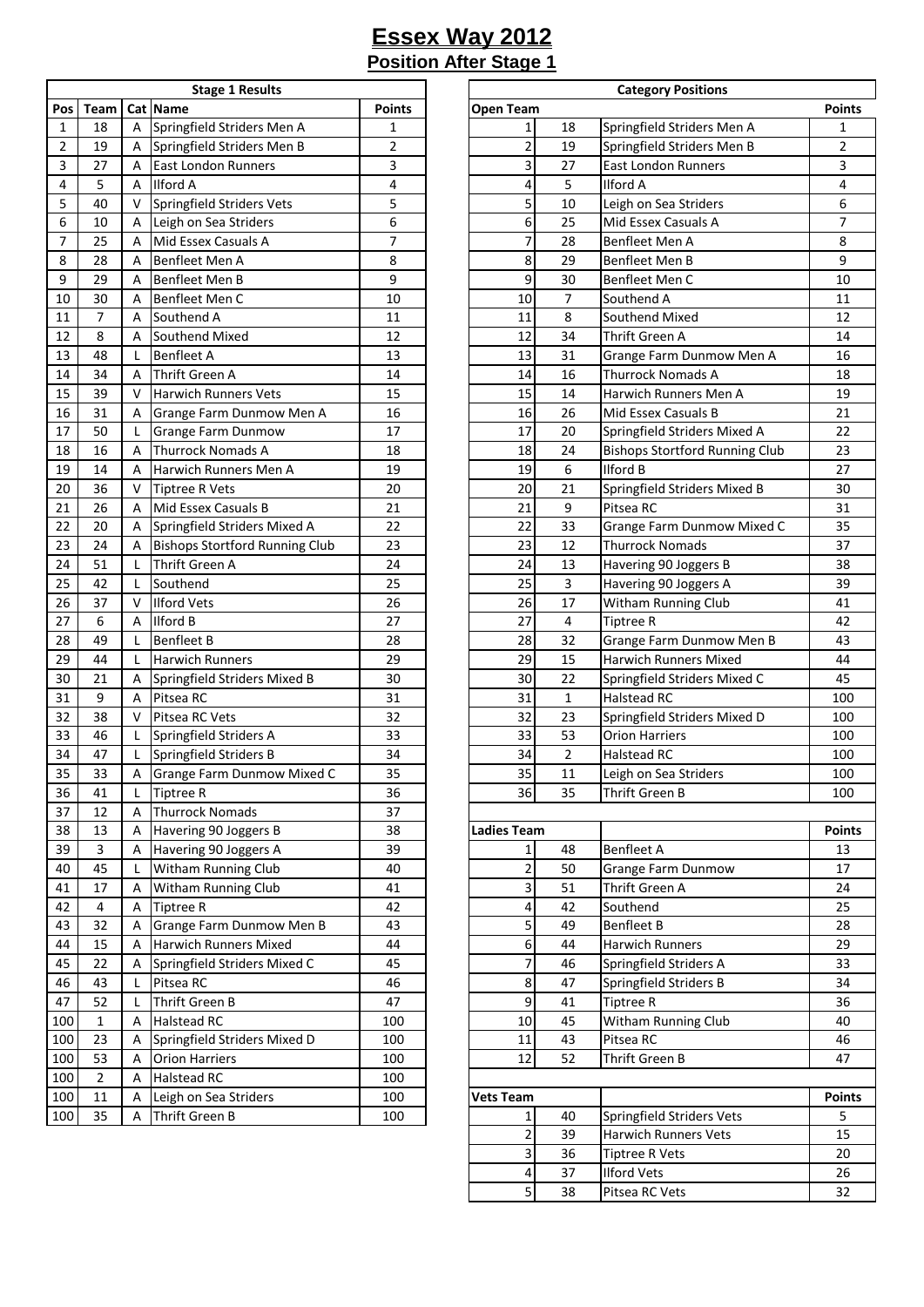| <b>Stage 1 Results</b> |                |   |                                       |               |  |  |  |  |  |  |
|------------------------|----------------|---|---------------------------------------|---------------|--|--|--|--|--|--|
| Pos                    | Team           |   | Cat Name                              | <b>Points</b> |  |  |  |  |  |  |
| 1                      | 18             | А | Springfield Striders Men A            | 1             |  |  |  |  |  |  |
| 2                      | 19             | Α | Springfield Striders Men B            | 2             |  |  |  |  |  |  |
| 3                      | 27             | Α | <b>East London Runners</b>            | 3             |  |  |  |  |  |  |
| 4                      | 5              | Α | Ilford A                              | 4             |  |  |  |  |  |  |
| 5                      | 40             | v | Springfield Striders Vets             | 5             |  |  |  |  |  |  |
| 6                      | 10             | А | Leigh on Sea Striders                 | 6             |  |  |  |  |  |  |
| 7                      | 25             | А | Mid Essex Casuals A                   | 7             |  |  |  |  |  |  |
| 8                      | 28             | А | Benfleet Men A                        | 8             |  |  |  |  |  |  |
| 9                      | 29             | Α | Benfleet Men B                        | 9             |  |  |  |  |  |  |
| 10                     | 30             | А | Benfleet Men C                        | 10            |  |  |  |  |  |  |
| 11                     | 7              | А | Southend A                            | 11            |  |  |  |  |  |  |
| 12                     | 8              | Α | Southend Mixed                        | 12            |  |  |  |  |  |  |
| 13                     | 48             | L | <b>Benfleet A</b>                     | 13            |  |  |  |  |  |  |
| 14                     | 34             | А | Thrift Green A                        | 14            |  |  |  |  |  |  |
| 15                     | 39             | v | <b>Harwich Runners Vets</b>           | 15            |  |  |  |  |  |  |
| 16                     | 31             | Α | Grange Farm Dunmow Men A              | 16            |  |  |  |  |  |  |
| 17                     | 50             | L | Grange Farm Dunmow                    | 17            |  |  |  |  |  |  |
| 18                     | 16             | А | Thurrock Nomads A                     | 18            |  |  |  |  |  |  |
| 19                     | 14             | Α | Harwich Runners Men A                 | 19            |  |  |  |  |  |  |
| 20                     | 36             | v | <b>Tiptree R Vets</b>                 | 20            |  |  |  |  |  |  |
| 21                     | 26             | А | Mid Essex Casuals B                   | 21            |  |  |  |  |  |  |
| 22                     | 20             | А | Springfield Striders Mixed A          | 22            |  |  |  |  |  |  |
| 23                     | 24             | А | <b>Bishops Stortford Running Club</b> | 23            |  |  |  |  |  |  |
| 24                     | 51             | L | Thrift Green A                        | 24            |  |  |  |  |  |  |
| 25                     | 42             | L | Southend                              | 25            |  |  |  |  |  |  |
| 26                     | 37             | V | <b>Ilford Vets</b>                    | 26            |  |  |  |  |  |  |
| 27                     | 6              | Α | Ilford B                              | 27            |  |  |  |  |  |  |
| 28                     | 49             | L | <b>Benfleet B</b>                     | 28            |  |  |  |  |  |  |
| 29                     | 44             | L | <b>Harwich Runners</b>                | 29            |  |  |  |  |  |  |
| 30                     | 21             | Α | Springfield Striders Mixed B          | 30            |  |  |  |  |  |  |
| 31                     | 9              | Α | Pitsea RC                             | 31            |  |  |  |  |  |  |
| 32                     | 38             | v | Pitsea RC Vets                        | 32            |  |  |  |  |  |  |
| 33                     | 46             | L | Springfield Striders A                | 33            |  |  |  |  |  |  |
| 34                     | 47             | L | Springfield Striders B                | 34            |  |  |  |  |  |  |
| 35                     | 33             | А | Grange Farm Dunmow Mixed C            | 35            |  |  |  |  |  |  |
| 36                     | 41             | L | Tiptree R                             | 36            |  |  |  |  |  |  |
| 37                     | 12             | Α | <b>Thurrock Nomads</b>                | 37            |  |  |  |  |  |  |
| 38                     | 13             | А | Havering 90 Joggers B                 | 38            |  |  |  |  |  |  |
| 39                     | 3              | А | Havering 90 Joggers A                 | 39            |  |  |  |  |  |  |
| 40                     | 45             | L | Witham Running Club                   | 40            |  |  |  |  |  |  |
| 41                     | 17             | А | Witham Running Club                   | 41            |  |  |  |  |  |  |
| 42                     | 4              | Α | <b>Tiptree R</b>                      | 42            |  |  |  |  |  |  |
| 43                     | 32             | Α | Grange Farm Dunmow Men B              | 43            |  |  |  |  |  |  |
| 44                     | 15             | А | Harwich Runners Mixed                 | 44            |  |  |  |  |  |  |
| 45                     | 22             | А | Springfield Striders Mixed C          | 45            |  |  |  |  |  |  |
| 46                     | 43             | L | Pitsea RC                             | 46            |  |  |  |  |  |  |
| 47                     | 52             | L | Thrift Green B                        | 47            |  |  |  |  |  |  |
| 100                    | 1              | А | Halstead RC                           | 100           |  |  |  |  |  |  |
| 100                    | 23             | Α | Springfield Striders Mixed D          | 100           |  |  |  |  |  |  |
| 100                    | 53             | Α | <b>Orion Harriers</b>                 | 100           |  |  |  |  |  |  |
| 100                    | $\overline{2}$ | Α | Halstead RC                           | 100           |  |  |  |  |  |  |
| 100                    | 11             | Α | Leigh on Sea Striders                 | 100           |  |  |  |  |  |  |
| 100                    | 35             | Α | Thrift Green B                        | 100           |  |  |  |  |  |  |
|                        |                |   |                                       |               |  |  |  |  |  |  |

|                 |                |   | <b>Stage 1 Results</b>                |                | <b>Category Positions</b> |                |                                       |                |  |  |  |
|-----------------|----------------|---|---------------------------------------|----------------|---------------------------|----------------|---------------------------------------|----------------|--|--|--|
| Pos             | Team           |   | Cat Name                              | <b>Points</b>  | <b>Open Team</b>          |                |                                       | <b>Points</b>  |  |  |  |
| $\mathbf{1}$    | 18             | A | Springfield Striders Men A            | 1              | $\mathbf{1}$              | 18             | Springfield Striders Men A            | 1              |  |  |  |
| $\overline{2}$  | 19             | А | Springfield Striders Men B            | $\overline{2}$ | $\overline{c}$            | 19             | Springfield Striders Men B            | $\overline{2}$ |  |  |  |
| $\overline{3}$  | 27             | Α | <b>East London Runners</b>            | 3              | 3                         | 27             | East London Runners                   | 3              |  |  |  |
| 4               | 5              | A | <b>Ilford A</b>                       | 4              | 4                         | 5              | <b>Ilford A</b>                       | 4              |  |  |  |
| 5               | 40             | v | Springfield Striders Vets             | 5              | 5                         | 10             | Leigh on Sea Striders                 | 6              |  |  |  |
| 6               | 10             | А | Leigh on Sea Striders                 | 6              | 6                         | 25             | Mid Essex Casuals A                   | $\overline{7}$ |  |  |  |
|                 |                |   |                                       |                |                           |                |                                       |                |  |  |  |
| $\overline{7}$  | 25             | Α | Mid Essex Casuals A                   | 7              | 7                         | 28             | Benfleet Men A                        | 8              |  |  |  |
| $\bf 8$         | 28             | A | Benfleet Men A                        | 8              | 8                         | 29             | Benfleet Men B                        | 9              |  |  |  |
| 9               | 29             | A | Benfleet Men B                        | 9              | 9                         | 30             | Benfleet Men C                        | 10             |  |  |  |
| 10              | 30             | A | Benfleet Men C                        | 10             | 10                        | $\overline{7}$ | Southend A                            | 11             |  |  |  |
| $11\,$          | 7              | Α | Southend A                            | 11             | 11                        | 8              | Southend Mixed                        | 12             |  |  |  |
| 12              | 8              | A | Southend Mixed                        | 12             | 12                        | 34             | <b>Thrift Green A</b>                 | 14             |  |  |  |
| 13              | 48             | L | <b>Benfleet A</b>                     | 13             | 13                        | 31             | Grange Farm Dunmow Men A              | 16             |  |  |  |
| $14\,$          | 34             | A | Thrift Green A                        | 14             | 14                        | 16             | <b>Thurrock Nomads A</b>              | 18             |  |  |  |
| 15              | 39             | v | <b>Harwich Runners Vets</b>           | 15             | 15                        | 14             | Harwich Runners Men A                 | 19             |  |  |  |
| 16              | 31             | Α | Grange Farm Dunmow Men A              | 16             | 16                        | 26             | Mid Essex Casuals B                   | 21             |  |  |  |
| 17              | 50             | L | Grange Farm Dunmow                    | 17             | 17                        | 20             | Springfield Striders Mixed A          | 22             |  |  |  |
| 18              | 16             | Α | <b>Thurrock Nomads A</b>              | 18             | 18                        | 24             | <b>Bishops Stortford Running Club</b> | 23             |  |  |  |
| 19              | 14             | Α | Harwich Runners Men A                 | 19             | 19                        | 6              | Ilford B                              | 27             |  |  |  |
| 20              | 36             | v | <b>Tiptree R Vets</b>                 | 20             | 20                        | 21             | Springfield Striders Mixed B          | 30             |  |  |  |
| 21              | 26             | A | Mid Essex Casuals B                   | 21             | 21                        | 9              | Pitsea RC                             | 31             |  |  |  |
|                 | 20             |   |                                       | 22             | 22                        | 33             |                                       |                |  |  |  |
| 22              |                | А | Springfield Striders Mixed A          |                |                           |                | Grange Farm Dunmow Mixed C            | 35             |  |  |  |
| 23              | 24             | Α | <b>Bishops Stortford Running Club</b> | 23             | 23                        | 12             | <b>Thurrock Nomads</b>                | 37             |  |  |  |
| 24              | 51             | L | <b>Thrift Green A</b>                 | 24             | 24                        | 13             | Havering 90 Joggers B                 | 38             |  |  |  |
| 25              | 42             | L | Southend                              | 25             | 25                        | 3              | Havering 90 Joggers A                 | 39             |  |  |  |
| 26              | 37             | v | <b>Ilford Vets</b>                    | 26             | 26                        | 17             | Witham Running Club                   | 41             |  |  |  |
| 27              | 6              | Α | <b>Ilford B</b>                       | 27             | 27                        | 4              | Tiptree R                             | 42             |  |  |  |
| 28              | 49             | L | <b>Benfleet B</b>                     | 28             | 28                        | 32             | Grange Farm Dunmow Men B              | 43             |  |  |  |
| 29              | 44             | L | <b>Harwich Runners</b>                | 29             | 29                        | 15             | Harwich Runners Mixed                 | 44             |  |  |  |
| 30              | 21             | Α | Springfield Striders Mixed B          | 30             | 30                        | 22             | Springfield Striders Mixed C          | 45             |  |  |  |
| 31              | 9              | Α | Pitsea RC                             | 31             | 31                        | $\mathbf{1}$   | <b>Halstead RC</b>                    | 100            |  |  |  |
| $\overline{32}$ | 38             | v | Pitsea RC Vets                        | 32             | 32                        | 23             | Springfield Striders Mixed D          | 100            |  |  |  |
| 33              | 46             | L | Springfield Striders A                | 33             | 33                        | 53             | <b>Orion Harriers</b>                 | 100            |  |  |  |
| 34              | 47             | L | Springfield Striders B                | 34             | 34                        | $\overline{2}$ | Halstead RC                           | 100            |  |  |  |
| 35              | 33             | А | Grange Farm Dunmow Mixed C            | 35             | 35                        | 11             | Leigh on Sea Striders                 | 100            |  |  |  |
| 36              | 41             | L | <b>Tiptree R</b>                      | 36             | 36                        | 35             | Thrift Green B                        | 100            |  |  |  |
| 37              | 12             | Α | <b>Thurrock Nomads</b>                | 37             |                           |                |                                       |                |  |  |  |
| 38              | 13             | Α | Havering 90 Joggers B                 | 38             | <b>Ladies Team</b>        |                |                                       | <b>Points</b>  |  |  |  |
|                 |                |   |                                       |                |                           |                |                                       |                |  |  |  |
| 39              | 3              | Α | Havering 90 Joggers A                 | 39             | $\mathbf{1}$              | 48             | <b>Benfleet A</b>                     | 13             |  |  |  |
| 40              | 45             | L | Witham Running Club                   | 40             | $\overline{a}$            | 50             | <b>Grange Farm Dunmow</b>             | 17             |  |  |  |
| 41              | 17             | Α | Witham Running Club                   | 41             | $\overline{\mathbf{3}}$   | 51             | Thrift Green A                        | 24             |  |  |  |
| 42              | 4              | Α | <b>Tiptree R</b>                      | 42             | 4                         | 42             | Southend                              | 25             |  |  |  |
| 43              | 32             | Α | Grange Farm Dunmow Men B              | 43             | $\overline{5}$            | 49             | <b>Benfleet B</b>                     | 28             |  |  |  |
| 44              | 15             | Α | <b>Harwich Runners Mixed</b>          | 44             | 6                         | 44             | <b>Harwich Runners</b>                | 29             |  |  |  |
| 45              | 22             | Α | Springfield Striders Mixed C          | 45             | 7                         | 46             | Springfield Striders A                | 33             |  |  |  |
| 46              | 43             | L | Pitsea RC                             | 46             | 8                         | 47             | Springfield Striders B                | 34             |  |  |  |
| 47              | 52             | L | Thrift Green B                        | 47             | 9                         | 41             | <b>Tiptree R</b>                      | 36             |  |  |  |
| 100             | $\mathbf{1}$   | A | <b>Halstead RC</b>                    | 100            | 10                        | 45             | Witham Running Club                   | 40             |  |  |  |
| 100             | 23             | A | Springfield Striders Mixed D          | 100            | 11                        | 43             | Pitsea RC                             | 46             |  |  |  |
| 100             | 53             | A | <b>Orion Harriers</b>                 | 100            | 12                        | 52             | Thrift Green B                        | 47             |  |  |  |
| 100             | $\overline{2}$ | Α | <b>Halstead RC</b>                    | 100            |                           |                |                                       |                |  |  |  |
|                 |                |   |                                       | 100            |                           |                |                                       |                |  |  |  |
| 100             | 11             | А | Leigh on Sea Striders                 |                | <b>Vets Team</b>          |                |                                       | <b>Points</b>  |  |  |  |
| 100             | 35             | A | Thrift Green B                        | 100            | 1                         | 40             | Springfield Striders Vets             | 5              |  |  |  |
|                 |                |   |                                       |                | 2                         | 39             | Harwich Runners Vets                  | 15             |  |  |  |
|                 |                |   |                                       |                | 3                         | 36             | <b>Tiptree R Vets</b>                 | 20             |  |  |  |
|                 |                |   |                                       |                | 4                         | 37             | <b>Ilford Vets</b>                    | 26             |  |  |  |
|                 |                |   |                                       |                | 5 <sup>1</sup>            | 38             | Pitsea RC Vets                        | 32             |  |  |  |
|                 |                |   |                                       |                |                           |                |                                       |                |  |  |  |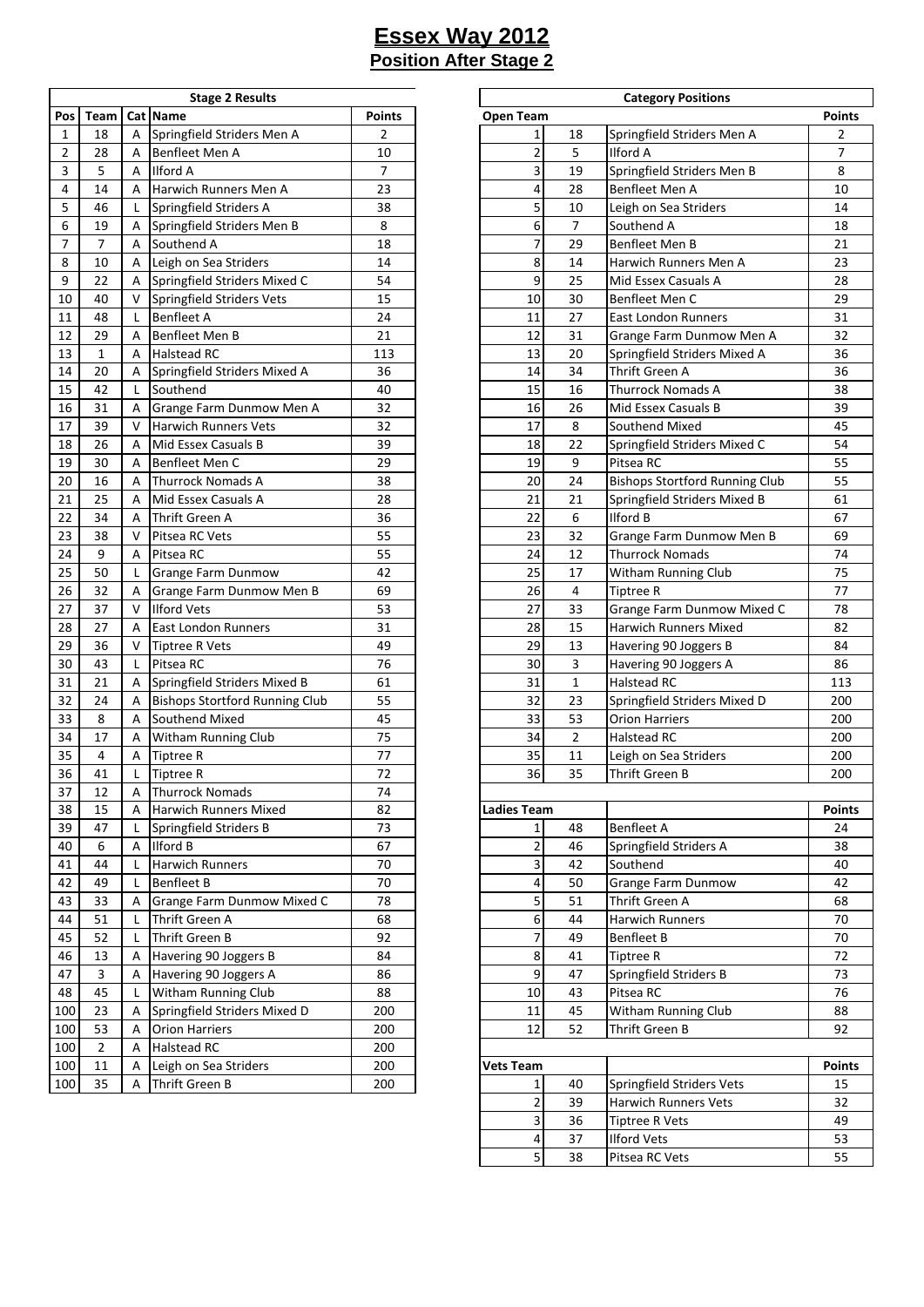| <b>Stage 2 Results</b>  |              |   |                                       |     |  |  |  |  |  |
|-------------------------|--------------|---|---------------------------------------|-----|--|--|--|--|--|
| Cat Name<br>Pos<br>Team |              |   | <b>Points</b>                         |     |  |  |  |  |  |
| 1                       | 18           | Α | Springfield Striders Men A            | 2   |  |  |  |  |  |
| 2                       | 28           | А | Benfleet Men A                        | 10  |  |  |  |  |  |
| 3                       | 5            | А | <b>Ilford A</b>                       | 7   |  |  |  |  |  |
| 4                       | 14           | А | Harwich Runners Men A                 | 23  |  |  |  |  |  |
| 5                       | 46           | L | Springfield Striders A                | 38  |  |  |  |  |  |
| 6                       | 19           | Α | Springfield Striders Men B            | 8   |  |  |  |  |  |
| 7                       | 7            | Α | Southend A                            | 18  |  |  |  |  |  |
| 8                       | 10           | А | Leigh on Sea Striders                 | 14  |  |  |  |  |  |
| 9                       | 22           | А | Springfield Striders Mixed C          | 54  |  |  |  |  |  |
| 10                      | 40           | V | Springfield Striders Vets             | 15  |  |  |  |  |  |
| 11                      | 48           | L | <b>Benfleet A</b>                     | 24  |  |  |  |  |  |
| 12                      | 29           | Α | Benfleet Men B                        | 21  |  |  |  |  |  |
| 13                      | $\mathbf{1}$ | Α | <b>Halstead RC</b>                    | 113 |  |  |  |  |  |
| 14                      | 20           | Α | Springfield Striders Mixed A          | 36  |  |  |  |  |  |
| 15                      | 42           | L | Southend                              | 40  |  |  |  |  |  |
| 16                      | 31           | Α | Grange Farm Dunmow Men A              | 32  |  |  |  |  |  |
| 17                      | 39           | v | <b>Harwich Runners Vets</b>           | 32  |  |  |  |  |  |
| 18                      | 26           | Α | Mid Essex Casuals B                   | 39  |  |  |  |  |  |
| 19                      | 30           | Α | Benfleet Men C                        | 29  |  |  |  |  |  |
| 20                      | 16           | А | <b>Thurrock Nomads A</b>              | 38  |  |  |  |  |  |
| 21                      | 25           | Α | Mid Essex Casuals A                   | 28  |  |  |  |  |  |
| 22                      | 34           | Α | Thrift Green A                        | 36  |  |  |  |  |  |
| 23                      | 38           | v | Pitsea RC Vets                        | 55  |  |  |  |  |  |
| 24                      | 9            | Α | Pitsea RC                             | 55  |  |  |  |  |  |
| 25                      | 50           | L | Grange Farm Dunmow                    | 42  |  |  |  |  |  |
| 26                      | 32           | Α | Grange Farm Dunmow Men B              | 69  |  |  |  |  |  |
| 27                      | 37           | v | <b>Ilford Vets</b>                    | 53  |  |  |  |  |  |
| 28                      | 27           | А | <b>East London Runners</b>            | 31  |  |  |  |  |  |
| 29                      | 36           | v | <b>Tiptree R Vets</b>                 | 49  |  |  |  |  |  |
| 30                      | 43           | L | Pitsea RC                             | 76  |  |  |  |  |  |
| 31                      | 21           | Α | Springfield Striders Mixed B          | 61  |  |  |  |  |  |
| 32                      | 24           | Α | <b>Bishops Stortford Running Club</b> | 55  |  |  |  |  |  |
| 33                      | 8            | Α | Southend Mixed                        | 45  |  |  |  |  |  |
| 34                      | 17           | Α | <b>Witham Running Club</b>            | 75  |  |  |  |  |  |
| 35                      | 4            | А | <b>Tiptree R</b>                      | 77  |  |  |  |  |  |
| 36                      | 41           | L | <b>Tiptree R</b>                      | 72  |  |  |  |  |  |
| 37                      | 12           | А | <b>Thurrock Nomads</b>                | 74  |  |  |  |  |  |
| 38                      | 15           | А | Harwich Runners Mixed                 | 82  |  |  |  |  |  |
| 39                      | 47           | L | Springfield Striders B                | 73  |  |  |  |  |  |
| 40                      | 6            | А | Ilford B                              | 67  |  |  |  |  |  |
| 41                      | 44           | Г | Harwich Runners                       | 70  |  |  |  |  |  |
| 42                      | 49           | L | <b>Benfleet B</b>                     | 70  |  |  |  |  |  |
| 43                      | 33           | А | Grange Farm Dunmow Mixed C            | 78  |  |  |  |  |  |
| 44                      | 51           | L | Thrift Green A                        | 68  |  |  |  |  |  |
| 45                      | 52           | Г | Thrift Green B                        | 92  |  |  |  |  |  |
| 46                      | 13           | А | Havering 90 Joggers B                 | 84  |  |  |  |  |  |
| 47                      | 3            | А | Havering 90 Joggers A                 | 86  |  |  |  |  |  |
| 48                      | 45           | L | Witham Running Club                   | 88  |  |  |  |  |  |
| 100                     | 23           | А | Springfield Striders Mixed D          | 200 |  |  |  |  |  |
| 100                     | 53           | Α | <b>Orion Harriers</b>                 | 200 |  |  |  |  |  |
| 100                     | 2            | А | Halstead RC                           | 200 |  |  |  |  |  |
| 100                     | 11           |   |                                       | 200 |  |  |  |  |  |
|                         |              | А | Leigh on Sea Striders                 |     |  |  |  |  |  |
| 100                     | 35           | А | Thrift Green B                        | 200 |  |  |  |  |  |

|                |                |   | <b>Stage 2 Results</b>                |               | <b>Category Positions</b> |                |                                             |                |  |  |  |  |
|----------------|----------------|---|---------------------------------------|---------------|---------------------------|----------------|---------------------------------------------|----------------|--|--|--|--|
| Pos            | Team           |   | Cat Name                              | <b>Points</b> | <b>Open Team</b>          |                |                                             | <b>Points</b>  |  |  |  |  |
| 1              | 18             | A | Springfield Striders Men A            | 2             | 1                         | 18             | Springfield Striders Men A                  | 2              |  |  |  |  |
| $\overline{2}$ | 28             | A | Benfleet Men A                        | 10            | $\overline{2}$            | 5              | <b>Ilford A</b>                             | $\overline{7}$ |  |  |  |  |
| 3              | 5              | A | <b>Ilford A</b>                       | 7             | 3                         | 19             | Springfield Striders Men B                  | 8              |  |  |  |  |
| 4              | 14             | A | Harwich Runners Men A                 | 23            | 4                         | 28             | Benfleet Men A                              | 10             |  |  |  |  |
| 5              | 46             | L | Springfield Striders A                | 38            | 5                         | 10             | Leigh on Sea Striders                       | 14             |  |  |  |  |
| 6              | 19             | Α | Springfield Striders Men B            | 8             | 6                         | $\overline{7}$ | Southend A                                  | 18             |  |  |  |  |
| $\overline{7}$ | $\overline{7}$ | Α | Southend A                            | 18            | 7                         | 29             | Benfleet Men B                              | 21             |  |  |  |  |
| 8              | 10             | A |                                       | 14            | 8                         | 14             | Harwich Runners Men A                       | 23             |  |  |  |  |
|                | 22             |   | Leigh on Sea Striders                 |               | 9                         |                | Mid Essex Casuals A                         |                |  |  |  |  |
| 9              |                | Α | Springfield Striders Mixed C          | 54            |                           | 25             |                                             | 28             |  |  |  |  |
| 10             | 40             | V | Springfield Striders Vets             | 15            | 10                        | 30             | Benfleet Men C                              | 29             |  |  |  |  |
| 11             | 48             | L | <b>Benfleet A</b>                     | 24            | 11                        | 27             | <b>East London Runners</b>                  | 31             |  |  |  |  |
| 12             | 29             | A | Benfleet Men B                        | 21            | 12                        | 31             | Grange Farm Dunmow Men A                    | 32             |  |  |  |  |
| 13             | $\mathbf{1}$   | A | <b>Halstead RC</b>                    | 113           | 13                        | 20             | Springfield Striders Mixed A                | 36             |  |  |  |  |
| 14             | 20             | A | Springfield Striders Mixed A          | 36            | 14                        | 34             | Thrift Green A                              | 36             |  |  |  |  |
| 15             | 42             | L | Southend                              | 40            | 15                        | 16             | <b>Thurrock Nomads A</b>                    | 38             |  |  |  |  |
| 16             | 31             | Α | Grange Farm Dunmow Men A              | 32            | 16                        | 26             | Mid Essex Casuals B                         | 39             |  |  |  |  |
| 17             | 39             | V | <b>Harwich Runners Vets</b>           | 32            | 17                        | 8              | Southend Mixed                              | 45             |  |  |  |  |
| 18             | 26             | A | Mid Essex Casuals B                   | 39            | 18                        | 22             | Springfield Striders Mixed C                | 54             |  |  |  |  |
| 19             | 30             | Α | Benfleet Men C                        | 29            | 19                        | 9              | Pitsea RC                                   | 55             |  |  |  |  |
| 20             | 16             | A | <b>Thurrock Nomads A</b>              | 38            | 20                        | 24             | <b>Bishops Stortford Running Club</b>       | 55             |  |  |  |  |
| 21             | 25             | A | Mid Essex Casuals A                   | 28            | 21                        | 21             | Springfield Striders Mixed B                | 61             |  |  |  |  |
| 22             | 34             | Α | Thrift Green A                        | 36            | 22                        | 6              | Ilford B                                    | 67             |  |  |  |  |
| 23             | 38             | V | Pitsea RC Vets                        | 55            | 23                        | 32             | Grange Farm Dunmow Men B                    | 69             |  |  |  |  |
| 24             | 9              | A | Pitsea RC                             | 55            | 24                        | 12             | <b>Thurrock Nomads</b>                      | 74             |  |  |  |  |
| 25             | 50             | L | <b>Grange Farm Dunmow</b>             | 42            | 25                        | 17             | Witham Running Club                         | 75             |  |  |  |  |
| 26             | 32             | Α | Grange Farm Dunmow Men B              | 69            | 26                        | 4              | Tiptree R                                   | 77             |  |  |  |  |
| 27             | 37             | V | <b>Ilford Vets</b>                    | 53            | 27                        | 33             | Grange Farm Dunmow Mixed C                  | 78             |  |  |  |  |
| 28             | 27             | A | East London Runners                   | 31            | 28                        | 15             | Harwich Runners Mixed                       | 82             |  |  |  |  |
| 29             | 36             | V | <b>Tiptree R Vets</b>                 | 49            | 29                        | 13             | Havering 90 Joggers B                       | 84             |  |  |  |  |
| 30             | 43             | L | Pitsea RC                             | 76            | 30                        | 3              | Havering 90 Joggers A                       | 86             |  |  |  |  |
| 31             | 21             |   |                                       | 61            | 31                        | $\mathbf{1}$   | Halstead RC                                 | 113            |  |  |  |  |
|                |                | Α | Springfield Striders Mixed B          | 55            | 32                        |                |                                             |                |  |  |  |  |
| 32             | 24             | Α | <b>Bishops Stortford Running Club</b> |               |                           | 23             | Springfield Striders Mixed D                | 200            |  |  |  |  |
| 33             | 8              | A | Southend Mixed                        | 45            | 33                        | 53             | <b>Orion Harriers</b>                       | 200            |  |  |  |  |
| 34             | 17             | Α | Witham Running Club                   | 75            | 34                        | $\overline{2}$ | Halstead RC                                 | 200            |  |  |  |  |
| 35             | 4              | Α | <b>Tiptree R</b>                      | 77            | 35                        | 11             | Leigh on Sea Striders                       | 200            |  |  |  |  |
| 36             | 41             | L | <b>Tiptree R</b>                      | 72            | 36                        | 35             | Thrift Green B                              | 200            |  |  |  |  |
| 37             | 12             | A | <b>Thurrock Nomads</b>                | 74            |                           |                |                                             |                |  |  |  |  |
| 38             | 15             | A | <b>Harwich Runners Mixed</b>          | 82            | <b>Ladies Team</b>        |                |                                             | <b>Points</b>  |  |  |  |  |
| 39             | 47             | L | Springfield Striders B                | 73            | $\mathbf{1}$              | 48             | <b>Benfleet A</b>                           | 24             |  |  |  |  |
| 40             | 6              | Α | <b>Ilford B</b>                       | 67            | 2                         | 46             | Springfield Striders A                      | 38             |  |  |  |  |
| 41             | 44             | L | Harwich Runners                       | 70            | 3                         | 42             | Southend                                    | 40             |  |  |  |  |
| 42             | 49             | L | <b>Benfleet B</b>                     | 70            | 4                         | 50             | Grange Farm Dunmow                          | 42             |  |  |  |  |
| 43             | 33             | Α | Grange Farm Dunmow Mixed C            | 78            | 5                         | 51             | Thrift Green A                              | 68             |  |  |  |  |
| 44             | 51             | L | Thrift Green A                        | 68            | 6                         | 44             | <b>Harwich Runners</b>                      | 70             |  |  |  |  |
| 45             | 52             | L | Thrift Green B                        | 92            | $\boldsymbol{7}$          | 49             | <b>Benfleet B</b>                           | 70             |  |  |  |  |
| 46             | 13             | Α | Havering 90 Joggers B                 | 84            | 8                         | 41             | Tiptree R                                   | 72             |  |  |  |  |
| 47             | 3              | Α | Havering 90 Joggers A                 | 86            | 9                         | 47             | Springfield Striders B                      | 73             |  |  |  |  |
| 48             | 45             | L | Witham Running Club                   | 88            | 10                        | 43             | Pitsea RC                                   | 76             |  |  |  |  |
| 100            | 23             | Α | Springfield Striders Mixed D          | 200           | 11                        | 45             | Witham Running Club                         | 88             |  |  |  |  |
| 100            | 53             | Α | <b>Orion Harriers</b>                 | 200           | 12                        | 52             | Thrift Green B                              | 92             |  |  |  |  |
| 100            | $\overline{2}$ | Α | <b>Halstead RC</b>                    | 200           |                           |                |                                             |                |  |  |  |  |
| 100            | 11             | A | Leigh on Sea Striders                 | 200           | <b>Vets Team</b>          |                |                                             | <b>Points</b>  |  |  |  |  |
| 100            | 35             | A | Thrift Green B                        | 200           | $\mathbf{1}$              | 40             | Springfield Striders Vets                   | 15             |  |  |  |  |
|                |                |   |                                       |               | 2                         | 39             | <b>Harwich Runners Vets</b>                 | 32             |  |  |  |  |
|                |                |   |                                       |               | 3                         | 36             |                                             | 49             |  |  |  |  |
|                |                |   |                                       |               | 4                         | 37             | <b>Tiptree R Vets</b><br><b>Ilford Vets</b> | 53             |  |  |  |  |
|                |                |   |                                       |               |                           |                |                                             |                |  |  |  |  |
|                |                |   |                                       |               | 5                         | 38             | Pitsea RC Vets                              | 55             |  |  |  |  |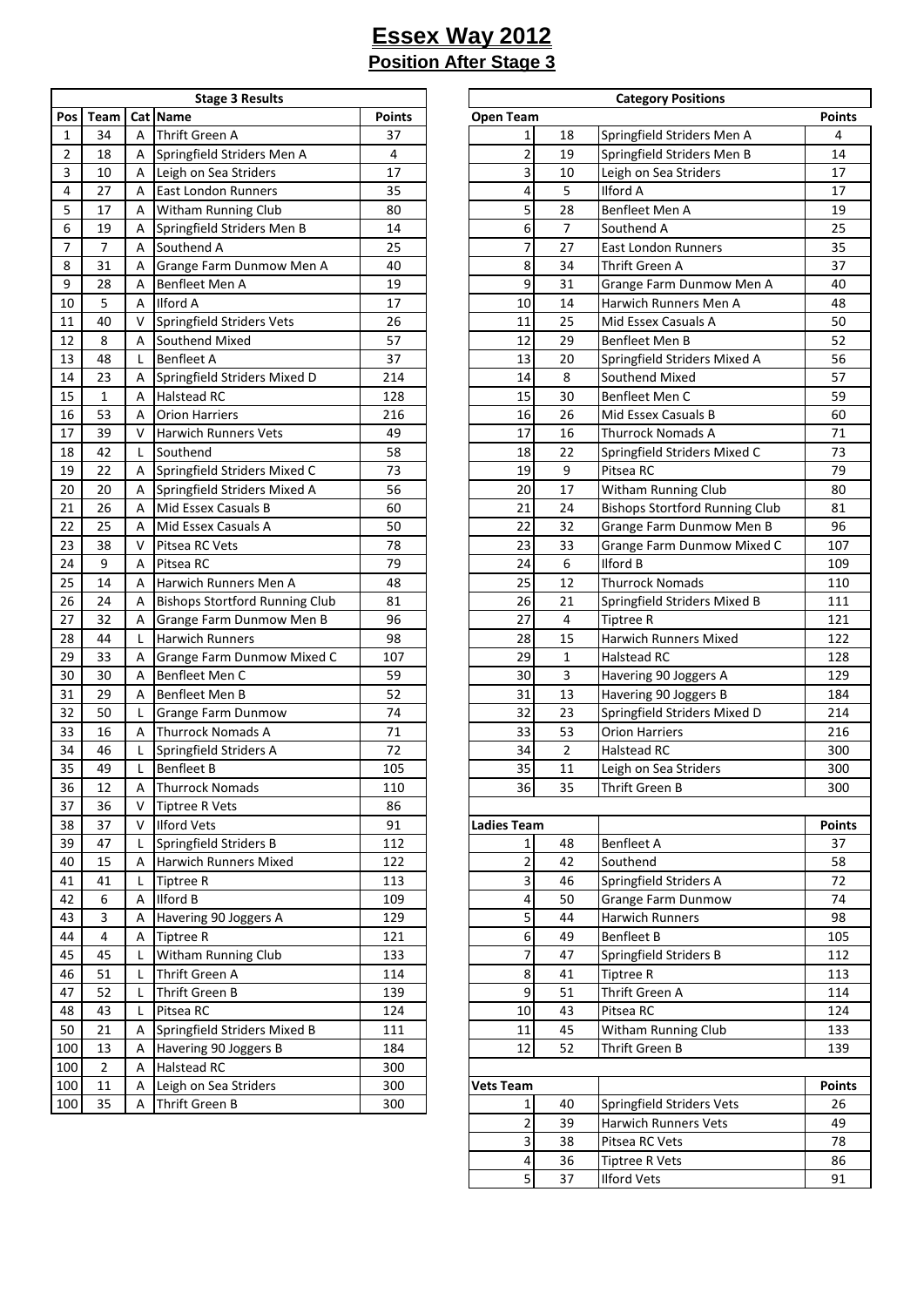| Pos<br>Team<br>Cat   Name<br>Points<br>Thrift Green A<br>34<br>1<br>37<br>A<br>$\overline{2}$<br>Springfield Striders Men A<br>18<br>4<br>Α<br>3<br>10<br>Leigh on Sea Striders<br>17<br>A<br>27<br>4<br><b>East London Runners</b><br>35<br>A<br>5<br>Witham Running Club<br>17<br>80<br>А<br>6<br>Springfield Striders Men B<br>14<br>19<br>А<br>7<br>7<br>Southend A<br>25<br>Α<br>31<br>Grange Farm Dunmow Men A<br>8<br>40<br>А<br>9<br>28<br>Benfleet Men A<br>19<br>А<br><b>Ilford A</b><br>10<br>5<br>17<br>А<br>11<br>40<br>Springfield Striders Vets<br>26<br>V<br>12<br>8<br>Southend Mixed<br>57<br>A<br><b>Benfleet A</b><br>13<br>48<br>37<br>L<br>14<br>23<br>Springfield Striders Mixed D<br>214<br>А<br>15<br>1<br>Halstead RC<br>128<br>A<br>53<br>16<br><b>Orion Harriers</b><br>216<br>А<br>17<br>39<br><b>Harwich Runners Vets</b><br>49<br>v<br>42<br>Southend<br>58<br>18<br>L<br>22<br>19<br>Springfield Striders Mixed C<br>73<br>А<br>20<br>20<br>Springfield Striders Mixed A<br>56<br>А<br>21<br>26<br>Mid Essex Casuals B<br>60<br>A<br>22<br>25<br>Mid Essex Casuals A<br>50<br>А<br>23<br>38<br>Pitsea RC Vets<br>V<br>78<br>24<br>9<br>Pitsea RC<br>79<br>А<br>25<br>14<br>Harwich Runners Men A<br>48<br>A<br>26<br>24<br><b>Bishops Stortford Running Club</b><br>81<br>A<br>27<br>32<br>96<br>Grange Farm Dunmow Men B<br>A<br>28<br>44<br><b>Harwich Runners</b><br>98<br>L<br>29<br>33<br>Grange Farm Dunmow Mixed C<br>107<br>А<br>30<br>30<br>Benfleet Men C<br>59<br>Α<br>31<br>29<br>Benfleet Men B<br>52<br>Α<br>32<br>50<br>Г<br>Grange Farm Dunmow<br>74<br>33<br>71<br>16<br><b>Thurrock Nomads A</b><br>A<br>34<br>72<br>46<br>L<br>Springfield Striders A<br>35<br>49<br>Г<br><b>Benfleet B</b><br>105<br><b>Thurrock Nomads</b><br>36<br>12<br>110<br>А<br>37<br>36<br>٧<br><b>Tiptree R Vets</b><br>86<br>38<br>37<br>V<br><b>Ilford Vets</b><br>91<br>39<br>Springfield Striders B<br>112<br>47<br>L<br>Harwich Runners Mixed<br>122<br>40<br>15<br>А<br><b>Tiptree R</b><br>41<br>41<br>Г<br>113<br><b>Ilford B</b><br>42<br>6<br>А<br>109<br>43<br>3<br>Α<br>Havering 90 Joggers A<br>129<br>44<br>4<br><b>Tiptree R</b><br>121<br>Α<br>45<br>45<br>Witham Running Club<br>133<br>Г<br>51<br>Thrift Green A<br>114<br>46<br>Г<br>52<br>Thrift Green B<br>47<br>Г<br>139<br>Pitsea RC<br>48<br>43<br>Г<br>124<br>50<br>21<br>Springfield Striders Mixed B<br>А<br>111<br>Havering 90 Joggers B<br>184<br>100<br>13<br>Α<br>2<br>Halstead RC<br>100<br>300<br>А<br>Leigh on Sea Striders<br>300<br>100<br>11<br>Α<br>100<br>35<br>Thrift Green B<br>300<br>А | <b>Stage 3 Results</b> |  |  |  |  |  |  |  |  |  |  |
|----------------------------------------------------------------------------------------------------------------------------------------------------------------------------------------------------------------------------------------------------------------------------------------------------------------------------------------------------------------------------------------------------------------------------------------------------------------------------------------------------------------------------------------------------------------------------------------------------------------------------------------------------------------------------------------------------------------------------------------------------------------------------------------------------------------------------------------------------------------------------------------------------------------------------------------------------------------------------------------------------------------------------------------------------------------------------------------------------------------------------------------------------------------------------------------------------------------------------------------------------------------------------------------------------------------------------------------------------------------------------------------------------------------------------------------------------------------------------------------------------------------------------------------------------------------------------------------------------------------------------------------------------------------------------------------------------------------------------------------------------------------------------------------------------------------------------------------------------------------------------------------------------------------------------------------------------------------------------------------------------------------------------------------------------------------------------------------------------------------------------------------------------------------------------------------------------------------------------------------------------------------------------------------------------------------------------------------------------------------------------------------------------------------------------------------------------------------------------------------------------------------------------------------------------------------------------------------------------------------|------------------------|--|--|--|--|--|--|--|--|--|--|
|                                                                                                                                                                                                                                                                                                                                                                                                                                                                                                                                                                                                                                                                                                                                                                                                                                                                                                                                                                                                                                                                                                                                                                                                                                                                                                                                                                                                                                                                                                                                                                                                                                                                                                                                                                                                                                                                                                                                                                                                                                                                                                                                                                                                                                                                                                                                                                                                                                                                                                                                                                                                                |                        |  |  |  |  |  |  |  |  |  |  |
|                                                                                                                                                                                                                                                                                                                                                                                                                                                                                                                                                                                                                                                                                                                                                                                                                                                                                                                                                                                                                                                                                                                                                                                                                                                                                                                                                                                                                                                                                                                                                                                                                                                                                                                                                                                                                                                                                                                                                                                                                                                                                                                                                                                                                                                                                                                                                                                                                                                                                                                                                                                                                |                        |  |  |  |  |  |  |  |  |  |  |
|                                                                                                                                                                                                                                                                                                                                                                                                                                                                                                                                                                                                                                                                                                                                                                                                                                                                                                                                                                                                                                                                                                                                                                                                                                                                                                                                                                                                                                                                                                                                                                                                                                                                                                                                                                                                                                                                                                                                                                                                                                                                                                                                                                                                                                                                                                                                                                                                                                                                                                                                                                                                                |                        |  |  |  |  |  |  |  |  |  |  |
|                                                                                                                                                                                                                                                                                                                                                                                                                                                                                                                                                                                                                                                                                                                                                                                                                                                                                                                                                                                                                                                                                                                                                                                                                                                                                                                                                                                                                                                                                                                                                                                                                                                                                                                                                                                                                                                                                                                                                                                                                                                                                                                                                                                                                                                                                                                                                                                                                                                                                                                                                                                                                |                        |  |  |  |  |  |  |  |  |  |  |
|                                                                                                                                                                                                                                                                                                                                                                                                                                                                                                                                                                                                                                                                                                                                                                                                                                                                                                                                                                                                                                                                                                                                                                                                                                                                                                                                                                                                                                                                                                                                                                                                                                                                                                                                                                                                                                                                                                                                                                                                                                                                                                                                                                                                                                                                                                                                                                                                                                                                                                                                                                                                                |                        |  |  |  |  |  |  |  |  |  |  |
|                                                                                                                                                                                                                                                                                                                                                                                                                                                                                                                                                                                                                                                                                                                                                                                                                                                                                                                                                                                                                                                                                                                                                                                                                                                                                                                                                                                                                                                                                                                                                                                                                                                                                                                                                                                                                                                                                                                                                                                                                                                                                                                                                                                                                                                                                                                                                                                                                                                                                                                                                                                                                |                        |  |  |  |  |  |  |  |  |  |  |
|                                                                                                                                                                                                                                                                                                                                                                                                                                                                                                                                                                                                                                                                                                                                                                                                                                                                                                                                                                                                                                                                                                                                                                                                                                                                                                                                                                                                                                                                                                                                                                                                                                                                                                                                                                                                                                                                                                                                                                                                                                                                                                                                                                                                                                                                                                                                                                                                                                                                                                                                                                                                                |                        |  |  |  |  |  |  |  |  |  |  |
|                                                                                                                                                                                                                                                                                                                                                                                                                                                                                                                                                                                                                                                                                                                                                                                                                                                                                                                                                                                                                                                                                                                                                                                                                                                                                                                                                                                                                                                                                                                                                                                                                                                                                                                                                                                                                                                                                                                                                                                                                                                                                                                                                                                                                                                                                                                                                                                                                                                                                                                                                                                                                |                        |  |  |  |  |  |  |  |  |  |  |
|                                                                                                                                                                                                                                                                                                                                                                                                                                                                                                                                                                                                                                                                                                                                                                                                                                                                                                                                                                                                                                                                                                                                                                                                                                                                                                                                                                                                                                                                                                                                                                                                                                                                                                                                                                                                                                                                                                                                                                                                                                                                                                                                                                                                                                                                                                                                                                                                                                                                                                                                                                                                                |                        |  |  |  |  |  |  |  |  |  |  |
|                                                                                                                                                                                                                                                                                                                                                                                                                                                                                                                                                                                                                                                                                                                                                                                                                                                                                                                                                                                                                                                                                                                                                                                                                                                                                                                                                                                                                                                                                                                                                                                                                                                                                                                                                                                                                                                                                                                                                                                                                                                                                                                                                                                                                                                                                                                                                                                                                                                                                                                                                                                                                |                        |  |  |  |  |  |  |  |  |  |  |
|                                                                                                                                                                                                                                                                                                                                                                                                                                                                                                                                                                                                                                                                                                                                                                                                                                                                                                                                                                                                                                                                                                                                                                                                                                                                                                                                                                                                                                                                                                                                                                                                                                                                                                                                                                                                                                                                                                                                                                                                                                                                                                                                                                                                                                                                                                                                                                                                                                                                                                                                                                                                                |                        |  |  |  |  |  |  |  |  |  |  |
|                                                                                                                                                                                                                                                                                                                                                                                                                                                                                                                                                                                                                                                                                                                                                                                                                                                                                                                                                                                                                                                                                                                                                                                                                                                                                                                                                                                                                                                                                                                                                                                                                                                                                                                                                                                                                                                                                                                                                                                                                                                                                                                                                                                                                                                                                                                                                                                                                                                                                                                                                                                                                |                        |  |  |  |  |  |  |  |  |  |  |
|                                                                                                                                                                                                                                                                                                                                                                                                                                                                                                                                                                                                                                                                                                                                                                                                                                                                                                                                                                                                                                                                                                                                                                                                                                                                                                                                                                                                                                                                                                                                                                                                                                                                                                                                                                                                                                                                                                                                                                                                                                                                                                                                                                                                                                                                                                                                                                                                                                                                                                                                                                                                                |                        |  |  |  |  |  |  |  |  |  |  |
|                                                                                                                                                                                                                                                                                                                                                                                                                                                                                                                                                                                                                                                                                                                                                                                                                                                                                                                                                                                                                                                                                                                                                                                                                                                                                                                                                                                                                                                                                                                                                                                                                                                                                                                                                                                                                                                                                                                                                                                                                                                                                                                                                                                                                                                                                                                                                                                                                                                                                                                                                                                                                |                        |  |  |  |  |  |  |  |  |  |  |
|                                                                                                                                                                                                                                                                                                                                                                                                                                                                                                                                                                                                                                                                                                                                                                                                                                                                                                                                                                                                                                                                                                                                                                                                                                                                                                                                                                                                                                                                                                                                                                                                                                                                                                                                                                                                                                                                                                                                                                                                                                                                                                                                                                                                                                                                                                                                                                                                                                                                                                                                                                                                                |                        |  |  |  |  |  |  |  |  |  |  |
|                                                                                                                                                                                                                                                                                                                                                                                                                                                                                                                                                                                                                                                                                                                                                                                                                                                                                                                                                                                                                                                                                                                                                                                                                                                                                                                                                                                                                                                                                                                                                                                                                                                                                                                                                                                                                                                                                                                                                                                                                                                                                                                                                                                                                                                                                                                                                                                                                                                                                                                                                                                                                |                        |  |  |  |  |  |  |  |  |  |  |
|                                                                                                                                                                                                                                                                                                                                                                                                                                                                                                                                                                                                                                                                                                                                                                                                                                                                                                                                                                                                                                                                                                                                                                                                                                                                                                                                                                                                                                                                                                                                                                                                                                                                                                                                                                                                                                                                                                                                                                                                                                                                                                                                                                                                                                                                                                                                                                                                                                                                                                                                                                                                                |                        |  |  |  |  |  |  |  |  |  |  |
|                                                                                                                                                                                                                                                                                                                                                                                                                                                                                                                                                                                                                                                                                                                                                                                                                                                                                                                                                                                                                                                                                                                                                                                                                                                                                                                                                                                                                                                                                                                                                                                                                                                                                                                                                                                                                                                                                                                                                                                                                                                                                                                                                                                                                                                                                                                                                                                                                                                                                                                                                                                                                |                        |  |  |  |  |  |  |  |  |  |  |
|                                                                                                                                                                                                                                                                                                                                                                                                                                                                                                                                                                                                                                                                                                                                                                                                                                                                                                                                                                                                                                                                                                                                                                                                                                                                                                                                                                                                                                                                                                                                                                                                                                                                                                                                                                                                                                                                                                                                                                                                                                                                                                                                                                                                                                                                                                                                                                                                                                                                                                                                                                                                                |                        |  |  |  |  |  |  |  |  |  |  |
|                                                                                                                                                                                                                                                                                                                                                                                                                                                                                                                                                                                                                                                                                                                                                                                                                                                                                                                                                                                                                                                                                                                                                                                                                                                                                                                                                                                                                                                                                                                                                                                                                                                                                                                                                                                                                                                                                                                                                                                                                                                                                                                                                                                                                                                                                                                                                                                                                                                                                                                                                                                                                |                        |  |  |  |  |  |  |  |  |  |  |
|                                                                                                                                                                                                                                                                                                                                                                                                                                                                                                                                                                                                                                                                                                                                                                                                                                                                                                                                                                                                                                                                                                                                                                                                                                                                                                                                                                                                                                                                                                                                                                                                                                                                                                                                                                                                                                                                                                                                                                                                                                                                                                                                                                                                                                                                                                                                                                                                                                                                                                                                                                                                                |                        |  |  |  |  |  |  |  |  |  |  |
|                                                                                                                                                                                                                                                                                                                                                                                                                                                                                                                                                                                                                                                                                                                                                                                                                                                                                                                                                                                                                                                                                                                                                                                                                                                                                                                                                                                                                                                                                                                                                                                                                                                                                                                                                                                                                                                                                                                                                                                                                                                                                                                                                                                                                                                                                                                                                                                                                                                                                                                                                                                                                |                        |  |  |  |  |  |  |  |  |  |  |
|                                                                                                                                                                                                                                                                                                                                                                                                                                                                                                                                                                                                                                                                                                                                                                                                                                                                                                                                                                                                                                                                                                                                                                                                                                                                                                                                                                                                                                                                                                                                                                                                                                                                                                                                                                                                                                                                                                                                                                                                                                                                                                                                                                                                                                                                                                                                                                                                                                                                                                                                                                                                                |                        |  |  |  |  |  |  |  |  |  |  |
|                                                                                                                                                                                                                                                                                                                                                                                                                                                                                                                                                                                                                                                                                                                                                                                                                                                                                                                                                                                                                                                                                                                                                                                                                                                                                                                                                                                                                                                                                                                                                                                                                                                                                                                                                                                                                                                                                                                                                                                                                                                                                                                                                                                                                                                                                                                                                                                                                                                                                                                                                                                                                |                        |  |  |  |  |  |  |  |  |  |  |
|                                                                                                                                                                                                                                                                                                                                                                                                                                                                                                                                                                                                                                                                                                                                                                                                                                                                                                                                                                                                                                                                                                                                                                                                                                                                                                                                                                                                                                                                                                                                                                                                                                                                                                                                                                                                                                                                                                                                                                                                                                                                                                                                                                                                                                                                                                                                                                                                                                                                                                                                                                                                                |                        |  |  |  |  |  |  |  |  |  |  |
|                                                                                                                                                                                                                                                                                                                                                                                                                                                                                                                                                                                                                                                                                                                                                                                                                                                                                                                                                                                                                                                                                                                                                                                                                                                                                                                                                                                                                                                                                                                                                                                                                                                                                                                                                                                                                                                                                                                                                                                                                                                                                                                                                                                                                                                                                                                                                                                                                                                                                                                                                                                                                |                        |  |  |  |  |  |  |  |  |  |  |
|                                                                                                                                                                                                                                                                                                                                                                                                                                                                                                                                                                                                                                                                                                                                                                                                                                                                                                                                                                                                                                                                                                                                                                                                                                                                                                                                                                                                                                                                                                                                                                                                                                                                                                                                                                                                                                                                                                                                                                                                                                                                                                                                                                                                                                                                                                                                                                                                                                                                                                                                                                                                                |                        |  |  |  |  |  |  |  |  |  |  |
|                                                                                                                                                                                                                                                                                                                                                                                                                                                                                                                                                                                                                                                                                                                                                                                                                                                                                                                                                                                                                                                                                                                                                                                                                                                                                                                                                                                                                                                                                                                                                                                                                                                                                                                                                                                                                                                                                                                                                                                                                                                                                                                                                                                                                                                                                                                                                                                                                                                                                                                                                                                                                |                        |  |  |  |  |  |  |  |  |  |  |
|                                                                                                                                                                                                                                                                                                                                                                                                                                                                                                                                                                                                                                                                                                                                                                                                                                                                                                                                                                                                                                                                                                                                                                                                                                                                                                                                                                                                                                                                                                                                                                                                                                                                                                                                                                                                                                                                                                                                                                                                                                                                                                                                                                                                                                                                                                                                                                                                                                                                                                                                                                                                                |                        |  |  |  |  |  |  |  |  |  |  |
|                                                                                                                                                                                                                                                                                                                                                                                                                                                                                                                                                                                                                                                                                                                                                                                                                                                                                                                                                                                                                                                                                                                                                                                                                                                                                                                                                                                                                                                                                                                                                                                                                                                                                                                                                                                                                                                                                                                                                                                                                                                                                                                                                                                                                                                                                                                                                                                                                                                                                                                                                                                                                |                        |  |  |  |  |  |  |  |  |  |  |
|                                                                                                                                                                                                                                                                                                                                                                                                                                                                                                                                                                                                                                                                                                                                                                                                                                                                                                                                                                                                                                                                                                                                                                                                                                                                                                                                                                                                                                                                                                                                                                                                                                                                                                                                                                                                                                                                                                                                                                                                                                                                                                                                                                                                                                                                                                                                                                                                                                                                                                                                                                                                                |                        |  |  |  |  |  |  |  |  |  |  |
|                                                                                                                                                                                                                                                                                                                                                                                                                                                                                                                                                                                                                                                                                                                                                                                                                                                                                                                                                                                                                                                                                                                                                                                                                                                                                                                                                                                                                                                                                                                                                                                                                                                                                                                                                                                                                                                                                                                                                                                                                                                                                                                                                                                                                                                                                                                                                                                                                                                                                                                                                                                                                |                        |  |  |  |  |  |  |  |  |  |  |
|                                                                                                                                                                                                                                                                                                                                                                                                                                                                                                                                                                                                                                                                                                                                                                                                                                                                                                                                                                                                                                                                                                                                                                                                                                                                                                                                                                                                                                                                                                                                                                                                                                                                                                                                                                                                                                                                                                                                                                                                                                                                                                                                                                                                                                                                                                                                                                                                                                                                                                                                                                                                                |                        |  |  |  |  |  |  |  |  |  |  |
|                                                                                                                                                                                                                                                                                                                                                                                                                                                                                                                                                                                                                                                                                                                                                                                                                                                                                                                                                                                                                                                                                                                                                                                                                                                                                                                                                                                                                                                                                                                                                                                                                                                                                                                                                                                                                                                                                                                                                                                                                                                                                                                                                                                                                                                                                                                                                                                                                                                                                                                                                                                                                |                        |  |  |  |  |  |  |  |  |  |  |
|                                                                                                                                                                                                                                                                                                                                                                                                                                                                                                                                                                                                                                                                                                                                                                                                                                                                                                                                                                                                                                                                                                                                                                                                                                                                                                                                                                                                                                                                                                                                                                                                                                                                                                                                                                                                                                                                                                                                                                                                                                                                                                                                                                                                                                                                                                                                                                                                                                                                                                                                                                                                                |                        |  |  |  |  |  |  |  |  |  |  |
|                                                                                                                                                                                                                                                                                                                                                                                                                                                                                                                                                                                                                                                                                                                                                                                                                                                                                                                                                                                                                                                                                                                                                                                                                                                                                                                                                                                                                                                                                                                                                                                                                                                                                                                                                                                                                                                                                                                                                                                                                                                                                                                                                                                                                                                                                                                                                                                                                                                                                                                                                                                                                |                        |  |  |  |  |  |  |  |  |  |  |
|                                                                                                                                                                                                                                                                                                                                                                                                                                                                                                                                                                                                                                                                                                                                                                                                                                                                                                                                                                                                                                                                                                                                                                                                                                                                                                                                                                                                                                                                                                                                                                                                                                                                                                                                                                                                                                                                                                                                                                                                                                                                                                                                                                                                                                                                                                                                                                                                                                                                                                                                                                                                                |                        |  |  |  |  |  |  |  |  |  |  |
|                                                                                                                                                                                                                                                                                                                                                                                                                                                                                                                                                                                                                                                                                                                                                                                                                                                                                                                                                                                                                                                                                                                                                                                                                                                                                                                                                                                                                                                                                                                                                                                                                                                                                                                                                                                                                                                                                                                                                                                                                                                                                                                                                                                                                                                                                                                                                                                                                                                                                                                                                                                                                |                        |  |  |  |  |  |  |  |  |  |  |
|                                                                                                                                                                                                                                                                                                                                                                                                                                                                                                                                                                                                                                                                                                                                                                                                                                                                                                                                                                                                                                                                                                                                                                                                                                                                                                                                                                                                                                                                                                                                                                                                                                                                                                                                                                                                                                                                                                                                                                                                                                                                                                                                                                                                                                                                                                                                                                                                                                                                                                                                                                                                                |                        |  |  |  |  |  |  |  |  |  |  |
|                                                                                                                                                                                                                                                                                                                                                                                                                                                                                                                                                                                                                                                                                                                                                                                                                                                                                                                                                                                                                                                                                                                                                                                                                                                                                                                                                                                                                                                                                                                                                                                                                                                                                                                                                                                                                                                                                                                                                                                                                                                                                                                                                                                                                                                                                                                                                                                                                                                                                                                                                                                                                |                        |  |  |  |  |  |  |  |  |  |  |
|                                                                                                                                                                                                                                                                                                                                                                                                                                                                                                                                                                                                                                                                                                                                                                                                                                                                                                                                                                                                                                                                                                                                                                                                                                                                                                                                                                                                                                                                                                                                                                                                                                                                                                                                                                                                                                                                                                                                                                                                                                                                                                                                                                                                                                                                                                                                                                                                                                                                                                                                                                                                                |                        |  |  |  |  |  |  |  |  |  |  |
|                                                                                                                                                                                                                                                                                                                                                                                                                                                                                                                                                                                                                                                                                                                                                                                                                                                                                                                                                                                                                                                                                                                                                                                                                                                                                                                                                                                                                                                                                                                                                                                                                                                                                                                                                                                                                                                                                                                                                                                                                                                                                                                                                                                                                                                                                                                                                                                                                                                                                                                                                                                                                |                        |  |  |  |  |  |  |  |  |  |  |
|                                                                                                                                                                                                                                                                                                                                                                                                                                                                                                                                                                                                                                                                                                                                                                                                                                                                                                                                                                                                                                                                                                                                                                                                                                                                                                                                                                                                                                                                                                                                                                                                                                                                                                                                                                                                                                                                                                                                                                                                                                                                                                                                                                                                                                                                                                                                                                                                                                                                                                                                                                                                                |                        |  |  |  |  |  |  |  |  |  |  |
|                                                                                                                                                                                                                                                                                                                                                                                                                                                                                                                                                                                                                                                                                                                                                                                                                                                                                                                                                                                                                                                                                                                                                                                                                                                                                                                                                                                                                                                                                                                                                                                                                                                                                                                                                                                                                                                                                                                                                                                                                                                                                                                                                                                                                                                                                                                                                                                                                                                                                                                                                                                                                |                        |  |  |  |  |  |  |  |  |  |  |
|                                                                                                                                                                                                                                                                                                                                                                                                                                                                                                                                                                                                                                                                                                                                                                                                                                                                                                                                                                                                                                                                                                                                                                                                                                                                                                                                                                                                                                                                                                                                                                                                                                                                                                                                                                                                                                                                                                                                                                                                                                                                                                                                                                                                                                                                                                                                                                                                                                                                                                                                                                                                                |                        |  |  |  |  |  |  |  |  |  |  |
|                                                                                                                                                                                                                                                                                                                                                                                                                                                                                                                                                                                                                                                                                                                                                                                                                                                                                                                                                                                                                                                                                                                                                                                                                                                                                                                                                                                                                                                                                                                                                                                                                                                                                                                                                                                                                                                                                                                                                                                                                                                                                                                                                                                                                                                                                                                                                                                                                                                                                                                                                                                                                |                        |  |  |  |  |  |  |  |  |  |  |
|                                                                                                                                                                                                                                                                                                                                                                                                                                                                                                                                                                                                                                                                                                                                                                                                                                                                                                                                                                                                                                                                                                                                                                                                                                                                                                                                                                                                                                                                                                                                                                                                                                                                                                                                                                                                                                                                                                                                                                                                                                                                                                                                                                                                                                                                                                                                                                                                                                                                                                                                                                                                                |                        |  |  |  |  |  |  |  |  |  |  |
|                                                                                                                                                                                                                                                                                                                                                                                                                                                                                                                                                                                                                                                                                                                                                                                                                                                                                                                                                                                                                                                                                                                                                                                                                                                                                                                                                                                                                                                                                                                                                                                                                                                                                                                                                                                                                                                                                                                                                                                                                                                                                                                                                                                                                                                                                                                                                                                                                                                                                                                                                                                                                |                        |  |  |  |  |  |  |  |  |  |  |
|                                                                                                                                                                                                                                                                                                                                                                                                                                                                                                                                                                                                                                                                                                                                                                                                                                                                                                                                                                                                                                                                                                                                                                                                                                                                                                                                                                                                                                                                                                                                                                                                                                                                                                                                                                                                                                                                                                                                                                                                                                                                                                                                                                                                                                                                                                                                                                                                                                                                                                                                                                                                                |                        |  |  |  |  |  |  |  |  |  |  |
|                                                                                                                                                                                                                                                                                                                                                                                                                                                                                                                                                                                                                                                                                                                                                                                                                                                                                                                                                                                                                                                                                                                                                                                                                                                                                                                                                                                                                                                                                                                                                                                                                                                                                                                                                                                                                                                                                                                                                                                                                                                                                                                                                                                                                                                                                                                                                                                                                                                                                                                                                                                                                |                        |  |  |  |  |  |  |  |  |  |  |
|                                                                                                                                                                                                                                                                                                                                                                                                                                                                                                                                                                                                                                                                                                                                                                                                                                                                                                                                                                                                                                                                                                                                                                                                                                                                                                                                                                                                                                                                                                                                                                                                                                                                                                                                                                                                                                                                                                                                                                                                                                                                                                                                                                                                                                                                                                                                                                                                                                                                                                                                                                                                                |                        |  |  |  |  |  |  |  |  |  |  |
|                                                                                                                                                                                                                                                                                                                                                                                                                                                                                                                                                                                                                                                                                                                                                                                                                                                                                                                                                                                                                                                                                                                                                                                                                                                                                                                                                                                                                                                                                                                                                                                                                                                                                                                                                                                                                                                                                                                                                                                                                                                                                                                                                                                                                                                                                                                                                                                                                                                                                                                                                                                                                |                        |  |  |  |  |  |  |  |  |  |  |
|                                                                                                                                                                                                                                                                                                                                                                                                                                                                                                                                                                                                                                                                                                                                                                                                                                                                                                                                                                                                                                                                                                                                                                                                                                                                                                                                                                                                                                                                                                                                                                                                                                                                                                                                                                                                                                                                                                                                                                                                                                                                                                                                                                                                                                                                                                                                                                                                                                                                                                                                                                                                                |                        |  |  |  |  |  |  |  |  |  |  |
|                                                                                                                                                                                                                                                                                                                                                                                                                                                                                                                                                                                                                                                                                                                                                                                                                                                                                                                                                                                                                                                                                                                                                                                                                                                                                                                                                                                                                                                                                                                                                                                                                                                                                                                                                                                                                                                                                                                                                                                                                                                                                                                                                                                                                                                                                                                                                                                                                                                                                                                                                                                                                |                        |  |  |  |  |  |  |  |  |  |  |

|                 |                |             | <b>Stage 3 Results</b>                |               | <b>Category Positions</b> |                         |                                       |               |  |  |  |
|-----------------|----------------|-------------|---------------------------------------|---------------|---------------------------|-------------------------|---------------------------------------|---------------|--|--|--|
| Pos             | Team           |             | Cat Name                              | <b>Points</b> | <b>Open Team</b>          |                         |                                       | <b>Points</b> |  |  |  |
| $\mathbf{1}$    | 34             | A           | <b>Thrift Green A</b>                 | 37            | 1                         | 18                      | Springfield Striders Men A            | 4             |  |  |  |
| 2               | 18             | A           | Springfield Striders Men A            | 4             | $\overline{a}$            | 19                      | Springfield Striders Men B            | 14            |  |  |  |
| 3               | 10             | A           | Leigh on Sea Striders                 | 17            | $\overline{\mathbf{3}}$   | 10                      | Leigh on Sea Striders                 | 17            |  |  |  |
| 4               | 27             | A           | <b>East London Runners</b>            | 35            | 4                         | 5                       | <b>Ilford A</b>                       | 17            |  |  |  |
| 5               | 17             | A           | <b>Witham Running Club</b>            | 80            | 5                         | 28                      | Benfleet Men A                        | 19            |  |  |  |
| 6               | 19             | Α           |                                       | 14            | 6                         | $\overline{7}$          | Southend A                            | 25            |  |  |  |
|                 |                |             | Springfield Striders Men B            |               |                           |                         |                                       |               |  |  |  |
| 7               | $\overline{7}$ | A           | Southend A                            | 25            | 7                         | 27                      | East London Runners                   | 35            |  |  |  |
| 8               | 31             | A           | Grange Farm Dunmow Men A              | 40            | 8                         | 34                      | Thrift Green A                        | 37            |  |  |  |
| 9               | 28             | A           | Benfleet Men A                        | 19            | 9                         | 31                      | Grange Farm Dunmow Men A              | 40            |  |  |  |
| 10              | 5              | A           | <b>Ilford A</b>                       | 17            | 10                        | 14                      | Harwich Runners Men A                 | 48            |  |  |  |
| 11              | 40             | v           | <b>Springfield Striders Vets</b>      | 26            | 11                        | 25                      | Mid Essex Casuals A                   | 50            |  |  |  |
| 12              | 8              | A           | Southend Mixed                        | 57            | 12                        | 29                      | Benfleet Men B                        | 52            |  |  |  |
| 13              | 48             | L           | <b>Benfleet A</b>                     | 37            | 13                        | 20                      | Springfield Striders Mixed A          | 56            |  |  |  |
| 14              | 23             | A           | Springfield Striders Mixed D          | 214           | 14                        | 8                       | Southend Mixed                        | 57            |  |  |  |
| 15              | $\mathbf{1}$   | A           | <b>Halstead RC</b>                    | 128           | 15                        | 30                      | Benfleet Men C                        | 59            |  |  |  |
| 16              | 53             | A           | <b>Orion Harriers</b>                 | 216           | 16                        | 26                      | Mid Essex Casuals B                   | 60            |  |  |  |
| 17              | 39             | v           | <b>Harwich Runners Vets</b>           | 49            | 17                        | 16                      | <b>Thurrock Nomads A</b>              | 71            |  |  |  |
| 18              | 42             | L           | Southend                              | 58            | 18                        | 22                      | Springfield Striders Mixed C          | 73            |  |  |  |
| 19              | 22             | A           | Springfield Striders Mixed C          | 73            | 19                        | $\boldsymbol{9}$        | Pitsea RC                             | 79            |  |  |  |
| 20              | 20             | Α           | Springfield Striders Mixed A          | 56            | 20                        | 17                      | Witham Running Club                   | 80            |  |  |  |
| 21              | 26             | A           | Mid Essex Casuals B                   | 60            | 21                        | 24                      | <b>Bishops Stortford Running Club</b> | 81            |  |  |  |
|                 |                |             |                                       |               |                           |                         |                                       |               |  |  |  |
| 22              | 25             | A           | Mid Essex Casuals A                   | 50            | 22                        | 32                      | Grange Farm Dunmow Men B              | 96            |  |  |  |
| 23              | 38             | v           | Pitsea RC Vets                        | 78            | 23                        | 33                      | Grange Farm Dunmow Mixed C            | 107           |  |  |  |
| 24              | 9              | A           | Pitsea RC                             | 79            | 24                        | 6                       | <b>Ilford B</b>                       | 109           |  |  |  |
| 25              | 14             | A           | Harwich Runners Men A                 | 48            | 25                        | 12                      | <b>Thurrock Nomads</b>                | 110           |  |  |  |
| 26              | 24             | A           | <b>Bishops Stortford Running Club</b> | 81            | 26                        | 21                      | Springfield Striders Mixed B          | 111           |  |  |  |
| 27              | 32             | A           | Grange Farm Dunmow Men B              | 96            | 27                        | 4                       | <b>Tiptree R</b>                      | 121           |  |  |  |
| 28              | 44             | L           | <b>Harwich Runners</b>                | 98            | 28                        | 15                      | <b>Harwich Runners Mixed</b>          | 122           |  |  |  |
| 29              | 33             | A           | Grange Farm Dunmow Mixed C            | 107           | 29                        | $\mathbf{1}$            | <b>Halstead RC</b>                    | 128           |  |  |  |
| 30              | 30             | A           | Benfleet Men C                        | 59            | 30                        | $\overline{\mathbf{3}}$ | Havering 90 Joggers A                 | 129           |  |  |  |
| 31              | 29             | A           | Benfleet Men B                        | 52            | 31                        | 13                      | Havering 90 Joggers B                 | 184           |  |  |  |
| 32              | 50             |             | <b>Grange Farm Dunmow</b>             | 74            | 32                        | 23                      | Springfield Striders Mixed D          | 214           |  |  |  |
| 33              | 16             | A           | <b>Thurrock Nomads A</b>              | 71            | 33                        | 53                      | <b>Orion Harriers</b>                 | 216           |  |  |  |
| 34              | 46             |             | Springfield Striders A                | 72            | 34                        | $\overline{2}$          | <b>Halstead RC</b>                    | 300           |  |  |  |
| 35              | 49             | L           | <b>Benfleet B</b>                     | 105           | 35                        | 11                      |                                       | 300           |  |  |  |
|                 |                |             | <b>Thurrock Nomads</b>                |               |                           |                         | Leigh on Sea Striders                 |               |  |  |  |
| $\overline{36}$ | $12\,$         | $\mathsf A$ |                                       | 110           | 36                        | 35                      | Thrift Green B                        | 300           |  |  |  |
| 37              | 36             | V           | <b>Tiptree R Vets</b>                 | 86            |                           |                         |                                       |               |  |  |  |
| 38              | 37             | V           | <b>Ilford Vets</b>                    | 91            | <b>Ladies Team</b>        |                         |                                       | <b>Points</b> |  |  |  |
| 39              | 47             |             | Springfield Striders B                | 112           | $\mathbf{1}$              | 48                      | <b>Benfleet A</b>                     | 37            |  |  |  |
| 40              | 15             | A           | Harwich Runners Mixed                 | 122           | $\mathbf{2}$              | 42                      | Southend                              | 58            |  |  |  |
| 41              | 41             |             | Tiptree R                             | 113           | $\overline{\mathbf{3}}$   | 46                      | Springfield Striders A                | 72            |  |  |  |
| 42              | 6              | A           | <b>Ilford B</b>                       | 109           | 4                         | 50                      | <b>Grange Farm Dunmow</b>             | 74            |  |  |  |
| 43              | 3              | Α           | Havering 90 Joggers A                 | 129           | $\overline{5}$            | 44                      | Harwich Runners                       | 98            |  |  |  |
| 44              | 4              | A           | <b>Tiptree R</b>                      | 121           | 6                         | 49                      | <b>Benfleet B</b>                     | 105           |  |  |  |
| 45              | 45             |             | Witham Running Club                   | 133           | $\overline{7}$            | 47                      | Springfield Striders B                | 112           |  |  |  |
| 46              | 51             |             | Thrift Green A                        | 114           | 8 <sup>1</sup>            | 41                      | <b>Tiptree R</b>                      | 113           |  |  |  |
| 47              | 52             | L           | Thrift Green B                        | 139           | $\overline{9}$            | 51                      | Thrift Green A                        | 114           |  |  |  |
|                 |                |             |                                       |               | 10                        | 43                      |                                       |               |  |  |  |
| 48              | 43             |             | Pitsea RC                             | 124           |                           |                         | Pitsea RC                             | 124           |  |  |  |
| 50              | 21             | A           | Springfield Striders Mixed B          | 111           | 11                        | 45                      | Witham Running Club                   | 133           |  |  |  |
| 100             | 13             | A           | Havering 90 Joggers B                 | 184           | 12                        | 52                      | Thrift Green B                        | 139           |  |  |  |
| 100             | $\overline{2}$ | Α           | <b>Halstead RC</b>                    | 300           |                           |                         |                                       |               |  |  |  |
| 100             | 11             | A           | Leigh on Sea Striders                 | 300           | <b>Vets Team</b>          |                         |                                       | <b>Points</b> |  |  |  |
| 100             | 35             | A           | Thrift Green B                        | 300           | $\mathbf{1}$              | 40                      | Springfield Striders Vets             | 26            |  |  |  |
|                 |                |             |                                       |               | $\overline{2}$            | 39                      | Harwich Runners Vets                  | 49            |  |  |  |
|                 |                |             |                                       |               | $\overline{\mathbf{3}}$   | 38                      | Pitsea RC Vets                        | 78            |  |  |  |
|                 |                |             |                                       |               | 4                         | 36                      | <b>Tiptree R Vets</b>                 | 86            |  |  |  |
|                 |                |             |                                       |               | $\mathsf{5}$              | 37                      | <b>Ilford Vets</b>                    | 91            |  |  |  |
|                 |                |             |                                       |               |                           |                         |                                       |               |  |  |  |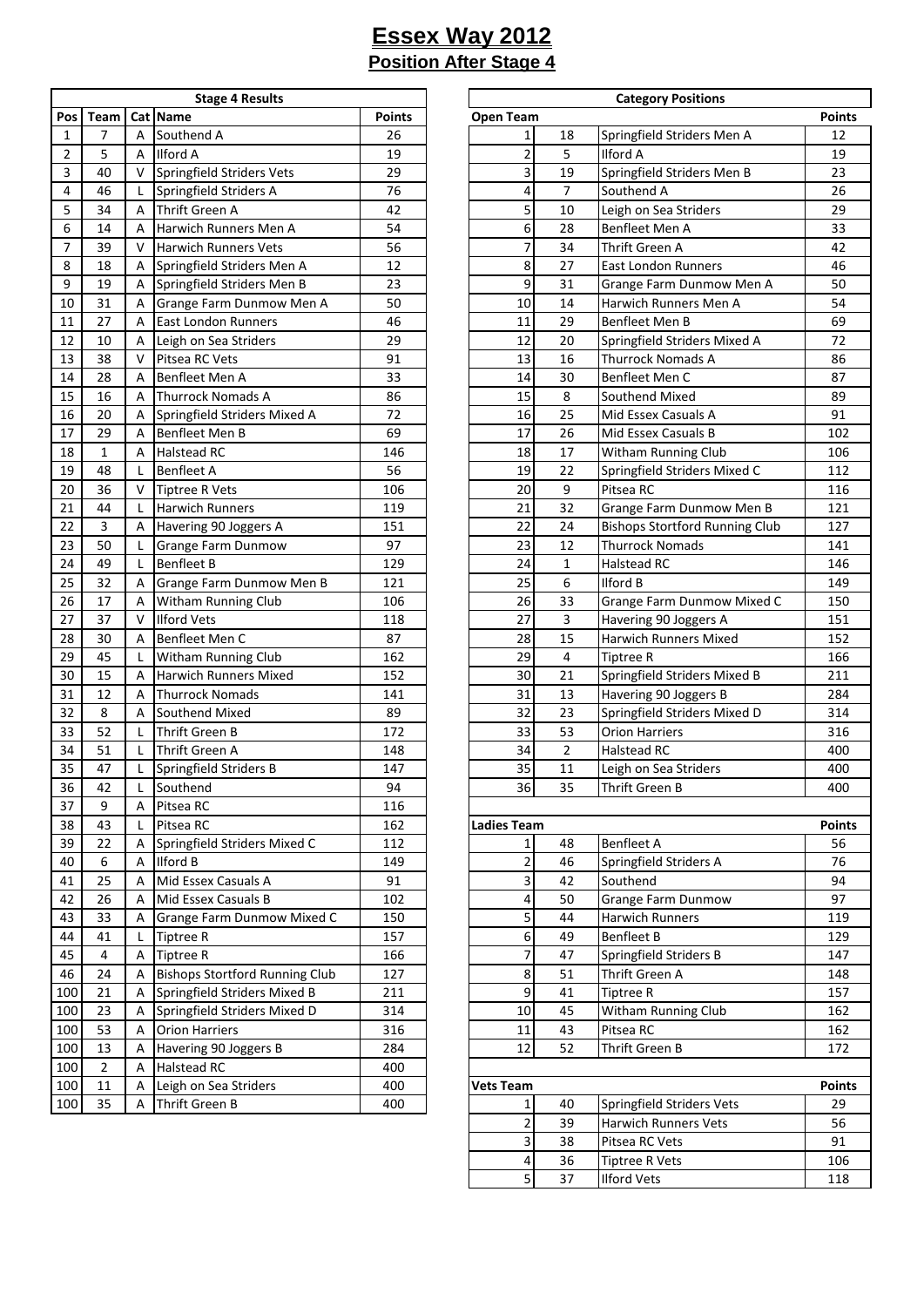| <b>Stage 4 Results</b> |      |   |                                       |               |  |  |  |  |  |
|------------------------|------|---|---------------------------------------|---------------|--|--|--|--|--|
| Pos                    | Team |   | Cat Name                              | <b>Points</b> |  |  |  |  |  |
| 1                      | 7    | А | Southend A                            | 26            |  |  |  |  |  |
| 2                      | 5    | Α | <b>Ilford A</b>                       | 19            |  |  |  |  |  |
| 3                      | 40   | v | Springfield Striders Vets             | 29            |  |  |  |  |  |
| 4                      | 46   | Г | Springfield Striders A                | 76            |  |  |  |  |  |
| 5                      | 34   | Α | Thrift Green A                        | 42            |  |  |  |  |  |
| 6                      | 14   | Α | Harwich Runners Men A                 | 54            |  |  |  |  |  |
| 7                      | 39   | v | <b>Harwich Runners Vets</b>           | 56            |  |  |  |  |  |
| 8                      | 18   | А | Springfield Striders Men A            | 12            |  |  |  |  |  |
| 9                      | 19   | А | Springfield Striders Men B            | 23            |  |  |  |  |  |
| 10                     | 31   | А | Grange Farm Dunmow Men A              | 50            |  |  |  |  |  |
| 11                     | 27   | А | East London Runners                   | 46            |  |  |  |  |  |
| 12                     | 10   | Α | Leigh on Sea Striders                 | 29            |  |  |  |  |  |
| 13                     | 38   | v | Pitsea RC Vets                        | 91            |  |  |  |  |  |
| 14                     | 28   | Α | Benfleet Men A                        | 33            |  |  |  |  |  |
| 15                     | 16   | А | <b>Thurrock Nomads A</b>              | 86            |  |  |  |  |  |
| 16                     | 20   | А | Springfield Striders Mixed A          | 72            |  |  |  |  |  |
| 17                     | 29   | Α | Benfleet Men B                        | 69            |  |  |  |  |  |
| 18                     | 1    | Α | <b>Halstead RC</b>                    | 146           |  |  |  |  |  |
| 19                     | 48   | Г | <b>Benfleet A</b>                     | 56            |  |  |  |  |  |
| 20                     | 36   | V | <b>Tiptree R Vets</b>                 | 106           |  |  |  |  |  |
| 21                     | 44   | Г | Harwich Runners                       | 119           |  |  |  |  |  |
| 22                     | 3    | А | Havering 90 Joggers A                 | 151           |  |  |  |  |  |
| 23                     | 50   | Г | Grange Farm Dunmow                    | 97            |  |  |  |  |  |
| 24                     | 49   | Г | <b>Benfleet B</b>                     | 129           |  |  |  |  |  |
| 25                     | 32   | Α | Grange Farm Dunmow Men B              | 121           |  |  |  |  |  |
| 26                     | 17   | Α | Witham Running Club                   | 106           |  |  |  |  |  |
| 27                     | 37   | v | <b>Ilford Vets</b>                    | 118           |  |  |  |  |  |
| 28                     | 30   | Α | Benfleet Men C                        | 87            |  |  |  |  |  |
| 29                     | 45   | Г | Witham Running Club                   | 162           |  |  |  |  |  |
| 30                     | 15   | Α | Harwich Runners Mixed                 | 152           |  |  |  |  |  |
| 31                     | 12   | Α | <b>Thurrock Nomads</b>                | 141           |  |  |  |  |  |
| 32                     | 8    | Α | Southend Mixed                        | 89            |  |  |  |  |  |
| 33                     | 52   | Г | Thrift Green B                        | 172           |  |  |  |  |  |
| 34                     | 51   | Г | Thrift Green A                        | 148           |  |  |  |  |  |
| 35                     | 47   | Г | Springfield Striders B                | 147           |  |  |  |  |  |
| 36                     | 42   | L | Southend                              | 94            |  |  |  |  |  |
| 37                     | 9    | А | Pitsea RC                             | 116           |  |  |  |  |  |
| 38                     | 43   | L | Pitsea RC                             | 162           |  |  |  |  |  |
| 39                     | 22   | А | Springfield Striders Mixed C          | 112           |  |  |  |  |  |
| 40                     | 6    | А | <b>Ilford B</b>                       | 149           |  |  |  |  |  |
| 41                     | 25   | А | Mid Essex Casuals A                   | 91            |  |  |  |  |  |
| 42                     | 26   | А | Mid Essex Casuals B                   | 102           |  |  |  |  |  |
| 43                     | 33   | А | Grange Farm Dunmow Mixed C            | 150           |  |  |  |  |  |
| 44                     | 41   | Г | <b>Tiptree R</b>                      | 157           |  |  |  |  |  |
| 45                     | 4    | А | <b>Tiptree R</b>                      | 166           |  |  |  |  |  |
| 46                     | 24   | А | <b>Bishops Stortford Running Club</b> | 127           |  |  |  |  |  |
| 100                    | 21   | А | Springfield Striders Mixed B          | 211           |  |  |  |  |  |
| 100                    | 23   | А | Springfield Striders Mixed D          | 314           |  |  |  |  |  |
| 100                    | 53   | Α | <b>Orion Harriers</b>                 | 316           |  |  |  |  |  |
| 100                    | 13   | А | Havering 90 Joggers B                 | 284           |  |  |  |  |  |
| 100                    | 2    | А | Halstead RC                           | 400           |  |  |  |  |  |
| 100                    | 11   | Α | Leigh on Sea Striders                 | 400           |  |  |  |  |  |
| 100                    | 35   | А | Thrift Green B                        | 400           |  |  |  |  |  |
|                        |      |   |                                       |               |  |  |  |  |  |

|                |                |              | <b>Stage 4 Results</b>                |               |                    |                | <b>Category Positions</b>             |               |
|----------------|----------------|--------------|---------------------------------------|---------------|--------------------|----------------|---------------------------------------|---------------|
| Pos            | Team           |              | Cat Name                              | <b>Points</b> | <b>Open Team</b>   |                |                                       | <b>Points</b> |
| $\mathbf{1}$   | $\overline{7}$ | A            | Southend A                            | 26            | $\mathbf 1$        | 18             | Springfield Striders Men A            | 12            |
| $\overline{2}$ | 5              | A            | <b>Ilford A</b>                       | 19            | $\overline{c}$     | 5              | <b>Ilford A</b>                       | 19            |
| 3              | 40             | $\vee$       | Springfield Striders Vets             | 29            | 3                  | 19             | Springfield Striders Men B            | 23            |
| 4              | 46             | L            | Springfield Striders A                | 76            | 4                  | $\overline{7}$ | Southend A                            | 26            |
| 5              | 34             | A            | Thrift Green A                        | 42            | 5                  | 10             | Leigh on Sea Striders                 | 29            |
| 6              | 14             | A            | Harwich Runners Men A                 | 54            | 6                  | 28             | Benfleet Men A                        | 33            |
| $\overline{7}$ | 39             | $\vee$       | <b>Harwich Runners Vets</b>           | 56            | 7                  | 34             | Thrift Green A                        | 42            |
| 8              | 18             | A            | Springfield Striders Men A            | 12            | 8                  | 27             | <b>East London Runners</b>            | 46            |
| 9              | 19             | A            | Springfield Striders Men B            | 23            | 9                  | 31             |                                       | 50            |
|                |                |              |                                       |               |                    |                | Grange Farm Dunmow Men A              | 54            |
| 10             | 31             | A            | Grange Farm Dunmow Men A              | 50            | 10                 | 14             | Harwich Runners Men A                 |               |
| 11             | 27             | A            | East London Runners                   | 46            | 11                 | 29             | Benfleet Men B                        | 69            |
| 12             | 10             | A            | Leigh on Sea Striders                 | 29            | 12                 | 20             | Springfield Striders Mixed A          | 72            |
| 13             | 38             | V            | Pitsea RC Vets                        | 91            | 13                 | 16             | <b>Thurrock Nomads A</b>              | 86            |
| 14             | 28             | A            | Benfleet Men A                        | 33            | 14                 | 30             | Benfleet Men C                        | 87            |
| 15             | 16             | A            | Thurrock Nomads A                     | 86            | 15                 | 8              | Southend Mixed                        | 89            |
| 16             | 20             | A            | Springfield Striders Mixed A          | 72            | 16                 | 25             | Mid Essex Casuals A                   | 91            |
| 17             | 29             | A            | Benfleet Men B                        | 69            | 17                 | 26             | Mid Essex Casuals B                   | 102           |
| 18             | $\mathbf{1}$   | A            | <b>Halstead RC</b>                    | 146           | 18                 | 17             | Witham Running Club                   | 106           |
| 19             | 48             |              | Benfleet A                            | 56            | 19                 | 22             | Springfield Striders Mixed C          | 112           |
| 20             | 36             | V            | <b>Tiptree R Vets</b>                 | 106           | 20                 | 9              | Pitsea RC                             | 116           |
| 21             | 44             | L            | <b>Harwich Runners</b>                | 119           | 21                 | 32             | Grange Farm Dunmow Men B              | 121           |
| 22             | 3              | A            | Havering 90 Joggers A                 | 151           | 22                 | 24             | <b>Bishops Stortford Running Club</b> | 127           |
| 23             | 50             | L            | <b>Grange Farm Dunmow</b>             | 97            | 23                 | 12             | <b>Thurrock Nomads</b>                | 141           |
| 24             | 49             | L            | <b>Benfleet B</b>                     | 129           | 24                 | $\mathbf{1}$   | <b>Halstead RC</b>                    | 146           |
| 25             | 32             | A            | Grange Farm Dunmow Men B              | 121           | 25                 | 6              | <b>Ilford B</b>                       | 149           |
| 26             | 17             | A            | Witham Running Club                   | 106           | 26                 | 33             | Grange Farm Dunmow Mixed C            | 150           |
| 27             | 37             | V            | <b>Ilford Vets</b>                    | 118           | 27                 | 3              |                                       | 151           |
|                |                |              |                                       |               |                    |                | Havering 90 Joggers A                 |               |
| 28             | 30             | A            | Benfleet Men C                        | 87            | 28                 | 15             | Harwich Runners Mixed                 | 152           |
| 29             | 45             | L            | Witham Running Club                   | 162           | 29                 | $\overline{4}$ | <b>Tiptree R</b>                      | 166           |
| 30             | 15             | A            | Harwich Runners Mixed                 | 152           | 30                 | 21             | Springfield Striders Mixed B          | 211           |
| 31             | 12             | A            | <b>Thurrock Nomads</b>                | 141           | 31                 | 13             | Havering 90 Joggers B                 | 284           |
| 32             | 8              | A            | Southend Mixed                        | 89            | 32                 | 23             | Springfield Striders Mixed D          | 314           |
| 33             | 52             | L            | Thrift Green B                        | 172           | 33                 | 53             | <b>Orion Harriers</b>                 | 316           |
| 34             | 51             | L            | Thrift Green A                        | 148           | 34                 | $\overline{2}$ | <b>Halstead RC</b>                    | 400           |
| 35             | 47             | L            | Springfield Striders B                | 147           | 35                 | $11\,$         | Leigh on Sea Striders                 | 400           |
| 36             | 42             | $\mathsf{L}$ | Southend                              | 94            | 36                 | 35             | Thrift Green B                        | 400           |
| 37             | 9              | A            | Pitsea RC                             | 116           |                    |                |                                       |               |
| 38             | 43             |              | Pitsea RC                             | 162           | <b>Ladies Team</b> |                |                                       | <b>Points</b> |
| 39             | 22             | A            | Springfield Striders Mixed C          | 112           | 1                  | 48             | <b>Benfleet A</b>                     | 56            |
| 40             | 6              | A            | <b>Ilford B</b>                       | 149           | $\overline{c}$     | 46             | Springfield Striders A                | 76            |
| 41             | 25             | A            | Mid Essex Casuals A                   | 91            | 3                  | 42             | Southend                              | 94            |
| 42             | 26             | A            | Mid Essex Casuals B                   | 102           | 4                  | 50             | <b>Grange Farm Dunmow</b>             | 97            |
| 43             | 33             | A            | Grange Farm Dunmow Mixed C            | 150           | 5                  | 44             | Harwich Runners                       | 119           |
| 44             | 41             | L            | <b>Tiptree R</b>                      | 157           | 6                  | 49             | <b>Benfleet B</b>                     | 129           |
| 45             | 4              | A            | <b>Tiptree R</b>                      | 166           | 7                  | 47             | Springfield Striders B                | 147           |
|                |                |              | <b>Bishops Stortford Running Club</b> |               |                    |                |                                       |               |
| 46             | 24             | A            |                                       | 127           | 8                  | 51             | Thrift Green A                        | 148           |
| 100            | 21             | A            | Springfield Striders Mixed B          | 211           | 9                  | 41             | <b>Tiptree R</b>                      | 157           |
| 100            | 23             | A            | Springfield Striders Mixed D          | 314           | 10                 | 45             | Witham Running Club                   | 162           |
| 100            | 53             | A            | <b>Orion Harriers</b>                 | 316           | 11                 | 43             | Pitsea RC                             | 162           |
| 100            | 13             | A            | Havering 90 Joggers B                 | 284           | 12                 | 52             | Thrift Green B                        | 172           |
| 100            | $\overline{2}$ | A            | Halstead RC                           | 400           |                    |                |                                       |               |
| 100            | 11             | A            | Leigh on Sea Striders                 | 400           | <b>Vets Team</b>   |                |                                       | <b>Points</b> |
| 100            | 35             | A            | Thrift Green B                        | 400           | 1                  | 40             | <b>Springfield Striders Vets</b>      | 29            |
|                |                |              |                                       |               | $\overline{c}$     | 39             | Harwich Runners Vets                  | 56            |
|                |                |              |                                       |               | 3                  | 38             | Pitsea RC Vets                        | 91            |
|                |                |              |                                       |               | 4                  | 36             | <b>Tiptree R Vets</b>                 | 106           |
|                |                |              |                                       |               | 5                  | 37             | <b>Ilford Vets</b>                    | 118           |
|                |                |              |                                       |               |                    |                |                                       |               |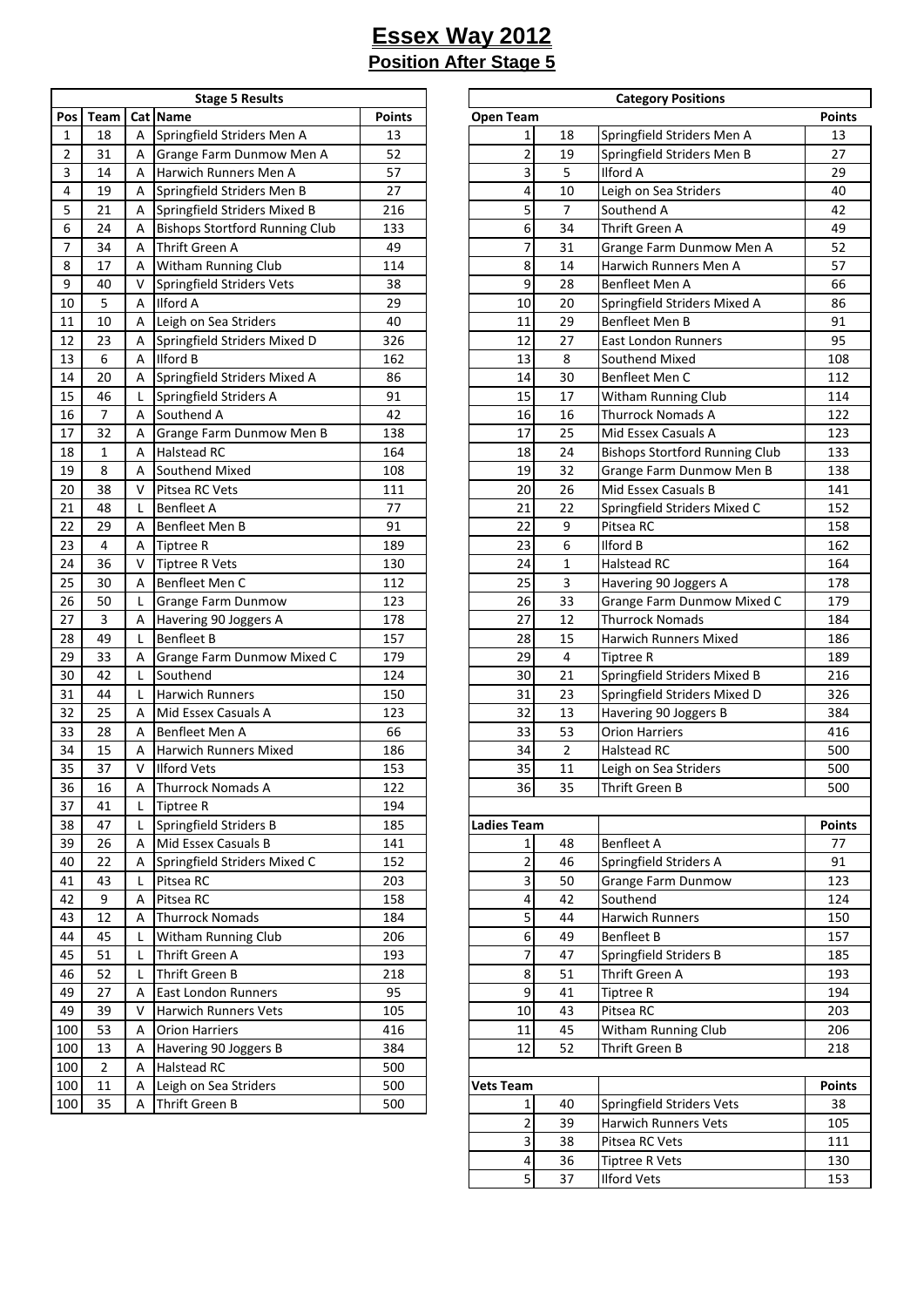÷

| <b>Stage 5 Results</b> |                |        |                                       |               |  |  |  |  |  |
|------------------------|----------------|--------|---------------------------------------|---------------|--|--|--|--|--|
| Pos                    | Team           |        | Cat Name                              | <b>Points</b> |  |  |  |  |  |
| 1                      | 18             | А      | Springfield Striders Men A            | 13            |  |  |  |  |  |
| 2                      | 31             | А      | Grange Farm Dunmow Men A              | 52            |  |  |  |  |  |
| 3                      | 14             | А      | Harwich Runners Men A                 | 57            |  |  |  |  |  |
| 4                      | 19             | А      | Springfield Striders Men B            | 27            |  |  |  |  |  |
| 5                      | 21             | А      | Springfield Striders Mixed B          | 216           |  |  |  |  |  |
| 6                      | 24             | А      | <b>Bishops Stortford Running Club</b> | 133           |  |  |  |  |  |
| $\overline{7}$         | 34             | А      | Thrift Green A                        | 49            |  |  |  |  |  |
| 8                      | 17             | А      | Witham Running Club                   | 114           |  |  |  |  |  |
| 9                      | 40             | v      | Springfield Striders Vets             | 38            |  |  |  |  |  |
| 10                     | 5              | Α      | <b>Ilford A</b>                       | 29            |  |  |  |  |  |
| 11                     | 10             | А      | Leigh on Sea Striders                 | 40            |  |  |  |  |  |
| 12                     | 23             | Α      | Springfield Striders Mixed D          | 326           |  |  |  |  |  |
| 13                     | 6              | А      | <b>Ilford B</b>                       | 162           |  |  |  |  |  |
| 14                     | 20             | А      | Springfield Striders Mixed A          | 86            |  |  |  |  |  |
| 15                     | 46             | L      | Springfield Striders A                | 91            |  |  |  |  |  |
| 16                     | $\overline{7}$ | Α      | Southend A                            | 42            |  |  |  |  |  |
| 17                     | 32             | А      | Grange Farm Dunmow Men B              | 138           |  |  |  |  |  |
| 18                     | 1              | А      | Halstead RC                           | 164           |  |  |  |  |  |
| 19                     | 8              | А      | Southend Mixed                        | 108           |  |  |  |  |  |
| 20                     | 38             | v      | Pitsea RC Vets                        | 111           |  |  |  |  |  |
| 21                     | 48             | L      | <b>Benfleet A</b>                     | 77            |  |  |  |  |  |
| 22                     | 29             | Α      | Benfleet Men B                        | 91            |  |  |  |  |  |
| 23                     | 4              | А      | <b>Tiptree R</b>                      | 189           |  |  |  |  |  |
| 24                     | 36             | v      | <b>Tiptree R Vets</b>                 | 130           |  |  |  |  |  |
| 25                     | 30             | Α      | Benfleet Men C                        | 112           |  |  |  |  |  |
| 26                     | 50             | L      | Grange Farm Dunmow                    | 123           |  |  |  |  |  |
| 27                     | 3              | Α      | Havering 90 Joggers A                 | 178           |  |  |  |  |  |
| 28                     | 49             | L      | <b>Benfleet B</b>                     | 157           |  |  |  |  |  |
| 29                     | 33             | Α      | Grange Farm Dunmow Mixed C            | 179           |  |  |  |  |  |
| 30                     | 42             | L      | Southend                              | 124           |  |  |  |  |  |
| 31                     | 44             | L      | <b>Harwich Runners</b>                | 150           |  |  |  |  |  |
| 32                     | 25             | А      | Mid Essex Casuals A                   | 123           |  |  |  |  |  |
| 33                     | 28             | А      | Benfleet Men A                        | 66            |  |  |  |  |  |
| 34                     | 15             |        | <b>Harwich Runners Mixed</b>          | 186           |  |  |  |  |  |
| 35                     | 37             | А<br>V | <b>Ilford Vets</b>                    | 153           |  |  |  |  |  |
| 36                     | 16             |        | <b>Thurrock Nomads A</b>              | 122           |  |  |  |  |  |
| 37                     | 41             | А<br>L | <b>Tiptree R</b>                      | 194           |  |  |  |  |  |
| 38                     | 47             |        | Springfield Striders B                | 185           |  |  |  |  |  |
|                        |                | L      | Mid Essex Casuals B                   | 141           |  |  |  |  |  |
| 39                     | 26<br>22       | Α      | Springfield Striders Mixed C          |               |  |  |  |  |  |
| 40                     |                | Α      |                                       | 152           |  |  |  |  |  |
| 41<br>42               | 43<br>9        | Г      | Pitsea RC                             | 203           |  |  |  |  |  |
|                        | 12             | Α      | Pitsea RC                             | 158           |  |  |  |  |  |
| 43                     |                | Α      | <b>Thurrock Nomads</b>                | 184           |  |  |  |  |  |
| 44                     | 45             | Г      | Witham Running Club                   | 206           |  |  |  |  |  |
| 45                     | 51             | Г      | Thrift Green A                        | 193           |  |  |  |  |  |
| 46                     | 52             | Г      | Thrift Green B                        | 218           |  |  |  |  |  |
| 49                     | 27             | А      | <b>East London Runners</b>            | 95            |  |  |  |  |  |
| 49                     | 39             | V      | Harwich Runners Vets                  | 105           |  |  |  |  |  |
| 100                    | 53             | Α      | <b>Orion Harriers</b>                 | 416           |  |  |  |  |  |
| 100                    | 13             | Α      | Havering 90 Joggers B                 | 384           |  |  |  |  |  |
| 100                    | 2              | Α      | Halstead RC                           | 500           |  |  |  |  |  |
| 100                    | 11             | Α      | Leigh on Sea Striders                 | 500           |  |  |  |  |  |
| 100                    | 35             | Α      | Thrift Green B                        | 500           |  |  |  |  |  |

|                |                |              | <b>Stage 5 Results</b>                |               |                         |                | <b>Category Positions</b>             |               |
|----------------|----------------|--------------|---------------------------------------|---------------|-------------------------|----------------|---------------------------------------|---------------|
| Pos            | Team           |              | Cat Name                              | <b>Points</b> | <b>Open Team</b>        |                |                                       | <b>Points</b> |
| $\mathbf{1}$   | 18             | A            | Springfield Striders Men A            | 13            | $\mathbf{1}$            | 18             | Springfield Striders Men A            | 13            |
| $\overline{2}$ | 31             | A            | Grange Farm Dunmow Men A              | 52            | $\overline{\mathbf{c}}$ | 19             | Springfield Striders Men B            | 27            |
| 3              | 14             | A            | Harwich Runners Men A                 | 57            | 3                       | 5              | <b>Ilford A</b>                       | 29            |
| 4              | 19             | A            | Springfield Striders Men B            | 27            | 4                       | 10             | Leigh on Sea Striders                 | 40            |
| 5              | 21             | A            | Springfield Striders Mixed B          | 216           | 5                       | $\overline{7}$ | Southend A                            | 42            |
| 6              | 24             | A            | <b>Bishops Stortford Running Club</b> | 133           | 6                       | 34             | Thrift Green A                        | 49            |
| 7              | 34             | A            | Thrift Green A                        | 49            | 7                       | 31             | Grange Farm Dunmow Men A              | 52            |
| 8              | 17             | A            | Witham Running Club                   | 114           | 8                       | 14             | Harwich Runners Men A                 | 57            |
| 9              | 40             | $\vee$       | Springfield Striders Vets             | 38            | 9                       | 28             | Benfleet Men A                        | 66            |
| 10             | 5              | A            | <b>Ilford A</b>                       | 29            | 10                      | 20             | Springfield Striders Mixed A          | 86            |
| 11             | 10             | A            | Leigh on Sea Striders                 | 40            | 11                      | 29             | <b>Benfleet Men B</b>                 | 91            |
| 12             | 23             | A            | Springfield Striders Mixed D          | 326           | 12                      | 27             | <b>East London Runners</b>            | 95            |
| 13             | 6              | A            | <b>Ilford B</b>                       | 162           | 13                      | 8              | Southend Mixed                        | 108           |
| 14             | 20             | A            | Springfield Striders Mixed A          | 86            | 14                      | 30             | Benfleet Men C                        | 112           |
| 15             | 46             | L            | Springfield Striders A                | 91            | 15                      | 17             | Witham Running Club                   | 114           |
| 16             | $\overline{7}$ | A            | Southend A                            | 42            | 16                      | 16             | <b>Thurrock Nomads A</b>              | 122           |
| 17             | 32             | A            | Grange Farm Dunmow Men B              | 138           | 17                      | 25             | Mid Essex Casuals A                   | 123           |
| 18             | $\mathbf{1}$   | A            | <b>Halstead RC</b>                    | 164           | 18                      | 24             | <b>Bishops Stortford Running Club</b> | 133           |
| 19             | 8              | A            | Southend Mixed                        | 108           | 19                      | 32             | Grange Farm Dunmow Men B              | 138           |
| 20             | 38             | $\vee$       | Pitsea RC Vets                        | 111           | 20                      | 26             | Mid Essex Casuals B                   | 141           |
| 21             | 48             | L            | <b>Benfleet A</b>                     | 77            | 21                      | 22             | Springfield Striders Mixed C          | 152           |
| 22             | 29             | A            | <b>Benfleet Men B</b>                 | 91            | 22                      | 9              | Pitsea RC                             | 158           |
| 23             | 4              | A            | <b>Tiptree R</b>                      | 189           | 23                      | 6              | <b>Ilford B</b>                       | 162           |
| 24             | 36             | $\vee$       | <b>Tiptree R Vets</b>                 | 130           | 24                      | $\mathbf{1}$   | <b>Halstead RC</b>                    | 164           |
| 25             | 30             | A            | Benfleet Men C                        | 112           | 25                      | 3              | Havering 90 Joggers A                 | 178           |
| 26             | 50             | L            | <b>Grange Farm Dunmow</b>             | 123           | 26                      | 33             | Grange Farm Dunmow Mixed C            | 179           |
| 27             | 3              | A            | Havering 90 Joggers A                 | 178           | 27                      | 12             | <b>Thurrock Nomads</b>                | 184           |
| 28             | 49             | $\mathsf{L}$ | <b>Benfleet B</b>                     | 157           | 28                      | 15             | Harwich Runners Mixed                 | 186           |
| 29             | 33             | A            | Grange Farm Dunmow Mixed C            | 179           | 29                      | 4              | <b>Tiptree R</b>                      | 189           |
| 30             | 42             | L            | Southend                              | 124           | 30                      | 21             | Springfield Striders Mixed B          | 216           |
| 31             | 44             | L            | <b>Harwich Runners</b>                | 150           | 31                      | 23             | Springfield Striders Mixed D          | 326           |
| 32             | 25             | A            | Mid Essex Casuals A                   | 123           | 32                      | 13             | Havering 90 Joggers B                 | 384           |
| 33             | 28             | A            | Benfleet Men A                        | 66            | 33                      | 53             | <b>Orion Harriers</b>                 | 416           |
| 34             | 15             | A            | <b>Harwich Runners Mixed</b>          | 186           | 34                      | $\overline{2}$ | <b>Halstead RC</b>                    | 500           |
| 35             | 37             | $\vee$       | <b>Ilford Vets</b>                    | 153           | 35                      | 11             | Leigh on Sea Striders                 | 500           |
| $36\,$         | 16             | Α            | <b>Thurrock Nomads A</b>              | 122           | 36                      | 35             | Thrift Green B                        | 500           |
| 37             | 41             | L            | <b>Tiptree R</b>                      | 194           |                         |                |                                       |               |
| 38             | 47             | L            | Springfield Striders B                | 185           | <b>Ladies Team</b>      |                |                                       | <b>Points</b> |
| 39             | 26             | A            | Mid Essex Casuals B                   | 141           | $1\vert$                | 48             | <b>Benfleet A</b>                     | 77            |
| 40             | 22             | A            | Springfield Striders Mixed C          | 152           | $\overline{2}$          | 46             | Springfield Striders A                | 91            |
| 41             | 43             | L            | Pitsea RC                             | 203           | $\overline{\mathbf{3}}$ | 50             | <b>Grange Farm Dunmow</b>             | 123           |
| 42             | 9              | A            | Pitsea RC                             | 158           | $\overline{a}$          | 42             | Southend                              | 124           |
| 43             | 12             | A            | <b>Thurrock Nomads</b>                | 184           | $\overline{5}$          | 44             | Harwich Runners                       | 150           |
| 44             | 45             | $\mathsf{L}$ | Witham Running Club                   | 206           | $6 \mid$                | 49             | <b>Benfleet B</b>                     | 157           |
| 45             | 51             | L            | Thrift Green A                        | 193           | $\overline{7}$          | 47             | Springfield Striders B                | 185           |
| 46             | 52             | L            | Thrift Green B                        | 218           | $\bf8$                  | 51             | Thrift Green A                        | 193           |
| 49             | 27             | A            | <b>East London Runners</b>            | 95            | $\overline{9}$          | 41             | Tiptree R                             | 194           |
| 49             | 39             | $\vee$       | <b>Harwich Runners Vets</b>           | 105           | 10                      | 43             | Pitsea RC                             | 203           |
| 100            | 53             | A            | <b>Orion Harriers</b>                 | 416           | 11                      | 45             | Witham Running Club                   | 206           |
| 100            | 13             | Α            | Havering 90 Joggers B                 | 384           | 12                      | 52             | Thrift Green B                        | 218           |
| 100            | $\overline{2}$ | A            | <b>Halstead RC</b>                    | 500           |                         |                |                                       |               |
| 100            | 11             | A            | Leigh on Sea Striders                 | 500           | <b>Vets Team</b>        |                |                                       | <b>Points</b> |
| 100            | 35             | A            | Thrift Green B                        | 500           | $1\vert$                | 40             | Springfield Striders Vets             | 38            |
|                |                |              |                                       |               | $\overline{2}$          | 39             | <b>Harwich Runners Vets</b>           | 105           |
|                |                |              |                                       |               | $\overline{\mathbf{3}}$ | 38             | Pitsea RC Vets                        | 111           |
|                |                |              |                                       |               | $\overline{4}$          | 36             | Tiptree R Vets                        | 130           |
|                |                |              |                                       |               | 5 <sup>1</sup>          | 37             | <b>Ilford Vets</b>                    | 153           |
|                |                |              |                                       |               |                         |                |                                       |               |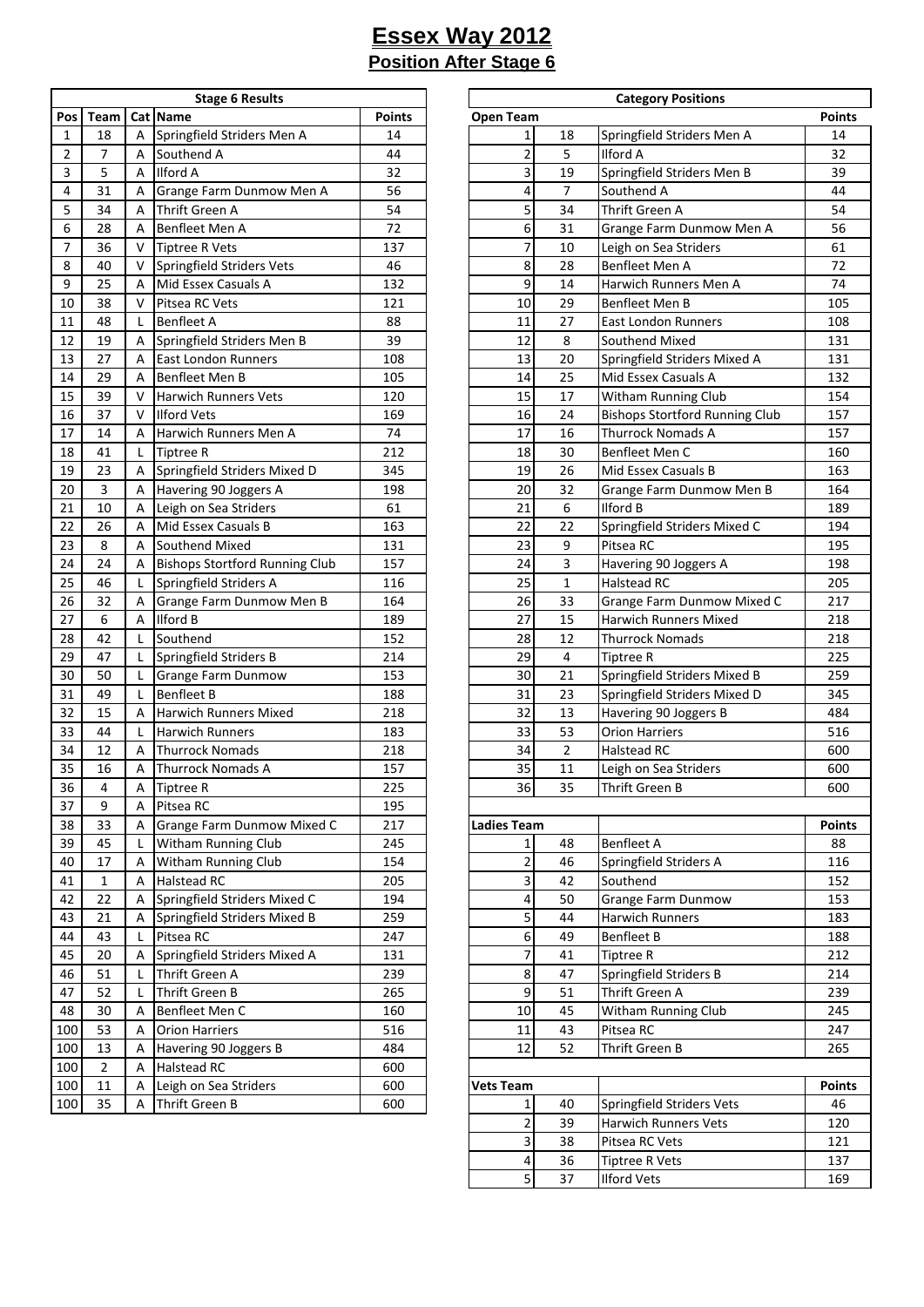÷

|     |                |   | <b>Stage 6 Results</b>                |               |                    |                         | <b>Category Positions</b>    |
|-----|----------------|---|---------------------------------------|---------------|--------------------|-------------------------|------------------------------|
| Pos | Team           |   | <b>Cat Name</b>                       | <b>Points</b> | <b>Open Team</b>   |                         |                              |
| 1   | 18             | A | Springfield Striders Men A            | 14            | 1                  | 18                      | Springfield Striders M       |
| 2   | 7              | А | Southend A                            | 44            | $\overline{2}$     | 5                       | <b>Ilford A</b>              |
| 3   | 5              | А | <b>Ilford A</b>                       | 32            | 3                  | 19                      | Springfield Striders M       |
| 4   | 31             | А | Grange Farm Dunmow Men A              | 56            | 4                  | $\overline{7}$          | Southend A                   |
| 5   | 34             | А | Thrift Green A                        | 54            | 5                  | 34                      | Thrift Green A               |
| 6   | 28             | А | Benfleet Men A                        | 72            | 6                  | 31                      | <b>Grange Farm Dunmov</b>    |
| 7   | 36             | V | <b>Tiptree R Vets</b>                 | 137           | 7                  | 10                      | Leigh on Sea Striders        |
| 8   | 40             | v | Springfield Striders Vets             | 46            | 8                  | 28                      | Benfleet Men A               |
| 9   | 25             | А | Mid Essex Casuals A                   | 132           | 9                  | 14                      | Harwich Runners Mer          |
| 10  | 38             | V | Pitsea RC Vets                        | 121           | 10                 | 29                      | Benfleet Men B               |
| 11  | 48             | L | <b>Benfleet A</b>                     | 88            | 11                 | 27                      | <b>East London Runners</b>   |
| 12  | 19             | А | Springfield Striders Men B            | 39            | 12                 | 8                       | Southend Mixed               |
| 13  | 27             | А | East London Runners                   | 108           | 13                 | 20                      | Springfield Striders M       |
| 14  | 29             | А | Benfleet Men B                        | 105           | 14                 | 25                      | Mid Essex Casuals A          |
| 15  | 39             | V | <b>Harwich Runners Vets</b>           | 120           | 15                 | 17                      | Witham Running Cluk          |
| 16  | 37             | V | <b>Ilford Vets</b>                    | 169           | 16                 | 24                      | <b>Bishops Stortford Rur</b> |
| 17  | 14             | А | Harwich Runners Men A                 | 74            | 17                 | 16                      | Thurrock Nomads A            |
| 18  | 41             | L | <b>Tiptree R</b>                      | 212           | 18                 | 30                      | Benfleet Men C               |
| 19  | 23             | А | Springfield Striders Mixed D          | 345           | 19                 | 26                      | Mid Essex Casuals B          |
| 20  | 3              | А | Havering 90 Joggers A                 | 198           | 20                 | 32                      | Grange Farm Dunmov           |
| 21  | 10             | А | Leigh on Sea Striders                 | 61            | 21                 | 6                       | <b>Ilford B</b>              |
| 22  | 26             | А | Mid Essex Casuals B                   | 163           | 22                 | 22                      | Springfield Striders M       |
| 23  | 8              | А | Southend Mixed                        | 131           | 23                 | 9                       | Pitsea RC                    |
| 24  | 24             | А | <b>Bishops Stortford Running Club</b> | 157           | 24                 | $\overline{\mathbf{3}}$ | Havering 90 Joggers /        |
| 25  | 46             | L | Springfield Striders A                | 116           | 25                 | $\mathbf 1$             | <b>Halstead RC</b>           |
| 26  | 32             | А | Grange Farm Dunmow Men B              | 164           | 26                 | 33                      | Grange Farm Dunmov           |
| 27  | 6              | А | <b>Ilford B</b>                       | 189           | 27                 | 15                      | Harwich Runners Mix          |
| 28  | 42             | L | Southend                              | 152           | 28                 | 12                      | <b>Thurrock Nomads</b>       |
| 29  | 47             | L | Springfield Striders B                | 214           | 29                 | 4                       | <b>Tiptree R</b>             |
| 30  | 50             | L | Grange Farm Dunmow                    | 153           | 30                 | 21                      | Springfield Striders M       |
| 31  | 49             | L | <b>Benfleet B</b>                     | 188           | 31                 | 23                      | Springfield Striders M       |
| 32  | 15             | А | <b>Harwich Runners Mixed</b>          | 218           | 32                 | 13                      | Havering 90 Joggers E        |
| 33  | 44             | L | Harwich Runners                       | 183           | 33                 | 53                      | <b>Orion Harriers</b>        |
| 34  | 12             | А | <b>Thurrock Nomads</b>                | 218           | 34                 | $\overline{2}$          | <b>Halstead RC</b>           |
| 35  | 16             | А | <b>Thurrock Nomads A</b>              | 157           | 35                 | 11                      | Leigh on Sea Striders        |
| 36  | 4              | Α | <b>Tiptree R</b>                      | 225           | 36                 | 35                      | Thrift Green B               |
| 37  | 9              | А | Pitsea RC                             | 195           |                    |                         |                              |
| 38  | 33             | Α | Grange Farm Dunmow Mixed C            | 217           | <b>Ladies Team</b> |                         |                              |
| 39  | 45             | L | Witham Running Club                   | 245           | 1                  | 48                      | <b>Benfleet A</b>            |
| 40  | 17             | Α | Witham Running Club                   | 154           | $\overline{c}$     | 46                      | Springfield Striders A       |
| 41  | 1              | Α | Halstead RC                           | 205           | 3                  | 42                      | Southend                     |
| 42  | 22             | Α | Springfield Striders Mixed C          | 194           | 4                  | 50                      | Grange Farm Dunmov           |
| 43  | 21             | Α | Springfield Striders Mixed B          | 259           | 5                  | 44                      | <b>Harwich Runners</b>       |
| 44  | 43             | L | Pitsea RC                             | 247           | 6                  | 49                      | <b>Benfleet B</b>            |
| 45  | 20             | Α | Springfield Striders Mixed A          | 131           | 7                  | 41                      | <b>Tiptree R</b>             |
| 46  | 51             | L | Thrift Green A                        | 239           | 8                  | 47                      | Springfield Striders B       |
| 47  | 52             | L | Thrift Green B                        | 265           | 9                  | 51                      | Thrift Green A               |
| 48  | 30             | Α | Benfleet Men C                        | 160           | 10                 | 45                      | Witham Running Cluk          |
| 100 | 53             | Α | <b>Orion Harriers</b>                 | 516           | 11                 | 43                      | Pitsea RC                    |
| 100 | 13             | Α | Havering 90 Joggers B                 | 484           | 12                 | 52                      | Thrift Green B               |
| 100 | $\overline{2}$ | Α | Halstead RC                           | 600           |                    |                         |                              |
| 100 | 11             | Α | Leigh on Sea Striders                 | 600           | <b>Vets Team</b>   |                         |                              |
| 100 | 35             | А | Thrift Green B                        | 600           |                    | 40                      | Springfield Striders V       |

|                |                |        | <b>Stage 6 Results</b>                |               | <b>Category Positions</b> |                |                                          |               |  |  |
|----------------|----------------|--------|---------------------------------------|---------------|---------------------------|----------------|------------------------------------------|---------------|--|--|
| Pos            | Team           |        | Cat Name                              | <b>Points</b> | <b>Open Team</b>          |                |                                          | <b>Points</b> |  |  |
| $\mathbf{1}$   | 18             | A      | Springfield Striders Men A            | 14            | $\mathbf{1}$              | 18             | Springfield Striders Men A               | 14            |  |  |
| $\overline{2}$ | 7              | A      | Southend A                            | 44            | $\overline{a}$            | 5              | <b>Ilford A</b>                          | 32            |  |  |
| 3              | 5              | A      | <b>Ilford A</b>                       | 32            | 3                         | 19             | Springfield Striders Men B               | 39            |  |  |
| 4              | 31             | A      | Grange Farm Dunmow Men A              | 56            | 4                         | $\overline{7}$ | Southend A                               | 44            |  |  |
| 5              | 34             | A      | Thrift Green A                        | 54            | 5                         | 34             | Thrift Green A                           | 54            |  |  |
| 6              | 28             | A      | Benfleet Men A                        | 72            | 6                         | 31             | Grange Farm Dunmow Men A                 | 56            |  |  |
| $\overline{7}$ | 36             | v      | <b>Tiptree R Vets</b>                 | 137           | $\overline{7}$            | 10             | Leigh on Sea Striders                    | 61            |  |  |
| 8              | 40             | v      | Springfield Striders Vets             | 46            | 8                         | 28             | Benfleet Men A                           | 72            |  |  |
| 9              | 25             | A      | Mid Essex Casuals A                   | 132           | 9                         | 14             | Harwich Runners Men A                    | 74            |  |  |
| 10             | 38             | v      | Pitsea RC Vets                        | 121           | 10                        | 29             | <b>Benfleet Men B</b>                    | 105           |  |  |
| 11             | 48             | L      | <b>Benfleet A</b>                     | 88            | 11                        | 27             | <b>East London Runners</b>               | 108           |  |  |
| 12             | 19             | Α      | Springfield Striders Men B            | 39            | 12                        | 8              | Southend Mixed                           | 131           |  |  |
| 13             | 27             | A      | <b>East London Runners</b>            | 108           | 13                        | 20             | Springfield Striders Mixed A             | 131           |  |  |
| 14             | 29             | Α      | Benfleet Men B                        | 105           | 14                        | 25             | Mid Essex Casuals A                      | 132           |  |  |
| 15             | 39             | v      | <b>Harwich Runners Vets</b>           | 120           | 15                        | 17             | Witham Running Club                      | 154           |  |  |
| 16             | 37             | v      | <b>Ilford Vets</b>                    | 169           | 16                        | 24             | <b>Bishops Stortford Running Club</b>    | 157           |  |  |
| 17             | 14             | A      | Harwich Runners Men A                 | 74            | 17                        | 16             | <b>Thurrock Nomads A</b>                 | 157           |  |  |
| 18             | 41             | L      | <b>Tiptree R</b>                      | 212           | 18                        | 30             | Benfleet Men C                           | 160           |  |  |
| 19             | 23             | Α      | Springfield Striders Mixed D          | 345           | 19                        | 26             | Mid Essex Casuals B                      | 163           |  |  |
| 20             | 3              | Α      | Havering 90 Joggers A                 | 198           | 20                        | 32             | Grange Farm Dunmow Men B                 | 164           |  |  |
| 21             | 10             | Α      | Leigh on Sea Striders                 | 61            | 21                        | 6              | <b>Ilford B</b>                          | 189           |  |  |
| 22             | 26             | A      | Mid Essex Casuals B                   | 163           | 22                        | 22             | Springfield Striders Mixed C             | 194           |  |  |
| 23             | 8              | A      | Southend Mixed                        | 131           | 23                        | 9              | Pitsea RC                                | 195           |  |  |
| 24             | 24             | A      | <b>Bishops Stortford Running Club</b> | 157           | 24                        | 3              | Havering 90 Joggers A                    | 198           |  |  |
| 25             | 46             | L      | Springfield Striders A                | 116           | 25                        | $\mathbf{1}$   | <b>Halstead RC</b>                       | 205           |  |  |
| 26             | 32             | Α      | Grange Farm Dunmow Men B              | 164           | 26                        | 33             | Grange Farm Dunmow Mixed C               | 217           |  |  |
| 27             | 6              | Α      | <b>Ilford B</b>                       | 189           | 27                        | 15             | Harwich Runners Mixed                    | 218           |  |  |
| 28             | 42             | L      | Southend                              | 152           | 28                        | 12             | Thurrock Nomads                          | 218           |  |  |
| 29             | 47             | L      | Springfield Striders B                | 214           | 29                        | 4              | <b>Tiptree R</b>                         | 225           |  |  |
| 30             | 50             | L      | Grange Farm Dunmow                    | 153           | 30                        | 21             | Springfield Striders Mixed B             | 259           |  |  |
| 31             | 49             | L      | <b>Benfleet B</b>                     | 188           | 31                        | 23             | Springfield Striders Mixed D             | 345           |  |  |
| 32             | 15             | A      | Harwich Runners Mixed                 | 218           | 32                        | 13             | Havering 90 Joggers B                    | 484           |  |  |
| 33             | 44             | L      | <b>Harwich Runners</b>                | 183           | 33                        | 53             | <b>Orion Harriers</b>                    | 516           |  |  |
| 34             | 12             | A      | <b>Thurrock Nomads</b>                | 218           | 34                        | $\overline{2}$ | <b>Halstead RC</b>                       | 600           |  |  |
| 35             | 16             | A      | <b>Thurrock Nomads A</b>              | 157           | 35                        | 11             | Leigh on Sea Striders                    | 600           |  |  |
| 36             | 4              | А      | <b>Tiptree R</b>                      | 225           | 36                        | 35             | Thrift Green B                           | 600           |  |  |
| 37             | 9              | Α      | Pitsea RC                             | 195           |                           |                |                                          |               |  |  |
| 38             | 33             | Α      | Grange Farm Dunmow Mixed C            | 217           | <b>Ladies Team</b>        |                |                                          | <b>Points</b> |  |  |
| 39             | 45             | L      | Witham Running Club                   | 245           | $1\vert$                  | 48             | <b>Benfleet A</b>                        | 88            |  |  |
| 40             | 17             | Α      | Witham Running Club                   | 154           | $\overline{2}$            | 46             | Springfield Striders A                   | 116           |  |  |
| 41             | $\mathbf{1}$   | Α      | <b>Halstead RC</b>                    | 205           | $\overline{\mathbf{3}}$   | 42             | Southend                                 | 152           |  |  |
| 42             | 22             | Α      | Springfield Striders Mixed C          | 194           | $\overline{\mathbf{r}}$   | 50             | <b>Grange Farm Dunmow</b>                | 153           |  |  |
| 43             | 21             | Α      | Springfield Striders Mixed B          | 259           | 5                         | 44             | Harwich Runners                          | 183           |  |  |
|                |                |        | Pitsea RC                             |               |                           |                |                                          |               |  |  |
| 44<br>45       | 43<br>20       | L<br>Α | Springfield Striders Mixed A          | 247<br>131    | 6<br>$\overline{z}$       | 49<br>41       | <b>Benfleet B</b><br>Tiptree R           | 188<br>212    |  |  |
| 46             | 51             |        | Thrift Green A                        | 239           | $\boldsymbol{8}$          | 47             |                                          | 214           |  |  |
| 47             | 52             | L      | Thrift Green B                        | 265           | $\boldsymbol{9}$          | 51             | Springfield Striders B<br>Thrift Green A | 239           |  |  |
|                |                | L      |                                       |               |                           |                |                                          |               |  |  |
| 48             | 30             | Α      | Benfleet Men C                        | 160           | 10                        | 45             | Witham Running Club                      | 245           |  |  |
| 100            | 53             | Α      | <b>Orion Harriers</b>                 | 516           | 11                        | 43             | Pitsea RC                                | 247           |  |  |
| 100            | 13             | Α      | Havering 90 Joggers B                 | 484           | 12                        | 52             | Thrift Green B                           | 265           |  |  |
| 100            | $\overline{2}$ | Α      | <b>Halstead RC</b>                    | 600           |                           |                |                                          |               |  |  |
| 100            | 11             | Α      | Leigh on Sea Striders                 | 600           | <b>Vets Team</b>          |                |                                          | <b>Points</b> |  |  |
| 100            | 35             | Α      | Thrift Green B                        | 600           | $1\vert$                  | 40             | <b>Springfield Striders Vets</b>         | 46            |  |  |
|                |                |        |                                       |               | $\overline{2}$            | 39             | Harwich Runners Vets                     | 120           |  |  |
|                |                |        |                                       |               | $\overline{\mathbf{3}}$   | 38             | Pitsea RC Vets                           | 121           |  |  |
|                |                |        |                                       |               | $\overline{4}$            | 36             | Tiptree R Vets                           | 137           |  |  |
|                |                |        |                                       |               | $\overline{5}$            | 37             | <b>Ilford Vets</b>                       | 169           |  |  |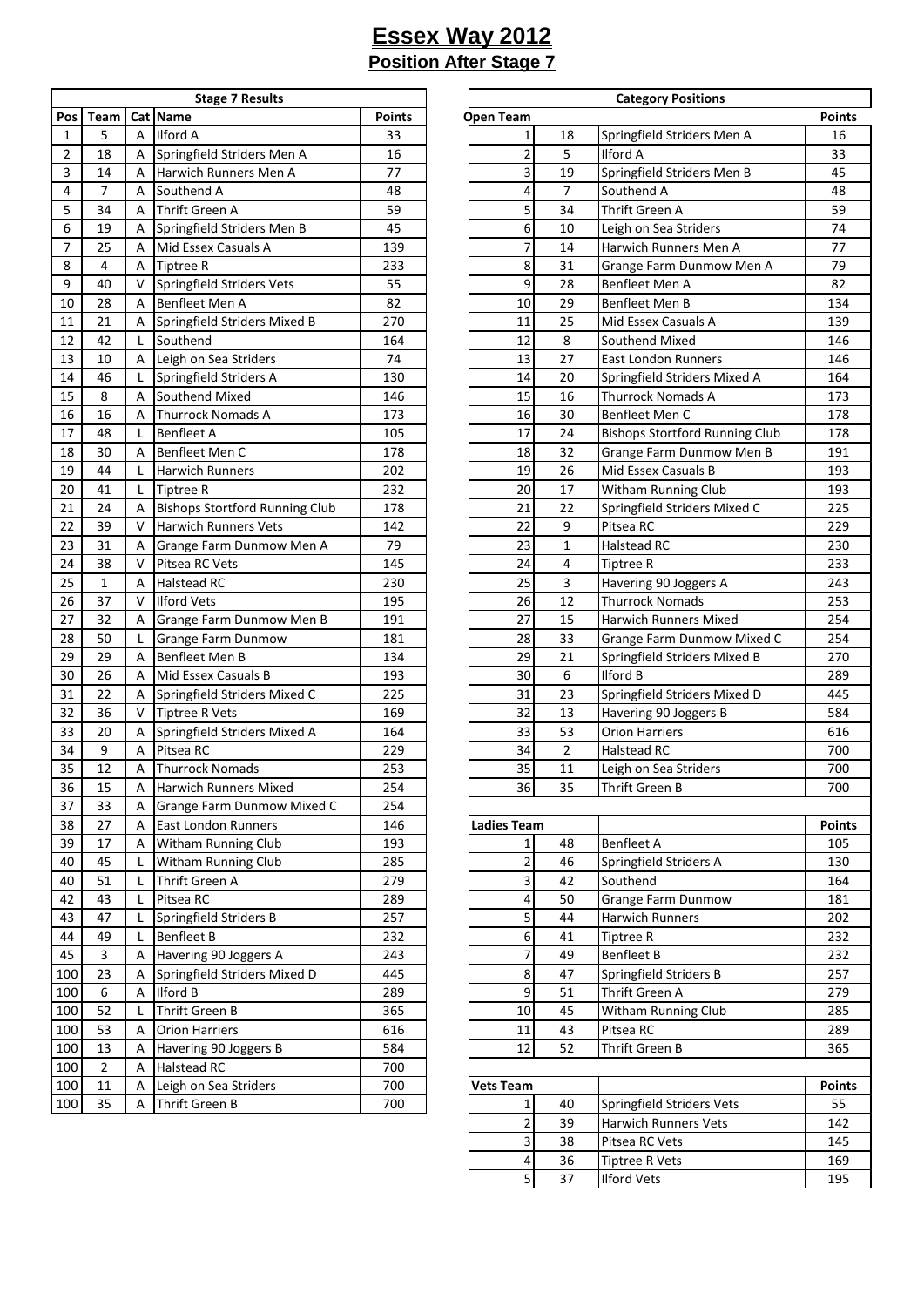| <b>Stage 7 Results</b> |                |   |                                       |        |  |  |  |  |
|------------------------|----------------|---|---------------------------------------|--------|--|--|--|--|
| Pos                    | Team           |   | Cat Name                              | Points |  |  |  |  |
| 1                      | 5              | А | Ilford A                              | 33     |  |  |  |  |
| 2                      | 18             | А | Springfield Striders Men A            | 16     |  |  |  |  |
| 3                      | 14             | А | Harwich Runners Men A                 | 77     |  |  |  |  |
| 4                      | $\overline{7}$ | А | Southend A                            | 48     |  |  |  |  |
| 5                      | 34             | А | <b>Thrift Green A</b>                 | 59     |  |  |  |  |
| 6                      | 19             | А | Springfield Striders Men B            | 45     |  |  |  |  |
| 7                      | 25             | А | Mid Essex Casuals A                   | 139    |  |  |  |  |
| 8                      | 4              | А | <b>Tiptree R</b>                      | 233    |  |  |  |  |
| 9                      | 40             | V | <b>Springfield Striders Vets</b>      | 55     |  |  |  |  |
| 10                     | 28             | А | Benfleet Men A                        | 82     |  |  |  |  |
| 11                     | 21             | А | Springfield Striders Mixed B          | 270    |  |  |  |  |
| 12                     | 42             | L | Southend                              | 164    |  |  |  |  |
| 13                     | 10             | Α | Leigh on Sea Striders                 | 74     |  |  |  |  |
| 14                     | 46             | L | Springfield Striders A                | 130    |  |  |  |  |
| 15                     | 8              | А | Southend Mixed                        | 146    |  |  |  |  |
| 16                     | 16             | А | <b>Thurrock Nomads A</b>              | 173    |  |  |  |  |
| 17                     | 48             | L | <b>Benfleet A</b>                     | 105    |  |  |  |  |
| 18                     | 30             | Α | Benfleet Men C                        | 178    |  |  |  |  |
| 19                     | 44             | L | <b>Harwich Runners</b>                | 202    |  |  |  |  |
| 20                     | 41             | L | <b>Tiptree R</b>                      | 232    |  |  |  |  |
| 21                     | 24             | А | <b>Bishops Stortford Running Club</b> | 178    |  |  |  |  |
| 22                     | 39             | V | <b>Harwich Runners Vets</b>           | 142    |  |  |  |  |
| 23                     | 31             | Α | Grange Farm Dunmow Men A              | 79     |  |  |  |  |
| 24                     | 38             | V | Pitsea RC Vets                        | 145    |  |  |  |  |
| 25                     | 1              | А | Halstead RC                           | 230    |  |  |  |  |
| 26                     | 37             | V | <b>Ilford Vets</b>                    | 195    |  |  |  |  |
| 27                     | 32             | Α | Grange Farm Dunmow Men B              | 191    |  |  |  |  |
| 28                     | 50             | L | Grange Farm Dunmow                    | 181    |  |  |  |  |
| 29                     | 29             | А | Benfleet Men B                        | 134    |  |  |  |  |
| 30                     | 26             | А | Mid Essex Casuals B                   | 193    |  |  |  |  |
| 31                     | 22             | А | Springfield Striders Mixed C          | 225    |  |  |  |  |
| 32                     | 36             | v | <b>Tiptree R Vets</b>                 | 169    |  |  |  |  |
| 33                     | 20             | Α | Springfield Striders Mixed A          | 164    |  |  |  |  |
| 34                     | 9              | А | Pitsea RC                             | 229    |  |  |  |  |
| 35                     | 12             | Α | <b>Thurrock Nomads</b>                | 253    |  |  |  |  |
| 36                     | 15             | А | <b>Harwich Runners Mixed</b>          | 254    |  |  |  |  |
| 37                     | 33             | Α | Grange Farm Dunmow Mixed C            | 254    |  |  |  |  |
| 38                     | 27             | Α | East London Runners                   | 146    |  |  |  |  |
| 39                     | 17             | Α | Witham Running Club                   | 193    |  |  |  |  |
| 40                     | 45             | L | Witham Running Club                   | 285    |  |  |  |  |
| 40                     | 51             | L | Thrift Green A                        | 279    |  |  |  |  |
| 42                     | 43             | L | Pitsea RC                             | 289    |  |  |  |  |
| 43                     | 47             | L | Springfield Striders B                | 257    |  |  |  |  |
| 44                     | 49             | L | <b>Benfleet B</b>                     | 232    |  |  |  |  |
| 45                     | 3              | А | Havering 90 Joggers A                 | 243    |  |  |  |  |
| 100                    | 23             | Α | Springfield Striders Mixed D          | 445    |  |  |  |  |
| 100                    | 6              | Α | Ilford B                              | 289    |  |  |  |  |
| 100                    | 52             | L | Thrift Green B                        | 365    |  |  |  |  |
| 100                    | 53             | А | <b>Orion Harriers</b>                 | 616    |  |  |  |  |
| 100                    | 13             | Α | Havering 90 Joggers B                 | 584    |  |  |  |  |
| 100                    | 2              | Α | Halstead RC                           | 700    |  |  |  |  |
| 100                    | 11             | Α | Leigh on Sea Striders                 | 700    |  |  |  |  |
| 100                    | 35             | Α | Thrift Green B                        | 700    |  |  |  |  |

|                          |                |                           | <b>Stage 7 Results</b>                |               | <b>Category Positions</b> |                |                                       |               |  |  |  |
|--------------------------|----------------|---------------------------|---------------------------------------|---------------|---------------------------|----------------|---------------------------------------|---------------|--|--|--|
| Pos                      | Team           |                           | Cat Name                              | <b>Points</b> | <b>Open Team</b>          |                |                                       | <b>Points</b> |  |  |  |
| $\mathbf{1}$             | 5              | A                         | <b>Ilford A</b>                       | 33            | $\mathbf 1$               | 18             | Springfield Striders Men A            | 16            |  |  |  |
| $\overline{c}$           | 18             | A                         | Springfield Striders Men A            | 16            | $\overline{\mathbf{c}}$   | 5              | <b>Ilford A</b>                       | 33            |  |  |  |
| 3                        | 14             | A                         | <b>Harwich Runners Men A</b>          | 77            | 3                         | 19             | Springfield Striders Men B            | 45            |  |  |  |
| 4                        | $\overline{7}$ | A                         | Southend A                            | 48            | 4                         | $\overline{7}$ | Southend A                            | 48            |  |  |  |
| 5                        | 34             | A                         | Thrift Green A                        | 59            | 5                         | 34             | Thrift Green A                        | 59            |  |  |  |
| 6                        | 19             | A                         | Springfield Striders Men B            | 45            | 6                         | 10             | Leigh on Sea Striders                 | 74            |  |  |  |
| $\overline{\phantom{a}}$ | 25             | A                         | Mid Essex Casuals A                   | 139           | $\overline{7}$            | 14             | Harwich Runners Men A                 | 77            |  |  |  |
| 8                        | 4              | A                         | <b>Tiptree R</b>                      | 233           | 8                         | 31             | Grange Farm Dunmow Men A              | 79            |  |  |  |
| 9                        | 40             | V                         | <b>Springfield Striders Vets</b>      | 55            | 9                         | 28             | Benfleet Men A                        | 82            |  |  |  |
| $10\,$                   | 28             | A                         | Benfleet Men A                        | 82            | 10                        | 29             | Benfleet Men B                        | 134           |  |  |  |
| 11                       | 21             | A                         | Springfield Striders Mixed B          | 270           | 11                        | 25             | Mid Essex Casuals A                   | 139           |  |  |  |
| 12                       | 42             | L                         | Southend                              | 164           | 12                        | 8              | Southend Mixed                        | 146           |  |  |  |
| 13                       | 10             | A                         | Leigh on Sea Striders                 | 74            | 13                        | 27             | <b>East London Runners</b>            | 146           |  |  |  |
| 14                       | 46             | L                         | Springfield Striders A                | 130           | 14                        | 20             | Springfield Striders Mixed A          | 164           |  |  |  |
| 15                       | 8              | A                         | Southend Mixed                        | 146           | 15                        | 16             | <b>Thurrock Nomads A</b>              | 173           |  |  |  |
| 16                       | 16             | A                         | <b>Thurrock Nomads A</b>              | 173           | 16                        | 30             | Benfleet Men C                        | 178           |  |  |  |
| 17                       | 48             | L                         | <b>Benfleet A</b>                     | 105           | 17                        | 24             | <b>Bishops Stortford Running Club</b> | 178           |  |  |  |
| 18                       | 30             | A                         | Benfleet Men C                        | 178           | 18                        | 32             | Grange Farm Dunmow Men B              | 191           |  |  |  |
| 19                       | 44             |                           | <b>Harwich Runners</b>                | 202           | 19                        | 26             | Mid Essex Casuals B                   | 193           |  |  |  |
| $20\,$                   | 41             | L                         | <b>Tiptree R</b>                      | 232           | 20                        | 17             | Witham Running Club                   | 193           |  |  |  |
| 21                       | 24             | A                         | <b>Bishops Stortford Running Club</b> | 178           | 21                        | 22             | Springfield Striders Mixed C          | 225           |  |  |  |
| 22                       | 39             | $\vee$                    | <b>Harwich Runners Vets</b>           | 142           | 22                        | 9              | Pitsea RC                             | 229           |  |  |  |
| 23                       | 31             | A                         | Grange Farm Dunmow Men A              | 79            | 23                        | 1              | Halstead RC                           | 230           |  |  |  |
| 24                       | 38             | $\vee$                    | Pitsea RC Vets                        | 145           | 24                        | 4              | <b>Tiptree R</b>                      | 233           |  |  |  |
| 25                       | $\mathbf{1}$   | A                         | <b>Halstead RC</b>                    | 230           | 25                        | 3              | Havering 90 Joggers A                 | 243           |  |  |  |
| 26                       | 37             | $\vee$                    | <b>Ilford Vets</b>                    | 195           | 26                        | 12             | <b>Thurrock Nomads</b>                | 253           |  |  |  |
| 27                       | 32             | A                         | Grange Farm Dunmow Men B              | 191           | 27                        | 15             | <b>Harwich Runners Mixed</b>          | 254           |  |  |  |
| 28                       | 50             | L                         | Grange Farm Dunmow                    | 181           | 28                        | 33             | Grange Farm Dunmow Mixed C            | 254           |  |  |  |
| 29                       | 29             | A                         | <b>Benfleet Men B</b>                 | 134           | 29                        | 21             | Springfield Striders Mixed B          | 270           |  |  |  |
| 30                       | 26             | A                         | Mid Essex Casuals B                   | 193           | 30                        | 6              | <b>Ilford B</b>                       | 289           |  |  |  |
| 31                       | 22             | A                         | Springfield Striders Mixed C          | 225           | 31                        | 23             | Springfield Striders Mixed D          | 445           |  |  |  |
| 32                       | 36             | $\vee$                    | <b>Tiptree R Vets</b>                 | 169           | 32                        | 13             | Havering 90 Joggers B                 | 584           |  |  |  |
| 33                       | 20             | A                         | Springfield Striders Mixed A          | 164           | 33                        | 53             | <b>Orion Harriers</b>                 | 616           |  |  |  |
| 34                       | 9              | A                         | Pitsea RC                             | 229           | 34                        | $\overline{2}$ | <b>Halstead RC</b>                    | 700           |  |  |  |
| 35                       | 12             | A                         | <b>Thurrock Nomads</b>                | 253           | 35                        | 11             | Leigh on Sea Striders                 | 700           |  |  |  |
| 36                       | 15             | $\boldsymbol{\mathsf{A}}$ | Harwich Runners Mixed                 | 254           | 36                        | $35\,$         | Thrift Green B                        | 700           |  |  |  |
| 37                       | 33             | Α                         | Grange Farm Dunmow Mixed C            | 254           |                           |                |                                       |               |  |  |  |
| 38                       | 27             | A                         | <b>East London Runners</b>            | 146           | <b>Ladies Team</b>        |                |                                       | <b>Points</b> |  |  |  |
| 39                       | 17             | A                         | Witham Running Club                   | 193           | $\mathbf 1$               | 48             | <b>Benfleet A</b>                     | 105           |  |  |  |
| 40                       | 45             |                           | Witham Running Club                   | 285           | $\mathbf{2}$              | 46             | Springfield Striders A                | 130           |  |  |  |
| 40                       | 51             | L                         | Thrift Green A                        | 279           | $\overline{\mathbf{3}}$   | 42             | Southend                              | 164           |  |  |  |
| 42                       | 43             | L                         | Pitsea RC                             | 289           | 4                         | 50             | Grange Farm Dunmow                    | 181           |  |  |  |
| 43                       | 47             | L                         | Springfield Striders B                | 257           | 5                         | 44             | Harwich Runners                       | 202           |  |  |  |
| 44                       | 49             | L                         | <b>Benfleet B</b>                     | 232           | 6                         | 41             | <b>Tiptree R</b>                      | 232           |  |  |  |
| 45                       | $\mathbf{3}$   | A                         | Havering 90 Joggers A                 | 243           | $\overline{\mathcal{I}}$  | 49             | <b>Benfleet B</b>                     | 232           |  |  |  |
| 100                      | 23             | Α                         | Springfield Striders Mixed D          | 445           | 8                         | 47             | Springfield Striders B                | 257           |  |  |  |
| 100                      | 6              | Α                         | <b>Ilford B</b>                       | 289           | 9                         | 51             | Thrift Green A                        | 279           |  |  |  |
| 100                      | 52             | L                         | Thrift Green B                        | 365           | 10                        | 45             | Witham Running Club                   | 285           |  |  |  |
| 100                      | 53             | A                         | <b>Orion Harriers</b>                 | 616           | 11                        | 43             | Pitsea RC                             | 289           |  |  |  |
| 100                      | 13             | Α                         | Havering 90 Joggers B                 | 584           | 12                        | 52             | Thrift Green B                        | 365           |  |  |  |
| 100                      | $\overline{2}$ | A                         | <b>Halstead RC</b>                    | 700           |                           |                |                                       |               |  |  |  |
| 100                      | 11             | A                         | Leigh on Sea Striders                 | 700           | <b>Vets Team</b>          |                |                                       | <b>Points</b> |  |  |  |
| 100                      | 35             | A                         | Thrift Green B                        | 700           | $\mathbf 1$               | 40             | Springfield Striders Vets             | 55            |  |  |  |
|                          |                |                           |                                       |               | $\mathbf{2}$              | 39             | <b>Harwich Runners Vets</b>           | 142           |  |  |  |
|                          |                |                           |                                       |               | 3                         | 38             | Pitsea RC Vets                        | 145           |  |  |  |
|                          |                |                           |                                       |               | 4                         | 36             | <b>Tiptree R Vets</b>                 | 169           |  |  |  |
|                          |                |                           |                                       |               | $\overline{5}$            | 37             | <b>Ilford Vets</b>                    | 195           |  |  |  |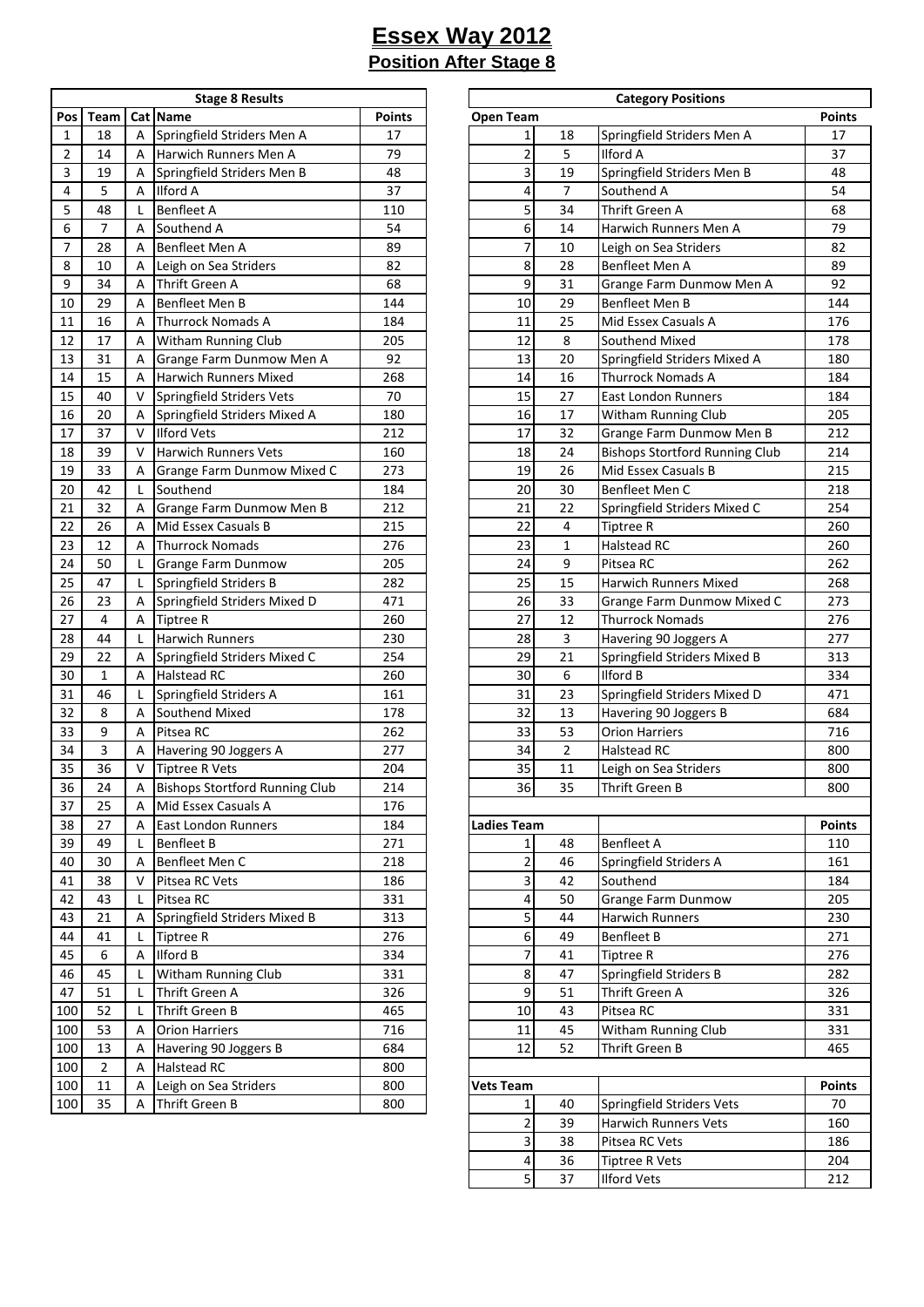| <b>Stage 8 Results</b> |             |   |                                       |               |  |  |  |  |
|------------------------|-------------|---|---------------------------------------|---------------|--|--|--|--|
| Pos                    | <b>Team</b> |   | Cat   Name                            | <b>Points</b> |  |  |  |  |
| 1                      | 18          | А | Springfield Striders Men A            | 17            |  |  |  |  |
| $\overline{2}$         | 14          | А | Harwich Runners Men A                 | 79            |  |  |  |  |
| 3                      | 19          | А | Springfield Striders Men B            | 48            |  |  |  |  |
| 4                      | 5           | А | Ilford A                              | 37            |  |  |  |  |
| 5                      | 48          | Г | <b>Benfleet A</b>                     | 110           |  |  |  |  |
| 6                      | 7           | Α | Southend A                            | 54            |  |  |  |  |
| 7                      | 28          | А | Benfleet Men A                        | 89            |  |  |  |  |
| 8                      | 10          | А | Leigh on Sea Striders                 | 82            |  |  |  |  |
| 9                      | 34          | А | Thrift Green A                        | 68            |  |  |  |  |
| 10                     | 29          | А | Benfleet Men B                        | 144           |  |  |  |  |
| 11                     | 16          | А | <b>Thurrock Nomads A</b>              | 184           |  |  |  |  |
| 12                     | 17          | А | Witham Running Club                   | 205           |  |  |  |  |
| 13                     | 31          | А | Grange Farm Dunmow Men A              | 92            |  |  |  |  |
| 14                     | 15          | А | Harwich Runners Mixed                 | 268           |  |  |  |  |
| 15                     | 40          | v | <b>Springfield Striders Vets</b>      | 70            |  |  |  |  |
| 16                     | 20          | А | Springfield Striders Mixed A          | 180           |  |  |  |  |
| 17                     | 37          | V | <b>Ilford Vets</b>                    | 212           |  |  |  |  |
| 18                     | 39          | v | <b>Harwich Runners Vets</b>           | 160           |  |  |  |  |
| 19                     | 33          | А | Grange Farm Dunmow Mixed C            | 273           |  |  |  |  |
| 20                     | 42          | Г | Southend                              | 184           |  |  |  |  |
| 21                     | 32          | А | Grange Farm Dunmow Men B              | 212           |  |  |  |  |
| 22                     | 26          | Α | Mid Essex Casuals B                   | 215           |  |  |  |  |
| 23                     | 12          | Α | <b>Thurrock Nomads</b>                | 276           |  |  |  |  |
| 24                     | 50          | Г | Grange Farm Dunmow                    | 205           |  |  |  |  |
| 25                     | 47          | Г | Springfield Striders B                | 282           |  |  |  |  |
| 26                     | 23          | Α | Springfield Striders Mixed D          | 471           |  |  |  |  |
| 27                     | 4           | А | <b>Tiptree R</b>                      | 260           |  |  |  |  |
| 28                     | 44          | Г | <b>Harwich Runners</b>                | 230           |  |  |  |  |
| 29                     | 22          | Α | Springfield Striders Mixed C          | 254           |  |  |  |  |
| 30                     | 1           | Α | Halstead RC                           | 260           |  |  |  |  |
| 31                     | 46          | Г | Springfield Striders A                | 161           |  |  |  |  |
| 32                     | 8           | Α | Southend Mixed                        | 178           |  |  |  |  |
| 33                     | 9           | А | Pitsea RC                             | 262           |  |  |  |  |
| 34                     | 3           | А | Havering 90 Joggers A                 | 277           |  |  |  |  |
| 35                     | 36          | V | <b>Tiptree R Vets</b>                 | 204           |  |  |  |  |
| 36                     | 24          | А | <b>Bishops Stortford Running Club</b> | 214           |  |  |  |  |
| 37                     | 25          | Α | Mid Essex Casuals A                   | 176           |  |  |  |  |
| 38                     | 27          | Α | East London Runners                   | 184           |  |  |  |  |
| 39                     | 49          | L | <b>Benfleet B</b>                     | 271           |  |  |  |  |
| 40                     | 30          | Α | Benfleet Men C                        | 218           |  |  |  |  |
| 41                     | 38          | V | Pitsea RC Vets                        | 186           |  |  |  |  |
| 42                     | 43          | L | Pitsea RC                             | 331           |  |  |  |  |
| 43                     | 21          | Α | Springfield Striders Mixed B          | 313           |  |  |  |  |
| 44                     | 41          | L | <b>Tiptree R</b>                      | 276           |  |  |  |  |
| 45                     | 6           | Α | <b>Ilford B</b>                       | 334           |  |  |  |  |
| 46                     | 45          | L | Witham Running Club                   | 331           |  |  |  |  |
| 47                     | 51          | L | Thrift Green A                        | 326           |  |  |  |  |
| 100                    | 52          | L | Thrift Green B                        | 465           |  |  |  |  |
| 100                    | 53          | Α | <b>Orion Harriers</b>                 | 716           |  |  |  |  |
| 100                    | 13          | Α | Havering 90 Joggers B                 | 684           |  |  |  |  |
| 100                    | 2           | Α | Halstead RC                           | 800           |  |  |  |  |
| 100                    | 11          | Α | Leigh on Sea Striders                 | 800           |  |  |  |  |
| 100                    | 35          | Α | Thrift Green B                        | 800           |  |  |  |  |
|                        |             |   |                                       |               |  |  |  |  |

|              |                |                | <b>Stage 8 Results</b>                |               |
|--------------|----------------|----------------|---------------------------------------|---------------|
| Pos          | <b>Team</b>    |                | Cat Name                              | <b>Points</b> |
| $\mathbf{1}$ | 18             | A              | Springfield Striders Men A            | 17            |
| 2            | 14             | A              | Harwich Runners Men A                 | 79            |
| 3            | 19             | A              | Springfield Striders Men B            | 48            |
| 4            | 5              | A              | <b>Ilford A</b>                       | 37            |
|              |                |                |                                       |               |
| 5            | 48             |                | <b>Benfleet A</b>                     | 110           |
| 6            | 7              | A              | Southend A                            | 54            |
| 7            | 28             | A              | Benfleet Men A                        | 89            |
| 8            | 10             | A              | Leigh on Sea Striders                 | 82            |
| 9            | 34             | A              | Thrift Green A                        | 68            |
| 10           | 29             | A              | Benfleet Men B                        | 144           |
| 11           | 16             | A              | <b>Thurrock Nomads A</b>              | 184           |
| 12           | 17             | Α              | <b>Witham Running Club</b>            | 205           |
| 13           | 31             | Α              | Grange Farm Dunmow Men A              | 92            |
| 14           | 15             | A              | <b>Harwich Runners Mixed</b>          | 268           |
| 15           | 40             | $\vee$         | Springfield Striders Vets             | 70            |
|              | 20             | Α              | Springfield Striders Mixed A          | 180           |
| 16<br>17     | 37             | $\vee$         | <b>Ilford Vets</b>                    | 212           |
|              | 39             | $\vee$         | <b>Harwich Runners Vets</b>           | 160           |
|              | 33             | A              | Grange Farm Dunmow Mixed C            | 273           |
|              | 42             | L              | Southend                              | 184           |
|              |                |                |                                       |               |
|              | 32             | Α              | Grange Farm Dunmow Men B              | 212           |
|              | 26             | A              | Mid Essex Casuals B                   | 215           |
|              | 12             | A              | <b>Thurrock Nomads</b>                | 276           |
|              | 50             |                | Grange Farm Dunmow                    | 205           |
|              | 47             | L              | Springfield Striders B                | 282           |
|              | 23             | Α              | Springfield Striders Mixed D          | 471           |
|              | $\overline{4}$ | A              | <b>Tiptree R</b>                      | 260           |
| 28           | 44             |                | <b>Harwich Runners</b>                | 230           |
|              | 22             | Α              | Springfield Striders Mixed C          | 254           |
|              | $\mathbf{1}$   | A              | <b>Halstead RC</b>                    | 260           |
|              | 46             |                | Springfield Striders A                | 161           |
|              | 8              | A              | Southend Mixed                        | 178           |
|              | 9              | A              | Pitsea RC                             | 262           |
|              | 3              | A              | Havering 90 Joggers A                 | 277           |
|              | 36             | V              | <b>Tiptree R Vets</b>                 | 204           |
| 35<br>$36\,$ | 24             | $\mathsf A$    | <b>Bishops Stortford Running Club</b> | 214           |
|              | 25             | Α              | Mid Essex Casuals A                   | 176           |
|              | 27             | A              | <b>East London Runners</b>            | 184           |
|              | 49             |                | <b>Benfleet B</b>                     | 271           |
|              | 30             | A              | Benfleet Men C                        | 218           |
|              |                | $\vee$         |                                       |               |
|              | 38             |                | Pitsea RC Vets                        | 186           |
|              | 43             |                | Pitsea RC                             | 331           |
|              | 21             | Α              | Springfield Striders Mixed B          | 313           |
|              | 41             |                | <b>Tiptree R</b>                      | 276           |
|              | 6              | $\overline{A}$ | <b>Ilford B</b>                       | 334           |
|              | 45             |                | Witham Running Club                   | 331           |
|              | 51             | L              | Thrift Green A                        | 326           |
|              | 52             | $\mathsf{L}$   | Thrift Green B                        | 465           |
|              | 53             | A              | <b>Orion Harriers</b>                 | 716           |
|              | 13             | Α              | Havering 90 Joggers B                 | 684           |
| 100<br>100   | $\overline{2}$ | Α              | <b>Halstead RC</b>                    | 800           |
| 100          | 11             | Α              | Leigh on Sea Striders                 | 800           |
| 100          | 35             | A              | Thrift Green B                        | 800           |
|              |                |                |                                       |               |
|              |                |                |                                       |               |
|              |                |                |                                       |               |
|              |                |                |                                       |               |
|              |                |                |                                       |               |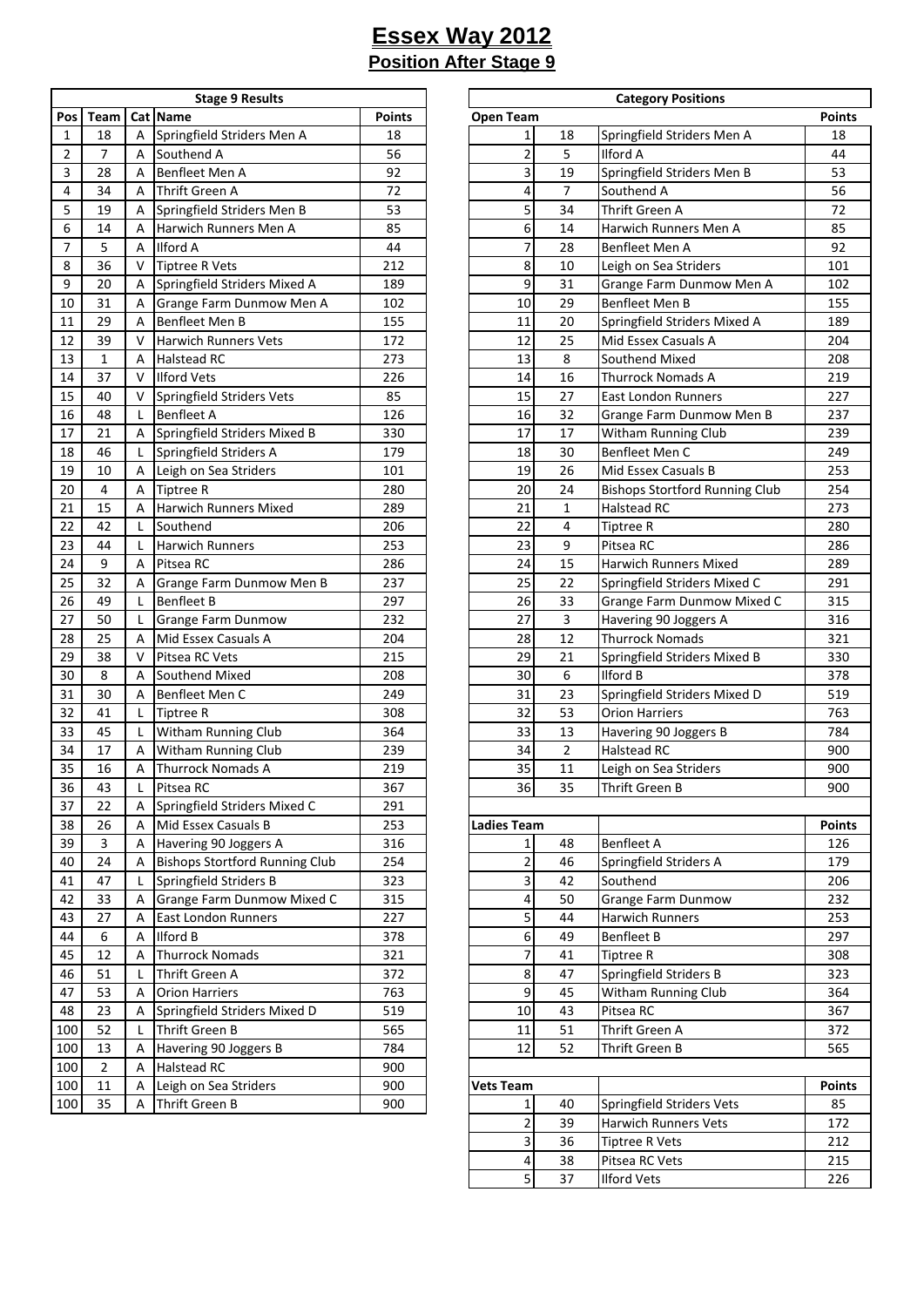| <b>Stage 9 Results</b> |      |   |                                       |        |  |  |  |
|------------------------|------|---|---------------------------------------|--------|--|--|--|
| Pos                    | Team |   | Cat   Name                            | Points |  |  |  |
| 1                      | 18   | А | Springfield Striders Men A            | 18     |  |  |  |
| $\overline{2}$         | 7    | A | Southend A                            | 56     |  |  |  |
| 3                      | 28   | A | Benfleet Men A                        | 92     |  |  |  |
| 4                      | 34   | A | <b>Thrift Green A</b>                 | 72     |  |  |  |
| 5                      | 19   | Α | Springfield Striders Men B            | 53     |  |  |  |
| 6                      | 14   | A | Harwich Runners Men A                 | 85     |  |  |  |
| 7                      | 5    | А | <b>Ilford A</b>                       | 44     |  |  |  |
| 8                      | 36   | V | <b>Tiptree R Vets</b>                 | 212    |  |  |  |
| 9                      | 20   | А | Springfield Striders Mixed A          | 189    |  |  |  |
| 10                     | 31   | А | Grange Farm Dunmow Men A              | 102    |  |  |  |
| 11                     | 29   | А | Benfleet Men B                        | 155    |  |  |  |
| 12                     | 39   | v | <b>Harwich Runners Vets</b>           | 172    |  |  |  |
| 13                     | 1    | А | Halstead RC                           | 273    |  |  |  |
| 14                     | 37   | V | <b>Ilford Vets</b>                    | 226    |  |  |  |
| 15                     | 40   | v | Springfield Striders Vets             | 85     |  |  |  |
| 16                     | 48   | L | <b>Benfleet A</b>                     | 126    |  |  |  |
| 17                     | 21   | А | Springfield Striders Mixed B          | 330    |  |  |  |
| 18                     | 46   | Г | Springfield Striders A                | 179    |  |  |  |
| 19                     | 10   | Α | Leigh on Sea Striders                 | 101    |  |  |  |
| 20                     | 4    | Α | <b>Tiptree R</b>                      | 280    |  |  |  |
| 21                     | 15   | A | Harwich Runners Mixed                 | 289    |  |  |  |
| 22                     | 42   | L | Southend                              | 206    |  |  |  |
| 23                     | 44   | L | <b>Harwich Runners</b>                | 253    |  |  |  |
| 24                     | 9    | Α | Pitsea RC                             | 286    |  |  |  |
| 25                     | 32   | Α | Grange Farm Dunmow Men B              | 237    |  |  |  |
| 26                     | 49   | L | <b>Benfleet B</b>                     | 297    |  |  |  |
| 27                     | 50   | Г | Grange Farm Dunmow                    | 232    |  |  |  |
| 28                     | 25   | А | Mid Essex Casuals A                   | 204    |  |  |  |
| 29                     | 38   | V | Pitsea RC Vets                        | 215    |  |  |  |
| 30                     | 8    | Α | Southend Mixed                        | 208    |  |  |  |
| 31                     | 30   | Α | Benfleet Men C                        | 249    |  |  |  |
| 32                     | 41   | Г | <b>Tiptree R</b>                      | 308    |  |  |  |
| 33                     | 45   | Г | Witham Running Club                   | 364    |  |  |  |
| 34                     | 17   | Α | Witham Running Club                   | 239    |  |  |  |
| 35                     | 16   | А | <b>Thurrock Nomads A</b>              | 219    |  |  |  |
| 36                     | 43   | L | Pitsea RC                             | 367    |  |  |  |
| 37                     | 22   | Α | Springfield Striders Mixed C          | 291    |  |  |  |
| 38                     | 26   | А | Mid Essex Casuals B                   | 253    |  |  |  |
| 39                     | 3    | А | Havering 90 Joggers A                 | 316    |  |  |  |
| 40                     | 24   | Α | <b>Bishops Stortford Running Club</b> | 254    |  |  |  |
| 41                     | 47   | Г | Springfield Striders B                | 323    |  |  |  |
| 42                     | 33   | Α | Grange Farm Dunmow Mixed C            | 315    |  |  |  |
| 43                     | 27   | А | East London Runners                   | 227    |  |  |  |
| 44                     | 6    | А | Ilford B                              | 378    |  |  |  |
| 45                     | 12   | А | <b>Thurrock Nomads</b>                | 321    |  |  |  |
| 46                     | 51   | Г | Thrift Green A                        | 372    |  |  |  |
| 47                     | 53   | А | <b>Orion Harriers</b>                 | 763    |  |  |  |
| 48                     | 23   | А | Springfield Striders Mixed D          | 519    |  |  |  |
| 100                    | 52   | Г | Thrift Green B                        | 565    |  |  |  |
| 100                    | 13   | А | Havering 90 Joggers B                 | 784    |  |  |  |
| 100                    | 2    | А | Halstead RC                           | 900    |  |  |  |
| 100                    | 11   | А | Leigh on Sea Striders                 | 900    |  |  |  |
| 100                    | 35   | А | Thrift Green B                        | 900    |  |  |  |
|                        |      |   |                                       |        |  |  |  |

|                |                |        | <b>Stage 9 Results</b>                |               |                         |                | <b>Category Positions</b>             |               |
|----------------|----------------|--------|---------------------------------------|---------------|-------------------------|----------------|---------------------------------------|---------------|
| Pos            | Team           |        | Cat Name                              | <b>Points</b> | <b>Open Team</b>        |                |                                       | <b>Points</b> |
| $\mathbf{1}$   | 18             | A      | Springfield Striders Men A            | 18            | $\mathbf{1}$            | 18             | Springfield Striders Men A            | 18            |
| $\overline{2}$ | 7              | A      | Southend A                            | 56            | $\overline{\mathbf{c}}$ | 5              | <b>Ilford A</b>                       | 44            |
| 3              | 28             | A      | Benfleet Men A                        | 92            | 3                       | 19             | Springfield Striders Men B            | 53            |
| 4              | 34             | A      | <b>Thrift Green A</b>                 | 72            | 4                       | $\overline{7}$ | Southend A                            | 56            |
| 5              | 19             |        |                                       | 53            | 5                       | 34             | Thrift Green A                        | 72            |
|                |                | Α      | Springfield Striders Men B            |               |                         |                |                                       |               |
| 6              | 14             | A      | Harwich Runners Men A                 | 85            | 6                       | 14             | Harwich Runners Men A                 | 85            |
| $\overline{7}$ | 5              | A      | <b>Ilford A</b>                       | 44            | $\overline{7}$          | 28             | Benfleet Men A                        | 92            |
| 8              | 36             | V      | <b>Tiptree R Vets</b>                 | 212           | 8                       | 10             | Leigh on Sea Striders                 | 101           |
| 9              | 20             | A      | Springfield Striders Mixed A          | 189           | 9                       | 31             | Grange Farm Dunmow Men A              | 102           |
| 10             | 31             | Α      | Grange Farm Dunmow Men A              | 102           | 10                      | 29             | Benfleet Men B                        | 155           |
| 11             | 29             | A      | <b>Benfleet Men B</b>                 | 155           | 11                      | 20             | Springfield Striders Mixed A          | 189           |
| 12             | 39             | v      | <b>Harwich Runners Vets</b>           | 172           | 12                      | 25             | Mid Essex Casuals A                   | 204           |
| 13             | $\mathbf{1}$   | A      | <b>Halstead RC</b>                    | 273           | 13                      | 8              | Southend Mixed                        | 208           |
| 14             | 37             | $\vee$ | <b>Ilford Vets</b>                    | 226           | 14                      | 16             | <b>Thurrock Nomads A</b>              | 219           |
| 15             | 40             | V      | <b>Springfield Striders Vets</b>      | 85            | 15                      | 27             | <b>East London Runners</b>            | 227           |
| 16             | 48             | L      | <b>Benfleet A</b>                     | 126           | 16                      | 32             | Grange Farm Dunmow Men B              | 237           |
| 17             | 21             | Α      | Springfield Striders Mixed B          | 330           | 17                      | 17             | Witham Running Club                   | 239           |
| 18             | 46             | L      | Springfield Striders A                | 179           | 18                      | 30             | Benfleet Men C                        | 249           |
| 19             | 10             | Α      | Leigh on Sea Striders                 | 101           | 19                      | 26             | Mid Essex Casuals B                   | 253           |
| 20             | 4              | Α      | <b>Tiptree R</b>                      | 280           | 20                      | 24             | <b>Bishops Stortford Running Club</b> | 254           |
| 21             | 15             | A      | Harwich Runners Mixed                 | 289           | 21                      | $\mathbf{1}$   | <b>Halstead RC</b>                    | 273           |
| 22             | 42             |        | Southend                              | 206           | 22                      | 4              | <b>Tiptree R</b>                      | 280           |
| 23             | 44             |        | <b>Harwich Runners</b>                | 253           | 23                      | 9              | Pitsea RC                             | 286           |
| 24             | 9              | A      | Pitsea RC                             | 286           | 24                      | 15             | Harwich Runners Mixed                 | 289           |
| 25             | 32             | Α      | Grange Farm Dunmow Men B              | 237           | 25                      | 22             | Springfield Striders Mixed C          | 291           |
| 26             | 49             | L      | <b>Benfleet B</b>                     | 297           | 26                      | 33             | Grange Farm Dunmow Mixed C            | 315           |
| 27             | 50             |        |                                       | 232           | 27                      | 3              |                                       |               |
|                |                |        | Grange Farm Dunmow                    |               |                         | 12             | Havering 90 Joggers A                 | 316           |
| 28             | 25             | A      | Mid Essex Casuals A                   | 204           | 28                      |                | <b>Thurrock Nomads</b>                | 321           |
| 29             | 38             | $\vee$ | Pitsea RC Vets                        | 215           | 29                      | 21             | Springfield Striders Mixed B          | 330           |
| 30             | 8              | A      | Southend Mixed                        | 208           | 30                      | 6              | <b>Ilford B</b>                       | 378           |
| 31             | 30             | A      | Benfleet Men C                        | 249           | 31                      | 23             | Springfield Striders Mixed D          | 519           |
| 32             | 41             | L      | <b>Tiptree R</b>                      | 308           | 32                      | 53             | <b>Orion Harriers</b>                 | 763           |
| 33             | 45             | L      | Witham Running Club                   | 364           | 33                      | 13             | Havering 90 Joggers B                 | 784           |
| 34             | 17             | A      | Witham Running Club                   | 239           | 34                      | $\overline{2}$ | Halstead RC                           | 900           |
| 35             | 16             | Α      | <b>Thurrock Nomads A</b>              | 219           | 35                      | 11             | Leigh on Sea Striders                 | 900           |
| $36\,$         | 43             |        | Pitsea RC                             | 367           | 36                      | 35             | Thrift Green B                        | 900           |
| 37             | 22             | Α      | Springfield Striders Mixed C          | 291           |                         |                |                                       |               |
| 38             | 26             | A      | Mid Essex Casuals B                   | 253           | <b>Ladies Team</b>      |                |                                       | <b>Points</b> |
| 39             | 3              | Α      | Havering 90 Joggers A                 | 316           | $1\vert$                | 48             | <b>Benfleet A</b>                     | 126           |
| 40             | 24             | Α      | <b>Bishops Stortford Running Club</b> | 254           | $\overline{2}$          | 46             | Springfield Striders A                | 179           |
| 41             | 47             |        | Springfield Striders B                | 323           | $\overline{\mathbf{3}}$ | 42             | Southend                              | 206           |
| 42             | 33             | Α      | Grange Farm Dunmow Mixed C            | 315           | $\overline{\mathbf{r}}$ | 50             | Grange Farm Dunmow                    | 232           |
| 43             | 27             | Α      | <b>East London Runners</b>            | 227           | 5                       | 44             | Harwich Runners                       | 253           |
| 44             | 6              | A      | <b>Ilford B</b>                       | 378           | 6                       | 49             | <b>Benfleet B</b>                     | 297           |
| 45             | 12             | Α      | <b>Thurrock Nomads</b>                | 321           | $\overline{\mathbf{z}}$ | 41             | <b>Tiptree R</b>                      | 308           |
| 46             | 51             |        | Thrift Green A                        | 372           | $\boldsymbol{8}$        | 47             | Springfield Striders B                | 323           |
| 47             | 53             | A      | <b>Orion Harriers</b>                 | 763           | $\overline{9}$          | 45             | Witham Running Club                   | 364           |
| 48             | 23             | Α      | Springfield Striders Mixed D          | 519           | 10                      | 43             | Pitsea RC                             | 367           |
| 100            | 52             |        | Thrift Green B                        | 565           | 11                      | 51             | Thrift Green A                        | 372           |
|                |                |        |                                       |               | 12                      | 52             |                                       |               |
| 100            | 13             | Α      | Havering 90 Joggers B                 | 784           |                         |                | Thrift Green B                        | 565           |
| 100            | $\overline{2}$ | Α      | <b>Halstead RC</b>                    | 900           |                         |                |                                       |               |
| 100            | 11             | Α      | Leigh on Sea Striders                 | 900           | <b>Vets Team</b>        |                |                                       | <b>Points</b> |
| 100            | 35             | A      | Thrift Green B                        | 900           | $1\vert$                | 40             | Springfield Striders Vets             | 85            |
|                |                |        |                                       |               | $\overline{2}$          | 39             | Harwich Runners Vets                  | 172           |
|                |                |        |                                       |               | $\vert$                 | 36             | Tiptree R Vets                        | 212           |
|                |                |        |                                       |               | $\overline{4}$          | 38             | Pitsea RC Vets                        | 215           |
|                |                |        |                                       |               | $\overline{5}$          | 37             | <b>Ilford Vets</b>                    | 226           |
|                |                |        |                                       |               |                         |                |                                       |               |